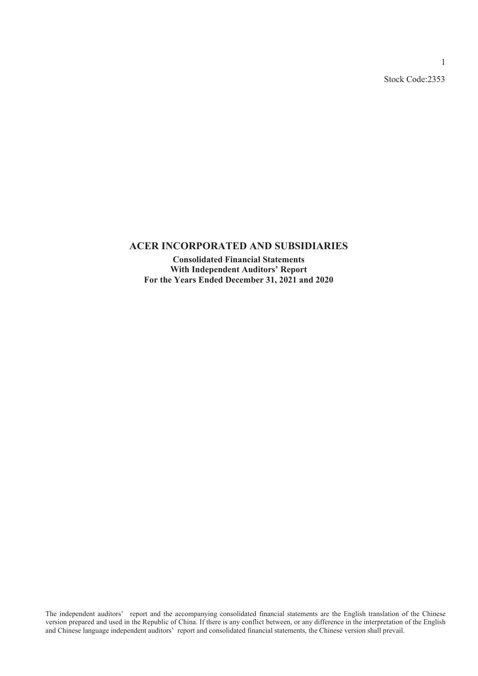Stock Code:2353

1

### **ACER INCORPORATED AND SUBSIDIARIES**

**Consolidated Financial Statements With Independent Auditors' Report For the Years Ended December 31, 2021 and 2020**

The independent auditors' report and the accompanying consolidated financial statements are the English translation of the Chinese version prepared and used in the Republic of China. If there is any conflict between, or any difference in the interpretation of the English and Chinese language independent auditors' report and consolidated financial statements, the Chinese version shall prevail.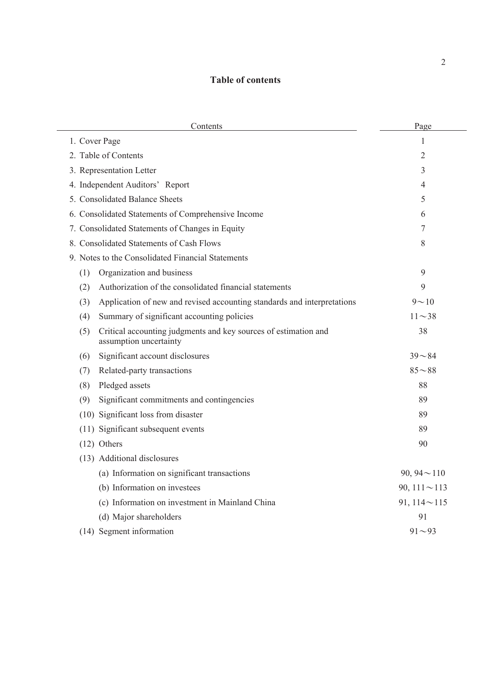# **Table of contents**

| Contents                                                                                         | Page               |
|--------------------------------------------------------------------------------------------------|--------------------|
| 1. Cover Page                                                                                    | 1                  |
| 2. Table of Contents                                                                             | 2                  |
| 3. Representation Letter                                                                         | 3                  |
| 4. Independent Auditors' Report                                                                  | 4                  |
| 5. Consolidated Balance Sheets                                                                   | 5                  |
| 6. Consolidated Statements of Comprehensive Income                                               | 6                  |
| 7. Consolidated Statements of Changes in Equity                                                  | 7                  |
| 8. Consolidated Statements of Cash Flows                                                         | 8                  |
| 9. Notes to the Consolidated Financial Statements                                                |                    |
| Organization and business<br>(1)                                                                 | 9                  |
| Authorization of the consolidated financial statements<br>(2)                                    | 9                  |
| Application of new and revised accounting standards and interpretations<br>(3)                   | $9 - 10$           |
| Summary of significant accounting policies<br>(4)                                                | $11 - 38$          |
| Critical accounting judgments and key sources of estimation and<br>(5)<br>assumption uncertainty | 38                 |
| Significant account disclosures<br>(6)                                                           | $39 - 84$          |
| Related-party transactions<br>(7)                                                                | $85 - 88$          |
| Pledged assets<br>(8)                                                                            | 88                 |
| Significant commitments and contingencies<br>(9)                                                 | 89                 |
| (10) Significant loss from disaster                                                              | 89                 |
| (11) Significant subsequent events                                                               | 89                 |
| $(12)$ Others                                                                                    | 90                 |
| (13) Additional disclosures                                                                      |                    |
| (a) Information on significant transactions                                                      | 90, 94 $\sim$ 110  |
| (b) Information on investees                                                                     | 90, $111 \sim 113$ |
| (c) Information on investment in Mainland China                                                  | 91, $114 \sim 115$ |
| (d) Major shareholders                                                                           | 91                 |
| (14) Segment information                                                                         | $91 - 93$          |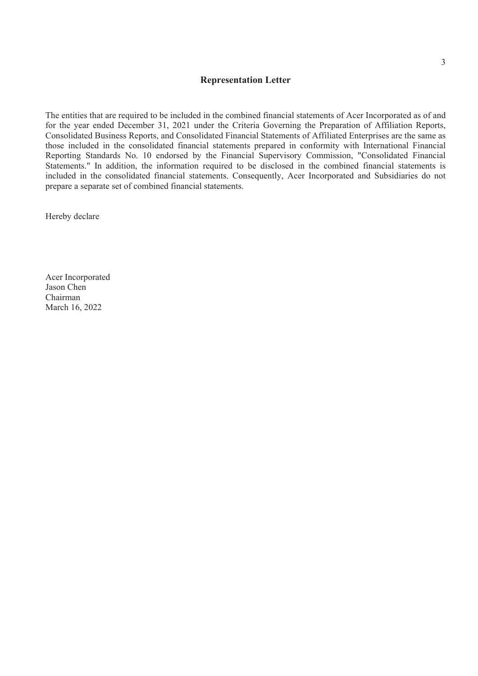#### **Representation Letter**

The entities that are required to be included in the combined financial statements of Acer Incorporated as of and for the year ended December 31, 2021 under the Criteria Governing the Preparation of Affiliation Reports, Consolidated Business Reports, and Consolidated Financial Statements of Affiliated Enterprises are the same as those included in the consolidated financial statements prepared in conformity with International Financial Reporting Standards No. 10 endorsed by the Financial Supervisory Commission, "Consolidated Financial Statements." In addition, the information required to be disclosed in the combined financial statements is included in the consolidated financial statements. Consequently, Acer Incorporated and Subsidiaries do not prepare a separate set of combined financial statements.

Hereby declare

Acer Incorporated Jason Chen Chairman March 16, 2022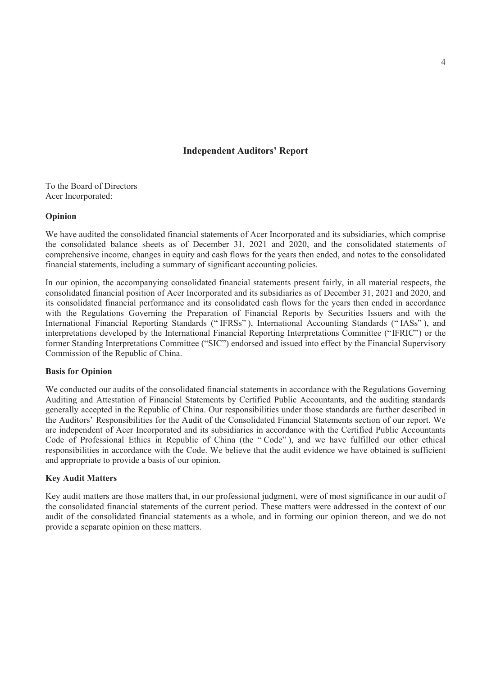#### **Independent Auditors' Report**

To the Board of Directors Acer Incorporated:

#### **Opinion**

We have audited the consolidated financial statements of Acer Incorporated and its subsidiaries, which comprise the consolidated balance sheets as of December 31, 2021 and 2020, and the consolidated statements of comprehensive income, changes in equity and cash flows for the years then ended, and notes to the consolidated financial statements, including a summary of significant accounting policies.

In our opinion, the accompanying consolidated financial statements present fairly, in all material respects, the consolidated financial position of Acer Incorporated and its subsidiaries as of December 31, 2021 and 2020, and its consolidated financial performance and its consolidated cash flows for the years then ended in accordance with the Regulations Governing the Preparation of Financial Reports by Securities Issuers and with the International Financial Reporting Standards (" IFRSs" ), International Accounting Standards (" IASs" ), and interpretations developed by the International Financial Reporting Interpretations Committee ("IFRIC") or the former Standing Interpretations Committee ("SIC") endorsed and issued into effect by the Financial Supervisory Commission of the Republic of China.

#### **Basis for Opinion**

We conducted our audits of the consolidated financial statements in accordance with the Regulations Governing Auditing and Attestation of Financial Statements by Certified Public Accountants, and the auditing standards generally accepted in the Republic of China. Our responsibilities under those standards are further described in the Auditors' Responsibilities for the Audit of the Consolidated Financial Statements section of our report. We are independent of Acer Incorporated and its subsidiaries in accordance with the Certified Public Accountants Code of Professional Ethics in Republic of China (the " Code" ), and we have fulfilled our other ethical responsibilities in accordance with the Code. We believe that the audit evidence we have obtained is sufficient and appropriate to provide a basis of our opinion.

#### **Key Audit Matters**

Key audit matters are those matters that, in our professional judgment, were of most significance in our audit of the consolidated financial statements of the current period. These matters were addressed in the context of our audit of the consolidated financial statements as a whole, and in forming our opinion thereon, and we do not provide a separate opinion on these matters.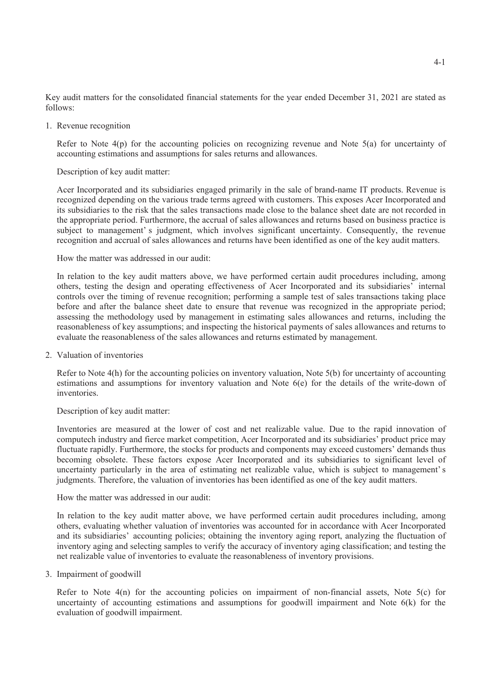Key audit matters for the consolidated financial statements for the year ended December 31, 2021 are stated as follows:

1. Revenue recognition

Refer to Note  $4(p)$  for the accounting policies on recognizing revenue and Note  $5(a)$  for uncertainty of accounting estimations and assumptions for sales returns and allowances.

#### Description of key audit matter:

Acer Incorporated and its subsidiaries engaged primarily in the sale of brand-name IT products. Revenue is recognized depending on the various trade terms agreed with customers. This exposes Acer Incorporated and its subsidiaries to the risk that the sales transactions made close to the balance sheet date are not recorded in the appropriate period. Furthermore, the accrual of sales allowances and returns based on business practice is subject to management' s judgment, which involves significant uncertainty. Consequently, the revenue recognition and accrual of sales allowances and returns have been identified as one of the key audit matters.

How the matter was addressed in our audit:

In relation to the key audit matters above, we have performed certain audit procedures including, among others, testing the design and operating effectiveness of Acer Incorporated and its subsidiaries' internal controls over the timing of revenue recognition; performing a sample test of sales transactions taking place before and after the balance sheet date to ensure that revenue was recognized in the appropriate period; assessing the methodology used by management in estimating sales allowances and returns, including the reasonableness of key assumptions; and inspecting the historical payments of sales allowances and returns to evaluate the reasonableness of the sales allowances and returns estimated by management.

2. Valuation of inventories

Refer to Note 4(h) for the accounting policies on inventory valuation, Note 5(b) for uncertainty of accounting estimations and assumptions for inventory valuation and Note 6(e) for the details of the write-down of inventories.

#### Description of key audit matter:

Inventories are measured at the lower of cost and net realizable value. Due to the rapid innovation of computech industry and fierce market competition, Acer Incorporated and its subsidiaries' product price may fluctuate rapidly. Furthermore, the stocks for products and components may exceed customers' demands thus becoming obsolete. These factors expose Acer Incorporated and its subsidiaries to significant level of uncertainty particularly in the area of estimating net realizable value, which is subject to management' s judgments. Therefore, the valuation of inventories has been identified as one of the key audit matters.

How the matter was addressed in our audit:

In relation to the key audit matter above, we have performed certain audit procedures including, among others, evaluating whether valuation of inventories was accounted for in accordance with Acer Incorporated and its subsidiaries' accounting policies; obtaining the inventory aging report, analyzing the fluctuation of inventory aging and selecting samples to verify the accuracy of inventory aging classification; and testing the net realizable value of inventories to evaluate the reasonableness of inventory provisions.

#### 3. Impairment of goodwill

Refer to Note  $4(n)$  for the accounting policies on impairment of non-financial assets, Note  $5(c)$  for uncertainty of accounting estimations and assumptions for goodwill impairment and Note 6(k) for the evaluation of goodwill impairment.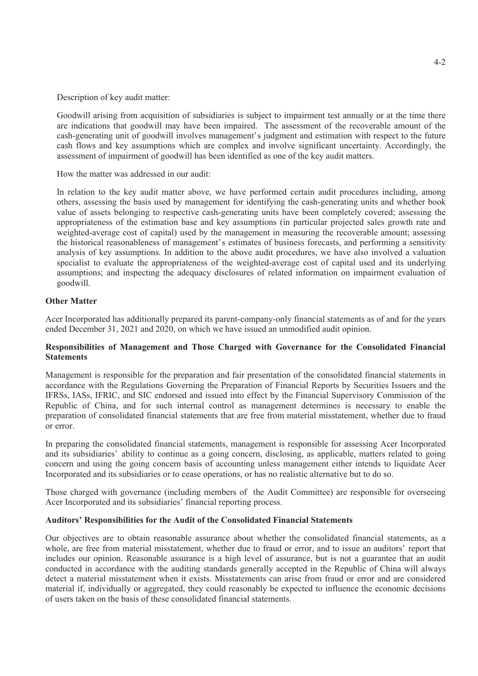Description of key audit matter:

Goodwill arising from acquisition of subsidiaries is subject to impairment test annually or at the time there are indications that goodwill may have been impaired. The assessment of the recoverable amount of the cash-generating unit of goodwill involves management's judgment and estimation with respect to the future cash flows and key assumptions which are complex and involve significant uncertainty. Accordingly, the assessment of impairment of goodwill has been identified as one of the key audit matters.

How the matter was addressed in our audit:

In relation to the key audit matter above, we have performed certain audit procedures including, among others, assessing the basis used by management for identifying the cash-generating units and whether book value of assets belonging to respective cash-generating units have been completely covered; assessing the appropriateness of the estimation base and key assumptions (in particular projected sales growth rate and weighted-average cost of capital) used by the management in measuring the recoverable amount; assessing the historical reasonableness of management's estimates of business forecasts, and performing a sensitivity analysis of key assumptions. In addition to the above audit procedures, we have also involved a valuation specialist to evaluate the appropriateness of the weighted-average cost of capital used and its underlying assumptions; and inspecting the adequacy disclosures of related information on impairment evaluation of goodwill.

#### **Other Matter**

Acer Incorporated has additionally prepared its parent-company-only financial statements as of and for the years ended December 31, 2021 and 2020, on which we have issued an unmodified audit opinion.

#### **Responsibilities of Management and Those Charged with Governance for the Consolidated Financial Statements**

Management is responsible for the preparation and fair presentation of the consolidated financial statements in accordance with the Regulations Governing the Preparation of Financial Reports by Securities Issuers and the IFRSs, IASs, IFRIC, and SIC endorsed and issued into effect by the Financial Supervisory Commission of the Republic of China, and for such internal control as management determines is necessary to enable the preparation of consolidated financial statements that are free from material misstatement, whether due to fraud or error.

In preparing the consolidated financial statements, management is responsible for assessing Acer Incorporated and its subsidiaries' ability to continue as a going concern, disclosing, as applicable, matters related to going concern and using the going concern basis of accounting unless management either intends to liquidate Acer Incorporated and its subsidiaries or to cease operations, or has no realistic alternative but to do so.

Those charged with governance (including members of the Audit Committee) are responsible for overseeing Acer Incorporated and its subsidiaries' financial reporting process.

#### **Auditors' Responsibilities for the Audit of the Consolidated Financial Statements**

Our objectives are to obtain reasonable assurance about whether the consolidated financial statements, as a whole, are free from material misstatement, whether due to fraud or error, and to issue an auditors' report that includes our opinion. Reasonable assurance is a high level of assurance, but is not a guarantee that an audit conducted in accordance with the auditing standards generally accepted in the Republic of China will always detect a material misstatement when it exists. Misstatements can arise from fraud or error and are considered material if, individually or aggregated, they could reasonably be expected to influence the economic decisions of users taken on the basis of these consolidated financial statements.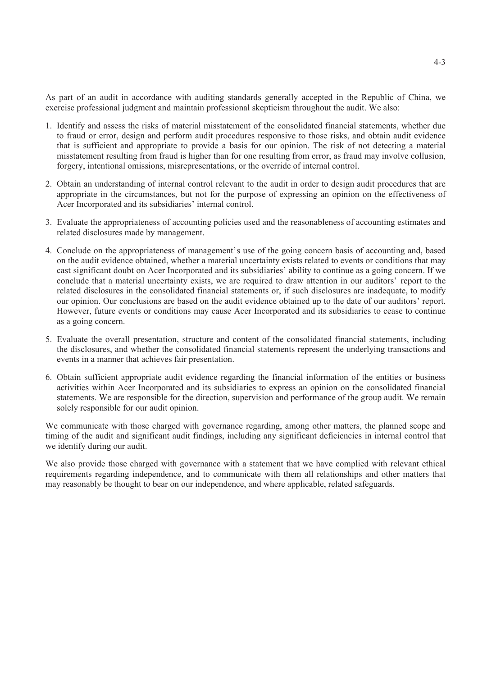As part of an audit in accordance with auditing standards generally accepted in the Republic of China, we exercise professional judgment and maintain professional skepticism throughout the audit. We also:

- 1. Identify and assess the risks of material misstatement of the consolidated financial statements, whether due to fraud or error, design and perform audit procedures responsive to those risks, and obtain audit evidence that is sufficient and appropriate to provide a basis for our opinion. The risk of not detecting a material misstatement resulting from fraud is higher than for one resulting from error, as fraud may involve collusion, forgery, intentional omissions, misrepresentations, or the override of internal control.
- 2. Obtain an understanding of internal control relevant to the audit in order to design audit procedures that are appropriate in the circumstances, but not for the purpose of expressing an opinion on the effectiveness of Acer Incorporated and its subsidiaries' internal control.
- 3. Evaluate the appropriateness of accounting policies used and the reasonableness of accounting estimates and related disclosures made by management.
- 4. Conclude on the appropriateness of management's use of the going concern basis of accounting and, based on the audit evidence obtained, whether a material uncertainty exists related to events or conditions that may cast significant doubt on Acer Incorporated and its subsidiaries' ability to continue as a going concern. If we conclude that a material uncertainty exists, we are required to draw attention in our auditors' report to the related disclosures in the consolidated financial statements or, if such disclosures are inadequate, to modify our opinion. Our conclusions are based on the audit evidence obtained up to the date of our auditors' report. However, future events or conditions may cause Acer Incorporated and its subsidiaries to cease to continue as a going concern.
- 5. Evaluate the overall presentation, structure and content of the consolidated financial statements, including the disclosures, and whether the consolidated financial statements represent the underlying transactions and events in a manner that achieves fair presentation.
- 6. Obtain sufficient appropriate audit evidence regarding the financial information of the entities or business activities within Acer Incorporated and its subsidiaries to express an opinion on the consolidated financial statements. We are responsible for the direction, supervision and performance of the group audit. We remain solely responsible for our audit opinion.

We communicate with those charged with governance regarding, among other matters, the planned scope and timing of the audit and significant audit findings, including any significant deficiencies in internal control that we identify during our audit.

We also provide those charged with governance with a statement that we have complied with relevant ethical requirements regarding independence, and to communicate with them all relationships and other matters that may reasonably be thought to bear on our independence, and where applicable, related safeguards.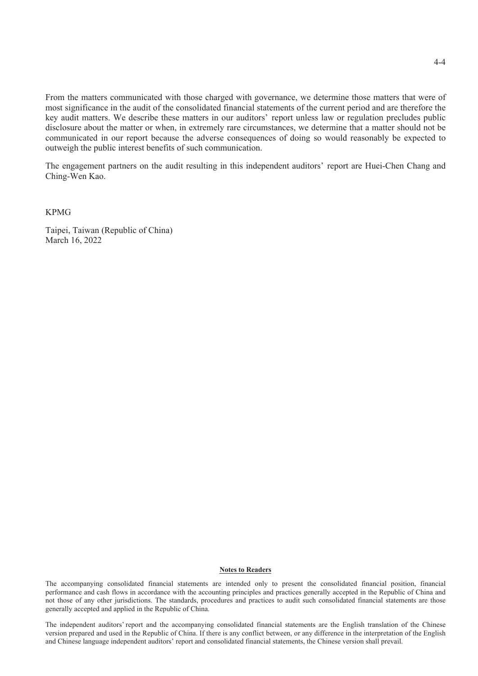From the matters communicated with those charged with governance, we determine those matters that were of most significance in the audit of the consolidated financial statements of the current period and are therefore the key audit matters. We describe these matters in our auditors' report unless law or regulation precludes public disclosure about the matter or when, in extremely rare circumstances, we determine that a matter should not be communicated in our report because the adverse consequences of doing so would reasonably be expected to outweigh the public interest benefits of such communication.

The engagement partners on the audit resulting in this independent auditors' report are Huei-Chen Chang and Ching-Wen Kao.

KPMG

Taipei, Taiwan (Republic of China) March 16, 2022

#### **Notes to Readers**

The accompanying consolidated financial statements are intended only to present the consolidated financial position, financial performance and cash flows in accordance with the accounting principles and practices generally accepted in the Republic of China and not those of any other jurisdictions. The standards, procedures and practices to audit such consolidated financial statements are those generally accepted and applied in the Republic of China.

The independent auditors' report and the accompanying consolidated financial statements are the English translation of the Chinese version prepared and used in the Republic of China. If there is any conflict between, or any difference in the interpretation of the English and Chinese language independent auditors' report and consolidated financial statements, the Chinese version shall prevail.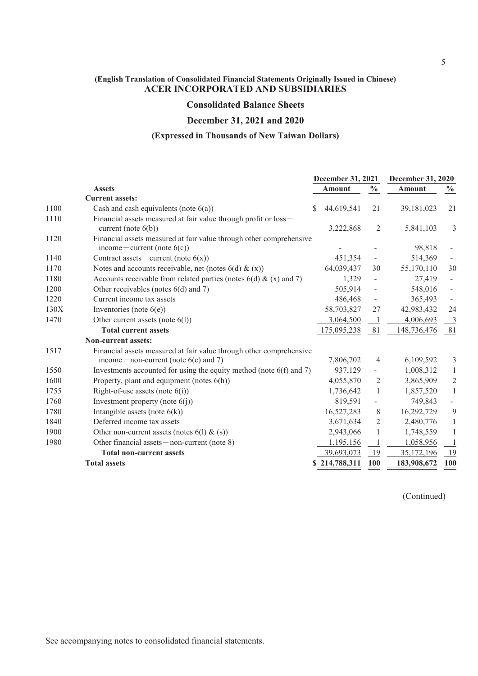### **Consolidated Balance Sheets**

#### **December 31, 2021 and 2020**

#### **(Expressed in Thousands of New Taiwan Dollars)**

|                                                                               | December 31, 2021 |                          | December 31, 2020 |                          |
|-------------------------------------------------------------------------------|-------------------|--------------------------|-------------------|--------------------------|
| <b>Assets</b>                                                                 | <b>Amount</b>     | $\frac{6}{6}$            | <b>Amount</b>     | $\frac{0}{0}$            |
| <b>Current assets:</b>                                                        |                   |                          |                   |                          |
| 1100<br>Cash and cash equivalents (note $6(a)$ )                              | 44,619,541<br>S.  | 21                       | 39,181,023        | 21                       |
| Financial assets measured at fair value through profit or loss-<br>1110       |                   |                          |                   |                          |
| current (note $6(b)$ )                                                        | 3,222,868         | $\overline{2}$           | 5,841,103         | 3                        |
| Financial assets measured at fair value through other comprehensive<br>1120   |                   |                          |                   |                          |
| income – current (note $6(c)$ )                                               |                   |                          | 98,818            |                          |
| 1140<br>Contract assets – current (note $6(x)$ )                              | 451,354           |                          | 514,369           |                          |
| 1170<br>Notes and accounts receivable, net (notes $6(d) & (x)$ )              | 64,039,437        | 30                       | 55,170,110        | 30                       |
| Accounts receivable from related parties (notes $6(d)$ & (x) and 7)<br>1180   | 1,329             | $\overline{\phantom{0}}$ | 27,419            |                          |
| Other receivables (notes 6(d) and 7)<br>1200                                  | 505,914           | $\overline{a}$           | 548,016           | $\overline{\phantom{a}}$ |
| 1220<br>Current income tax assets                                             | 486,468           | $\frac{1}{2}$            | 365,493           |                          |
| 130X<br>Inventories (note $6(e)$ )                                            | 58,703,827        | 27                       | 42,983,432        | 24                       |
| 1470<br>Other current assets (note 6(l))                                      | 3,064,500         | -1                       | 4,006,693         | 3                        |
| <b>Total current assets</b>                                                   | 175,095,238       | 81                       | 148,736,476       | 81                       |
| <b>Non-current assets:</b>                                                    |                   |                          |                   |                          |
| 1517<br>Financial assets measured at fair value through other comprehensive   |                   |                          |                   |                          |
| income — non-current (note $6(c)$ and 7)                                      | 7,806,702         | $\overline{4}$           | 6,109,592         | 3                        |
| Investments accounted for using the equity method (note $6(f)$ and 7)<br>1550 | 937,129           | $\overline{\phantom{a}}$ | 1,008,312         | $\mathbf{1}$             |
| 1600<br>Property, plant and equipment (notes 6(h))                            | 4,055,870         | 2                        | 3,865,909         | $\overline{c}$           |
| Right-of-use assets (note $6(i)$ )<br>1755                                    | 1,736,642         | -1                       | 1,857,520         | $\mathbf{1}$             |
| 1760<br>Investment property (note $6(j)$ )                                    | 819,591           | $\qquad \qquad -$        | 749,843           |                          |
| Intangible assets (note $6(k)$ )<br>1780                                      | 16,527,283        | $8\phantom{1}$           | 16,292,729        | 9                        |
| Deferred income tax assets<br>1840                                            | 3,671,634         | $\overline{2}$           | 2,480,776         | $\mathbf{1}$             |
| 1900<br>Other non-current assets (notes $6(1)$ & $(s)$ )                      | 2,943,066         | 1                        | 1,748,559         | $\mathbf{1}$             |
| 1980<br>Other financial assets $-$ non-current (note 8)                       | 1,195,156         | -1                       | 1,058,956         | 1                        |
| <b>Total non-current assets</b>                                               | 39,693,073        | 19                       | 35,172,196        | 19                       |
| <b>Total assets</b>                                                           | \$214,788,311     | 100                      | 183,908,672       | 100                      |

(Continued)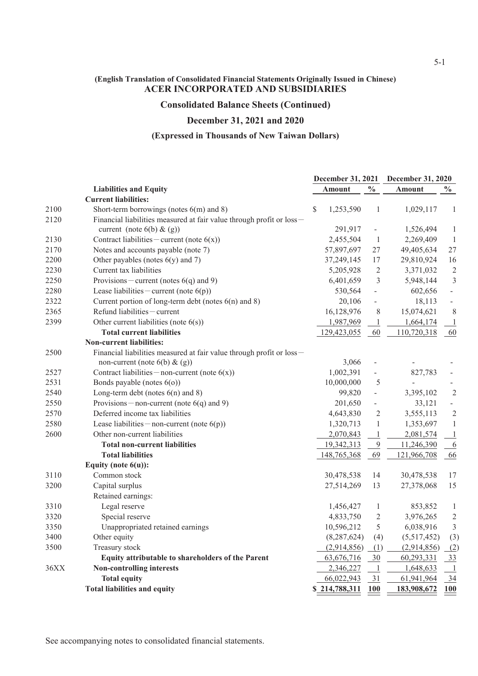#### **Consolidated Balance Sheets (Continued)**

### **December 31, 2021 and 2020**

#### **(Expressed in Thousands of New Taiwan Dollars)**

| $\frac{0}{0}$<br>$\frac{6}{10}$<br><b>Liabilities and Equity</b><br><b>Amount</b><br><b>Amount</b><br><b>Current liabilities:</b><br>2100<br>Short-term borrowings (notes $6(m)$ and 8)<br>1,253,590<br>\$<br>$\mathbf{1}$<br>1,029,117<br>2120<br>Financial liabilities measured at fair value through profit or loss-<br>291,917<br>current (note $6(b) & (g)$ )<br>1,526,494<br>$\overline{\phantom{a}}$<br>2130<br>Contract liabilities – current (note $6(x)$ )<br>2,455,504<br>$\mathbf{1}$<br>2,269,409<br>2170<br>Notes and accounts payable (note 7)<br>57,897,697<br>49,405,634<br>27<br>2200<br>Other payables (notes $6(y)$ and 7)<br>37,249,145<br>17<br>29,810,924<br>2230<br>Current tax liabilities<br>$\overline{2}$<br>3,371,032<br>5,205,928<br>$\mathfrak{Z}$<br>2250<br>Provisions – current (notes $6(q)$ and 9)<br>6,401,659<br>5,948,144<br>Lease liabilities – current (note $6(p)$ )<br>2280<br>530,564<br>602,656<br>$\blacksquare$<br>$\frac{1}{2}$<br>2322<br>Current portion of long-term debt (notes $6(n)$ and 8)<br>20,106<br>18,113<br>$\overline{\phantom{a}}$<br>Refund liabilities - current<br>2365<br>16,128,976<br>8<br>15,074,621<br>2399<br>Other current liabilities (note $6(s)$ )<br>1,987,969<br>1,664,174<br>$\mathbf{1}$<br><b>Total current liabilities</b><br>60<br>129,423,055<br>110,720,318<br><b>Non-current liabilities:</b><br>Financial liabilities measured at fair value through profit or loss-<br>2500<br>3,066<br>non-current (note $6(b)$ & $(g)$ )<br>Contract liabilities - non-current (note $6(x)$ )<br>1,002,391<br>827,783<br>2527<br>$\overline{\phantom{0}}$<br>10,000,000<br>2531<br>Bonds payable (notes $6(0)$ )<br>5<br>2540<br>Long-term debt (notes $6(n)$ and 8)<br>99,820<br>3,395,102<br>$\overline{\phantom{a}}$<br>2550<br>Provisions – non-current (note $6(q)$ and 9)<br>201,650<br>33,121<br>$\qquad \qquad \blacksquare$<br>Deferred income tax liabilities<br>$\overline{2}$<br>2570<br>4,643,830<br>3,555,113<br>2580<br>Lease liabilities – non-current (note $6(p)$ )<br>1,320,713<br>$\mathbf{1}$<br>1,353,697<br>2600<br>Other non-current liabilities<br>$\mathbf{1}$<br>2,070,843<br>2,081,574<br>9<br><b>Total non-current liabilities</b><br>19,342,313<br>11,246,390<br>69<br><b>Total liabilities</b><br>148,765,368<br>121,966,708<br>Equity (note $6(u)$ ):<br>3110<br>Common stock<br>30,478,538<br>14<br>30,478,538<br>3200<br>Capital surplus<br>13<br>27,378,068<br>27,514,269<br>Retained earnings:<br>Legal reserve<br>3310<br>1,456,427<br>$\mathbf{1}$<br>853,852<br>3320<br>Special reserve<br>4,833,750<br>$\overline{c}$<br>3,976,265<br>5<br>3350<br>Unappropriated retained earnings<br>10,596,212<br>6,038,916<br>3400<br>Other equity<br>(8, 287, 624)<br>(5,517,452)<br>(4)<br>3500<br>Treasury stock<br>(2,914,856)<br>(1)<br>(2,914,856) |                                                          | December 31, 2021 |            |    | <b>December 31, 2020</b> |                  |
|----------------------------------------------------------------------------------------------------------------------------------------------------------------------------------------------------------------------------------------------------------------------------------------------------------------------------------------------------------------------------------------------------------------------------------------------------------------------------------------------------------------------------------------------------------------------------------------------------------------------------------------------------------------------------------------------------------------------------------------------------------------------------------------------------------------------------------------------------------------------------------------------------------------------------------------------------------------------------------------------------------------------------------------------------------------------------------------------------------------------------------------------------------------------------------------------------------------------------------------------------------------------------------------------------------------------------------------------------------------------------------------------------------------------------------------------------------------------------------------------------------------------------------------------------------------------------------------------------------------------------------------------------------------------------------------------------------------------------------------------------------------------------------------------------------------------------------------------------------------------------------------------------------------------------------------------------------------------------------------------------------------------------------------------------------------------------------------------------------------------------------------------------------------------------------------------------------------------------------------------------------------------------------------------------------------------------------------------------------------------------------------------------------------------------------------------------------------------------------------------------------------------------------------------------------------------------------------------------------------------------------------------------------------------------------------------------------------------------------------------------------------------------------------------------------------------------------------------------------------|----------------------------------------------------------|-------------------|------------|----|--------------------------|------------------|
|                                                                                                                                                                                                                                                                                                                                                                                                                                                                                                                                                                                                                                                                                                                                                                                                                                                                                                                                                                                                                                                                                                                                                                                                                                                                                                                                                                                                                                                                                                                                                                                                                                                                                                                                                                                                                                                                                                                                                                                                                                                                                                                                                                                                                                                                                                                                                                                                                                                                                                                                                                                                                                                                                                                                                                                                                                                                |                                                          |                   |            |    |                          |                  |
|                                                                                                                                                                                                                                                                                                                                                                                                                                                                                                                                                                                                                                                                                                                                                                                                                                                                                                                                                                                                                                                                                                                                                                                                                                                                                                                                                                                                                                                                                                                                                                                                                                                                                                                                                                                                                                                                                                                                                                                                                                                                                                                                                                                                                                                                                                                                                                                                                                                                                                                                                                                                                                                                                                                                                                                                                                                                |                                                          |                   |            |    |                          |                  |
|                                                                                                                                                                                                                                                                                                                                                                                                                                                                                                                                                                                                                                                                                                                                                                                                                                                                                                                                                                                                                                                                                                                                                                                                                                                                                                                                                                                                                                                                                                                                                                                                                                                                                                                                                                                                                                                                                                                                                                                                                                                                                                                                                                                                                                                                                                                                                                                                                                                                                                                                                                                                                                                                                                                                                                                                                                                                |                                                          |                   |            |    |                          | $\mathbf{1}$     |
|                                                                                                                                                                                                                                                                                                                                                                                                                                                                                                                                                                                                                                                                                                                                                                                                                                                                                                                                                                                                                                                                                                                                                                                                                                                                                                                                                                                                                                                                                                                                                                                                                                                                                                                                                                                                                                                                                                                                                                                                                                                                                                                                                                                                                                                                                                                                                                                                                                                                                                                                                                                                                                                                                                                                                                                                                                                                |                                                          |                   |            |    |                          |                  |
|                                                                                                                                                                                                                                                                                                                                                                                                                                                                                                                                                                                                                                                                                                                                                                                                                                                                                                                                                                                                                                                                                                                                                                                                                                                                                                                                                                                                                                                                                                                                                                                                                                                                                                                                                                                                                                                                                                                                                                                                                                                                                                                                                                                                                                                                                                                                                                                                                                                                                                                                                                                                                                                                                                                                                                                                                                                                |                                                          |                   |            |    |                          | $\mathbf{1}$     |
|                                                                                                                                                                                                                                                                                                                                                                                                                                                                                                                                                                                                                                                                                                                                                                                                                                                                                                                                                                                                                                                                                                                                                                                                                                                                                                                                                                                                                                                                                                                                                                                                                                                                                                                                                                                                                                                                                                                                                                                                                                                                                                                                                                                                                                                                                                                                                                                                                                                                                                                                                                                                                                                                                                                                                                                                                                                                |                                                          |                   |            |    |                          | $\mathbf{1}$     |
|                                                                                                                                                                                                                                                                                                                                                                                                                                                                                                                                                                                                                                                                                                                                                                                                                                                                                                                                                                                                                                                                                                                                                                                                                                                                                                                                                                                                                                                                                                                                                                                                                                                                                                                                                                                                                                                                                                                                                                                                                                                                                                                                                                                                                                                                                                                                                                                                                                                                                                                                                                                                                                                                                                                                                                                                                                                                |                                                          |                   |            |    |                          | 27               |
|                                                                                                                                                                                                                                                                                                                                                                                                                                                                                                                                                                                                                                                                                                                                                                                                                                                                                                                                                                                                                                                                                                                                                                                                                                                                                                                                                                                                                                                                                                                                                                                                                                                                                                                                                                                                                                                                                                                                                                                                                                                                                                                                                                                                                                                                                                                                                                                                                                                                                                                                                                                                                                                                                                                                                                                                                                                                |                                                          |                   |            |    |                          | 16               |
|                                                                                                                                                                                                                                                                                                                                                                                                                                                                                                                                                                                                                                                                                                                                                                                                                                                                                                                                                                                                                                                                                                                                                                                                                                                                                                                                                                                                                                                                                                                                                                                                                                                                                                                                                                                                                                                                                                                                                                                                                                                                                                                                                                                                                                                                                                                                                                                                                                                                                                                                                                                                                                                                                                                                                                                                                                                                |                                                          |                   |            |    |                          | $\mathbf{2}$     |
|                                                                                                                                                                                                                                                                                                                                                                                                                                                                                                                                                                                                                                                                                                                                                                                                                                                                                                                                                                                                                                                                                                                                                                                                                                                                                                                                                                                                                                                                                                                                                                                                                                                                                                                                                                                                                                                                                                                                                                                                                                                                                                                                                                                                                                                                                                                                                                                                                                                                                                                                                                                                                                                                                                                                                                                                                                                                |                                                          |                   |            |    |                          | $\mathfrak{Z}$   |
|                                                                                                                                                                                                                                                                                                                                                                                                                                                                                                                                                                                                                                                                                                                                                                                                                                                                                                                                                                                                                                                                                                                                                                                                                                                                                                                                                                                                                                                                                                                                                                                                                                                                                                                                                                                                                                                                                                                                                                                                                                                                                                                                                                                                                                                                                                                                                                                                                                                                                                                                                                                                                                                                                                                                                                                                                                                                |                                                          |                   |            |    |                          |                  |
|                                                                                                                                                                                                                                                                                                                                                                                                                                                                                                                                                                                                                                                                                                                                                                                                                                                                                                                                                                                                                                                                                                                                                                                                                                                                                                                                                                                                                                                                                                                                                                                                                                                                                                                                                                                                                                                                                                                                                                                                                                                                                                                                                                                                                                                                                                                                                                                                                                                                                                                                                                                                                                                                                                                                                                                                                                                                |                                                          |                   |            |    |                          |                  |
|                                                                                                                                                                                                                                                                                                                                                                                                                                                                                                                                                                                                                                                                                                                                                                                                                                                                                                                                                                                                                                                                                                                                                                                                                                                                                                                                                                                                                                                                                                                                                                                                                                                                                                                                                                                                                                                                                                                                                                                                                                                                                                                                                                                                                                                                                                                                                                                                                                                                                                                                                                                                                                                                                                                                                                                                                                                                |                                                          |                   |            |    |                          | 8                |
|                                                                                                                                                                                                                                                                                                                                                                                                                                                                                                                                                                                                                                                                                                                                                                                                                                                                                                                                                                                                                                                                                                                                                                                                                                                                                                                                                                                                                                                                                                                                                                                                                                                                                                                                                                                                                                                                                                                                                                                                                                                                                                                                                                                                                                                                                                                                                                                                                                                                                                                                                                                                                                                                                                                                                                                                                                                                |                                                          |                   |            |    |                          | $\perp$          |
|                                                                                                                                                                                                                                                                                                                                                                                                                                                                                                                                                                                                                                                                                                                                                                                                                                                                                                                                                                                                                                                                                                                                                                                                                                                                                                                                                                                                                                                                                                                                                                                                                                                                                                                                                                                                                                                                                                                                                                                                                                                                                                                                                                                                                                                                                                                                                                                                                                                                                                                                                                                                                                                                                                                                                                                                                                                                |                                                          |                   |            |    |                          | 60               |
|                                                                                                                                                                                                                                                                                                                                                                                                                                                                                                                                                                                                                                                                                                                                                                                                                                                                                                                                                                                                                                                                                                                                                                                                                                                                                                                                                                                                                                                                                                                                                                                                                                                                                                                                                                                                                                                                                                                                                                                                                                                                                                                                                                                                                                                                                                                                                                                                                                                                                                                                                                                                                                                                                                                                                                                                                                                                |                                                          |                   |            |    |                          |                  |
|                                                                                                                                                                                                                                                                                                                                                                                                                                                                                                                                                                                                                                                                                                                                                                                                                                                                                                                                                                                                                                                                                                                                                                                                                                                                                                                                                                                                                                                                                                                                                                                                                                                                                                                                                                                                                                                                                                                                                                                                                                                                                                                                                                                                                                                                                                                                                                                                                                                                                                                                                                                                                                                                                                                                                                                                                                                                |                                                          |                   |            |    |                          |                  |
|                                                                                                                                                                                                                                                                                                                                                                                                                                                                                                                                                                                                                                                                                                                                                                                                                                                                                                                                                                                                                                                                                                                                                                                                                                                                                                                                                                                                                                                                                                                                                                                                                                                                                                                                                                                                                                                                                                                                                                                                                                                                                                                                                                                                                                                                                                                                                                                                                                                                                                                                                                                                                                                                                                                                                                                                                                                                |                                                          |                   |            |    |                          |                  |
|                                                                                                                                                                                                                                                                                                                                                                                                                                                                                                                                                                                                                                                                                                                                                                                                                                                                                                                                                                                                                                                                                                                                                                                                                                                                                                                                                                                                                                                                                                                                                                                                                                                                                                                                                                                                                                                                                                                                                                                                                                                                                                                                                                                                                                                                                                                                                                                                                                                                                                                                                                                                                                                                                                                                                                                                                                                                |                                                          |                   |            |    |                          |                  |
|                                                                                                                                                                                                                                                                                                                                                                                                                                                                                                                                                                                                                                                                                                                                                                                                                                                                                                                                                                                                                                                                                                                                                                                                                                                                                                                                                                                                                                                                                                                                                                                                                                                                                                                                                                                                                                                                                                                                                                                                                                                                                                                                                                                                                                                                                                                                                                                                                                                                                                                                                                                                                                                                                                                                                                                                                                                                |                                                          |                   |            |    |                          |                  |
|                                                                                                                                                                                                                                                                                                                                                                                                                                                                                                                                                                                                                                                                                                                                                                                                                                                                                                                                                                                                                                                                                                                                                                                                                                                                                                                                                                                                                                                                                                                                                                                                                                                                                                                                                                                                                                                                                                                                                                                                                                                                                                                                                                                                                                                                                                                                                                                                                                                                                                                                                                                                                                                                                                                                                                                                                                                                |                                                          |                   |            |    |                          | $\mathfrak{2}$   |
|                                                                                                                                                                                                                                                                                                                                                                                                                                                                                                                                                                                                                                                                                                                                                                                                                                                                                                                                                                                                                                                                                                                                                                                                                                                                                                                                                                                                                                                                                                                                                                                                                                                                                                                                                                                                                                                                                                                                                                                                                                                                                                                                                                                                                                                                                                                                                                                                                                                                                                                                                                                                                                                                                                                                                                                                                                                                |                                                          |                   |            |    |                          |                  |
|                                                                                                                                                                                                                                                                                                                                                                                                                                                                                                                                                                                                                                                                                                                                                                                                                                                                                                                                                                                                                                                                                                                                                                                                                                                                                                                                                                                                                                                                                                                                                                                                                                                                                                                                                                                                                                                                                                                                                                                                                                                                                                                                                                                                                                                                                                                                                                                                                                                                                                                                                                                                                                                                                                                                                                                                                                                                |                                                          |                   |            |    |                          | $\sqrt{2}$       |
|                                                                                                                                                                                                                                                                                                                                                                                                                                                                                                                                                                                                                                                                                                                                                                                                                                                                                                                                                                                                                                                                                                                                                                                                                                                                                                                                                                                                                                                                                                                                                                                                                                                                                                                                                                                                                                                                                                                                                                                                                                                                                                                                                                                                                                                                                                                                                                                                                                                                                                                                                                                                                                                                                                                                                                                                                                                                |                                                          |                   |            |    |                          | $\mathbf{1}$     |
|                                                                                                                                                                                                                                                                                                                                                                                                                                                                                                                                                                                                                                                                                                                                                                                                                                                                                                                                                                                                                                                                                                                                                                                                                                                                                                                                                                                                                                                                                                                                                                                                                                                                                                                                                                                                                                                                                                                                                                                                                                                                                                                                                                                                                                                                                                                                                                                                                                                                                                                                                                                                                                                                                                                                                                                                                                                                |                                                          |                   |            |    |                          | $\perp$          |
|                                                                                                                                                                                                                                                                                                                                                                                                                                                                                                                                                                                                                                                                                                                                                                                                                                                                                                                                                                                                                                                                                                                                                                                                                                                                                                                                                                                                                                                                                                                                                                                                                                                                                                                                                                                                                                                                                                                                                                                                                                                                                                                                                                                                                                                                                                                                                                                                                                                                                                                                                                                                                                                                                                                                                                                                                                                                |                                                          |                   |            |    |                          | 6                |
|                                                                                                                                                                                                                                                                                                                                                                                                                                                                                                                                                                                                                                                                                                                                                                                                                                                                                                                                                                                                                                                                                                                                                                                                                                                                                                                                                                                                                                                                                                                                                                                                                                                                                                                                                                                                                                                                                                                                                                                                                                                                                                                                                                                                                                                                                                                                                                                                                                                                                                                                                                                                                                                                                                                                                                                                                                                                |                                                          |                   |            |    |                          | 66               |
|                                                                                                                                                                                                                                                                                                                                                                                                                                                                                                                                                                                                                                                                                                                                                                                                                                                                                                                                                                                                                                                                                                                                                                                                                                                                                                                                                                                                                                                                                                                                                                                                                                                                                                                                                                                                                                                                                                                                                                                                                                                                                                                                                                                                                                                                                                                                                                                                                                                                                                                                                                                                                                                                                                                                                                                                                                                                |                                                          |                   |            |    |                          |                  |
|                                                                                                                                                                                                                                                                                                                                                                                                                                                                                                                                                                                                                                                                                                                                                                                                                                                                                                                                                                                                                                                                                                                                                                                                                                                                                                                                                                                                                                                                                                                                                                                                                                                                                                                                                                                                                                                                                                                                                                                                                                                                                                                                                                                                                                                                                                                                                                                                                                                                                                                                                                                                                                                                                                                                                                                                                                                                |                                                          |                   |            |    |                          | 17               |
|                                                                                                                                                                                                                                                                                                                                                                                                                                                                                                                                                                                                                                                                                                                                                                                                                                                                                                                                                                                                                                                                                                                                                                                                                                                                                                                                                                                                                                                                                                                                                                                                                                                                                                                                                                                                                                                                                                                                                                                                                                                                                                                                                                                                                                                                                                                                                                                                                                                                                                                                                                                                                                                                                                                                                                                                                                                                |                                                          |                   |            |    |                          | 15               |
|                                                                                                                                                                                                                                                                                                                                                                                                                                                                                                                                                                                                                                                                                                                                                                                                                                                                                                                                                                                                                                                                                                                                                                                                                                                                                                                                                                                                                                                                                                                                                                                                                                                                                                                                                                                                                                                                                                                                                                                                                                                                                                                                                                                                                                                                                                                                                                                                                                                                                                                                                                                                                                                                                                                                                                                                                                                                |                                                          |                   |            |    |                          |                  |
|                                                                                                                                                                                                                                                                                                                                                                                                                                                                                                                                                                                                                                                                                                                                                                                                                                                                                                                                                                                                                                                                                                                                                                                                                                                                                                                                                                                                                                                                                                                                                                                                                                                                                                                                                                                                                                                                                                                                                                                                                                                                                                                                                                                                                                                                                                                                                                                                                                                                                                                                                                                                                                                                                                                                                                                                                                                                |                                                          |                   |            |    |                          | $\mathbf{1}$     |
|                                                                                                                                                                                                                                                                                                                                                                                                                                                                                                                                                                                                                                                                                                                                                                                                                                                                                                                                                                                                                                                                                                                                                                                                                                                                                                                                                                                                                                                                                                                                                                                                                                                                                                                                                                                                                                                                                                                                                                                                                                                                                                                                                                                                                                                                                                                                                                                                                                                                                                                                                                                                                                                                                                                                                                                                                                                                |                                                          |                   |            |    |                          | $\boldsymbol{2}$ |
|                                                                                                                                                                                                                                                                                                                                                                                                                                                                                                                                                                                                                                                                                                                                                                                                                                                                                                                                                                                                                                                                                                                                                                                                                                                                                                                                                                                                                                                                                                                                                                                                                                                                                                                                                                                                                                                                                                                                                                                                                                                                                                                                                                                                                                                                                                                                                                                                                                                                                                                                                                                                                                                                                                                                                                                                                                                                |                                                          |                   |            |    |                          | 3                |
|                                                                                                                                                                                                                                                                                                                                                                                                                                                                                                                                                                                                                                                                                                                                                                                                                                                                                                                                                                                                                                                                                                                                                                                                                                                                                                                                                                                                                                                                                                                                                                                                                                                                                                                                                                                                                                                                                                                                                                                                                                                                                                                                                                                                                                                                                                                                                                                                                                                                                                                                                                                                                                                                                                                                                                                                                                                                |                                                          |                   |            |    |                          | (3)              |
|                                                                                                                                                                                                                                                                                                                                                                                                                                                                                                                                                                                                                                                                                                                                                                                                                                                                                                                                                                                                                                                                                                                                                                                                                                                                                                                                                                                                                                                                                                                                                                                                                                                                                                                                                                                                                                                                                                                                                                                                                                                                                                                                                                                                                                                                                                                                                                                                                                                                                                                                                                                                                                                                                                                                                                                                                                                                |                                                          |                   |            |    |                          | (2)              |
|                                                                                                                                                                                                                                                                                                                                                                                                                                                                                                                                                                                                                                                                                                                                                                                                                                                                                                                                                                                                                                                                                                                                                                                                                                                                                                                                                                                                                                                                                                                                                                                                                                                                                                                                                                                                                                                                                                                                                                                                                                                                                                                                                                                                                                                                                                                                                                                                                                                                                                                                                                                                                                                                                                                                                                                                                                                                | <b>Equity attributable to shareholders of the Parent</b> |                   | 63,676,716 | 30 | 60,293,331               | $\frac{33}{2}$   |
| Non-controlling interests<br>2,346,227<br>1,648,633<br>36XX<br>$\mathbf{1}$                                                                                                                                                                                                                                                                                                                                                                                                                                                                                                                                                                                                                                                                                                                                                                                                                                                                                                                                                                                                                                                                                                                                                                                                                                                                                                                                                                                                                                                                                                                                                                                                                                                                                                                                                                                                                                                                                                                                                                                                                                                                                                                                                                                                                                                                                                                                                                                                                                                                                                                                                                                                                                                                                                                                                                                    |                                                          |                   |            |    |                          | $\mathbf{1}$     |
| <b>Total equity</b><br>31<br>66,022,943<br>61,941,964                                                                                                                                                                                                                                                                                                                                                                                                                                                                                                                                                                                                                                                                                                                                                                                                                                                                                                                                                                                                                                                                                                                                                                                                                                                                                                                                                                                                                                                                                                                                                                                                                                                                                                                                                                                                                                                                                                                                                                                                                                                                                                                                                                                                                                                                                                                                                                                                                                                                                                                                                                                                                                                                                                                                                                                                          |                                                          |                   |            |    |                          | $\frac{34}{5}$   |
| <b>Total liabilities and equity</b><br>\$214,788,311<br>183,908,672<br>100                                                                                                                                                                                                                                                                                                                                                                                                                                                                                                                                                                                                                                                                                                                                                                                                                                                                                                                                                                                                                                                                                                                                                                                                                                                                                                                                                                                                                                                                                                                                                                                                                                                                                                                                                                                                                                                                                                                                                                                                                                                                                                                                                                                                                                                                                                                                                                                                                                                                                                                                                                                                                                                                                                                                                                                     |                                                          |                   |            |    |                          | 100              |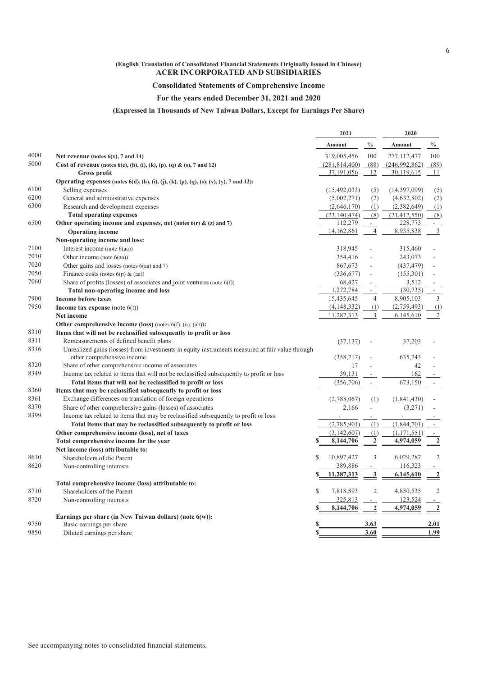#### **Consolidated Statements of Comprehensive Income**

#### **For the years ended December 31, 2021 and 2020**

#### **(Expressed in Thousands of New Taiwan Dollars, Except for Earnings Per Share)**

|      |                                                                                                                                               | 2021                       |                             | 2020           |                          |
|------|-----------------------------------------------------------------------------------------------------------------------------------------------|----------------------------|-----------------------------|----------------|--------------------------|
|      |                                                                                                                                               | Amount                     | $\frac{0}{0}$               | Amount         | $\frac{0}{0}$            |
| 4000 | Net revenue (notes $6(x)$ , 7 and 14)                                                                                                         | 319,005,456                | 100                         | 277,112,477    | 100                      |
| 5000 | Cost of revenue (notes $6(e)$ , (h), (i), (k), (p), (q) & (s), 7 and 12)                                                                      | (281, 814, 400)            | (88)                        | (246,992,862)  | (89)                     |
|      | Gross profit                                                                                                                                  | 37,191,056                 | 12                          | 30,119,615     | 11                       |
|      | Operating expenses (notes 6(d), (h), (i), (j), (k), (p), (q), (s), (v), (y), 7 and 12):                                                       |                            |                             |                |                          |
| 6100 | Selling expenses                                                                                                                              | (15,492,033)               | (5)                         | (14,397,099)   | (5)                      |
| 6200 | General and administrative expenses                                                                                                           | (5,002,271)                | (2)                         | (4,632,802)    | (2)                      |
| 6300 | Research and development expenses                                                                                                             | (2,646,170)                | (1)                         | (2,382,649)    | (1)                      |
|      | <b>Total operating expenses</b>                                                                                                               | (23, 140, 474)             | (8)                         | (21, 412, 550) | (8)                      |
| 6500 | Other operating income and expenses, net (notes $6(r)$ & (z) and 7)                                                                           | 112,279                    | $\mathcal{L}^{\mathcal{A}}$ | 228,773        | $\omega$                 |
|      | <b>Operating income</b>                                                                                                                       | 14,162,861                 | $\overline{4}$              | 8,935,838      | $\overline{3}$           |
|      | Non-operating income and loss:                                                                                                                |                            |                             |                |                          |
| 7100 | Interest income (note $6(aa)$ )                                                                                                               | 318,945                    |                             | 315,460        |                          |
| 7010 | Other income (note $6(aa)$ )                                                                                                                  | 354,416                    |                             | 243,073        |                          |
| 7020 | Other gains and losses (notes 6(aa) and 7)                                                                                                    | 867,673                    |                             | (437, 479)     |                          |
| 7050 | Finance costs (notes $6(p)$ & (aa))                                                                                                           | (336,677)                  |                             | (155,301)      |                          |
| 7060 | Share of profits (losses) of associates and joint ventures (note $6(f)$ )                                                                     | 68,427                     |                             | 3,512          |                          |
|      | Total non-operating income and loss                                                                                                           | 1,272,784                  | $\overline{a}$              | (30, 735)      | $\mathcal{L}$            |
| 7900 | <b>Income before taxes</b>                                                                                                                    | 15,435,645                 | $\overline{4}$              | 8,905,103      | $\overline{3}$           |
| 7950 | Income tax expense (note $6(t)$ )                                                                                                             | (4,148,332)                | (1)                         | (2,759,493)    | (1)                      |
|      | <b>Net income</b>                                                                                                                             | 11,287,313                 | 3                           | 6,145,610      | $\overline{2}$           |
|      | Other comprehensive income (loss) (notes $6(f)$ , (u), (ab)):                                                                                 |                            |                             |                |                          |
| 8310 | Items that will not be reclassified subsequently to profit or loss                                                                            |                            |                             |                |                          |
| 8311 |                                                                                                                                               |                            |                             |                |                          |
| 8316 | Remeasurements of defined benefit plans                                                                                                       | (37, 137)                  |                             | 37,203         |                          |
|      | Unrealized gains (losses) from investments in equity instruments measured at fair value through<br>other comprehensive income                 | (358,717)                  |                             | 635,743        |                          |
| 8320 |                                                                                                                                               | 17                         |                             | 42             |                          |
| 8349 | Share of other comprehensive income of associates<br>Income tax related to items that will not be reclassified subsequently to profit or loss | 39,131                     |                             |                |                          |
|      | Total items that will not be reclassified to profit or loss                                                                                   |                            |                             | 162<br>673,150 |                          |
| 8360 |                                                                                                                                               | (356, 706)                 | $\overline{\phantom{a}}$    |                | $\overline{\phantom{a}}$ |
| 8361 | Items that may be reclassified subsequently to profit or loss<br>Exchange differences on translation of foreign operations                    |                            |                             |                |                          |
| 8370 |                                                                                                                                               | (2,788,067)                | (1)                         | (1,841,430)    |                          |
|      | Share of other comprehensive gains (losses) of associates                                                                                     | 2,166                      | $\overline{a}$              | (3,271)        |                          |
| 8399 | Income tax related to items that may be reclassified subsequently to profit or loss                                                           |                            |                             |                |                          |
|      | Total items that may be reclassified subsequently to profit or loss                                                                           | (2,785,901)                | (1)                         | (1,844,701)    |                          |
|      | Other comprehensive income (loss), net of taxes                                                                                               | (3,142,607)                | (1)                         | (1,171,551)    | $\overline{\phantom{a}}$ |
|      | Total comprehensive income for the year                                                                                                       | 8,144,706<br>S             | $\boldsymbol{2}$            | 4,974,059      | $\overline{2}$           |
|      | Net income (loss) attributable to:                                                                                                            |                            |                             |                |                          |
| 8610 | Shareholders of the Parent                                                                                                                    | $\mathbb{S}$<br>10,897,427 | 3                           | 6,029,287      | $\overline{2}$           |
| 8620 | Non-controlling interests                                                                                                                     | 389,886                    |                             | 116,323        |                          |
|      |                                                                                                                                               | 11,287,313<br>S            | 3                           | 6,145,610      | $\overline{2}$           |
|      | Total comprehensive income (loss) attributable to:                                                                                            |                            |                             |                |                          |
| 8710 | Shareholders of the Parent                                                                                                                    | $\mathbb{S}$<br>7,818,893  | $\overline{c}$              | 4,850,535      | $\overline{2}$           |
| 8720 | Non-controlling interests                                                                                                                     | 325,813                    | $\overline{\phantom{a}}$    | 123,524        |                          |
|      |                                                                                                                                               | 8,144,706                  | $\overline{2}$              | 4,974,059      | $\overline{2}$           |
|      | Earnings per share (in New Taiwan dollars) (note $6(w)$ ):                                                                                    |                            |                             |                |                          |
| 9750 | Basic earnings per share                                                                                                                      | S                          | 3.63                        |                | 2.01                     |
| 9850 | Diluted earnings per share                                                                                                                    |                            | 3.60                        |                | 1.99                     |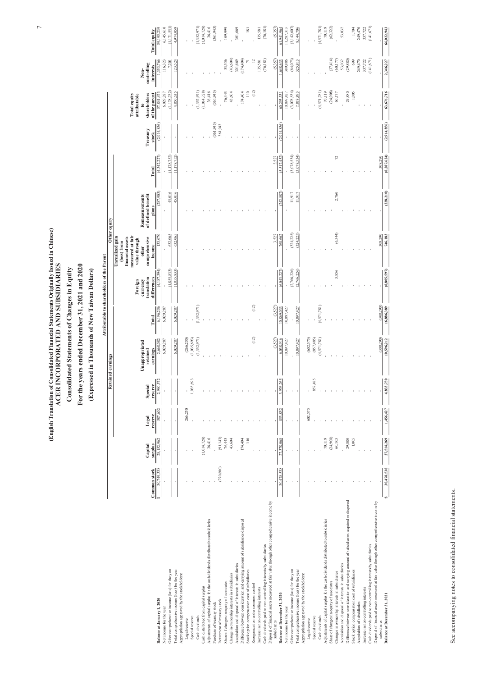#### **Consolidated Statements of Changes in Equity**

#### **For the years ended December 31, 2021 and 2020**

#### **(Expressed in Thousands of New Taiwan Dollars)**

|                                                                                                           |                     |             | <b>Retained earnings</b> |           | Other equity   |             |                     |                                                                                                  |                       |               |             |                                           |             |                     |
|-----------------------------------------------------------------------------------------------------------|---------------------|-------------|--------------------------|-----------|----------------|-------------|---------------------|--------------------------------------------------------------------------------------------------|-----------------------|---------------|-------------|-------------------------------------------|-------------|---------------------|
|                                                                                                           |                     |             |                          |           | Unappropriated |             | Foreign<br>currency | Unrealized gain<br>(loss) from<br>financial assets<br>measured at fair<br>value through<br>other | <b>Remeasurements</b> |               |             | <b>Total equity</b><br>attributable<br>to | Non-        |                     |
|                                                                                                           |                     | Capital     | Legal                    | Special   | retained       |             | translation         | comprehensive                                                                                    | of defined benefit    |               | Treasury    | shareholders                              | controlling |                     |
|                                                                                                           | <b>Common stock</b> | surplus     | reserve                  | reserve   | earnings       | Total       | differences         | income                                                                                           | plans                 | Total         | stock       | of the parent                             | interests   | <b>Total equity</b> |
| Balance at January 1, 2020                                                                                | 30,749,338          | 28,152,962  | 587.602                  | 2,940,572 | 2,668,082      | 6,196,256   | (4,187,394)         | 133,070                                                                                          | (287,903)             | (4,342,227)   | (2,914,856) | 57,841,473                                | 1.353,766   | 59,195,239          |
| Net income for the year                                                                                   |                     |             |                          |           | 6,029,287      | 6,029,287   |                     |                                                                                                  |                       |               |             | 6,029,287                                 | 116,323     | 6,145,610           |
| Other comprehensive income (loss) for the year                                                            |                     |             |                          |           |                |             | (1,855,833)         | 632,065                                                                                          | 45,016                | (1,178,752)   |             | (1, 178, 752)                             | 7,201       | (1,171,551)         |
| Total comprehensive income (loss) for the year                                                            |                     |             |                          |           | 6,029,287      | 6,029,287   | (1,855,833)         | 632,065                                                                                          | 45,016                | (1.178, 752)  |             | 4,850,535                                 | 123,524     | 4.974.059           |
| Appropriation approved by the stockholders:                                                               |                     |             |                          |           |                |             |                     |                                                                                                  |                       |               |             |                                           |             |                     |
| Legal reserve                                                                                             |                     |             | 266,250                  |           | (266, 250)     |             |                     |                                                                                                  |                       |               |             |                                           |             |                     |
| Special reserve                                                                                           |                     |             |                          | 1,035,693 | (1,035,693)    |             |                     |                                                                                                  |                       |               |             |                                           |             |                     |
| Cash dividends                                                                                            |                     |             |                          |           | (1,352,971)    | (1,352,971) |                     |                                                                                                  |                       |               |             | (1, 352, 971)                             |             | (1,352,971)         |
| Cash distributed from capital surplus                                                                     |                     | (1,014,728) |                          |           |                |             |                     |                                                                                                  |                       |               |             | (1,014,728)                               |             | (1,014,728)         |
| Adjustments of capital surplus for the cash dividends distributed to subsidiaries                         |                     | 36,416      |                          |           |                |             |                     |                                                                                                  |                       |               |             | 36,416                                    |             | 36,416              |
| Purchase of treasury stock                                                                                |                     |             |                          |           |                |             |                     |                                                                                                  |                       |               | (361,943)   | (361.943)                                 |             | (361, 943)          |
| Retirement of treasury stock                                                                              | (270, 800)          | (91, 143)   |                          |           |                |             |                     |                                                                                                  |                       |               | 361,943     |                                           |             |                     |
| Share of changes in equity of associates                                                                  |                     | 76,443      |                          |           |                |             |                     |                                                                                                  |                       |               |             | 76,443                                    | 33,556      | 109,999             |
| Change in ownership interests in subsidiaries                                                             |                     | 43,604      |                          |           |                |             |                     |                                                                                                  |                       |               |             | 43,604                                    | (43,604)    |                     |
| Acquisition and disposal of interests in subsidiaries                                                     |                     |             |                          |           |                |             |                     |                                                                                                  |                       |               |             |                                           | 301,669     | 301,669             |
| Difference between consideration and carrying amount of subsidiaries disposed                             |                     | 174,404     |                          |           |                |             |                     |                                                                                                  |                       |               |             | 174,404                                   | (174, 404)  |                     |
| Stock option compensation cost of subsidiaries                                                            |                     | 110         |                          |           |                |             |                     |                                                                                                  |                       |               |             | 110                                       | 71          | 181                 |
| Reorganization under common control                                                                       |                     |             |                          |           | (12)           | (12)        |                     |                                                                                                  |                       |               |             | (12)                                      | 12          |                     |
| Increase in non-controlling interests                                                                     |                     |             |                          |           |                |             |                     |                                                                                                  |                       |               |             |                                           | 135,581     | 135,581             |
| Cash dividends paid to non-controlling interests by subsidiaries                                          |                     |             |                          |           |                |             |                     |                                                                                                  |                       |               |             |                                           | (76, 181)   | (76, 181)           |
|                                                                                                           |                     |             |                          |           |                |             |                     |                                                                                                  |                       |               |             |                                           |             |                     |
| Disposal of financial assets measured at fair value through other comprehensive income by<br>subsidiaries |                     |             |                          |           | (3.527)        | (3.527)     |                     | 3.527                                                                                            |                       | 3.527         |             |                                           | (5.357)     | (5.357)             |
| Balance at December 31, 2020                                                                              | 30,478,538          | 27,378,068  | 853,852                  | 3,976,265 | 6.038.916      | 10,869,033  | (6,043,227)         | 768,662                                                                                          | (242.887)             | (5.517.452)   | (2.914.856) | 60,293,331                                | 1,648,633   | 61,941,964          |
| Net income for the year                                                                                   |                     |             |                          |           | 10,897,427     | 10,897,427  |                     | $\sim$                                                                                           |                       |               |             | 10,897,427                                | 389,886     | 11,287,313          |
| Other comprehensive income (loss) for the year                                                            |                     |             |                          |           |                |             | (2,766,226)         | (324, 225)                                                                                       | 11,917                | (3,078,534)   |             | (3,078,534)                               | (64,073)    | (3,142,607)         |
| Total comprehensive income (loss) for the year                                                            |                     |             |                          |           | 10,897,427     | 10,897,427  | (2,766,226)         | (324.225)                                                                                        | 11.917                | (3.078.534)   |             | 7,818,893                                 | 325,813     | 8,144,706           |
| Appropriation approved by the stockholders:                                                               |                     |             |                          |           |                |             |                     |                                                                                                  |                       |               |             |                                           |             |                     |
|                                                                                                           |                     |             | 602,575                  |           | (602, 575)     |             |                     |                                                                                                  |                       |               |             |                                           |             |                     |
| Legal reserve<br>Special reserve                                                                          |                     |             |                          |           |                |             |                     |                                                                                                  |                       |               |             |                                           |             |                     |
| Cash dividends                                                                                            |                     |             |                          | 857,485   | (857, 485)     |             |                     |                                                                                                  |                       |               |             |                                           |             |                     |
|                                                                                                           |                     |             |                          |           | (4,571,781)    | (4,571,781) |                     |                                                                                                  |                       |               |             | (4,571,781)                               |             | (4,571,781)         |
| Adjustments of capital surplus for the cash dividends distributed to subsidiaries                         |                     | 70,119      |                          |           |                |             |                     |                                                                                                  |                       |               |             | 70,119                                    |             | 70,119              |
| Share of changes in equity of associates                                                                  |                     | (24,908)    |                          |           |                |             |                     |                                                                                                  |                       |               |             | (24,908)                                  | (37, 414)   | (62, 322)           |
| Changes in ownership interests in subsidiaries                                                            |                     | 60,105      |                          |           |                |             | 3,856               | (6,544)                                                                                          | 2.760                 | 72            |             | 60,177                                    | (60, 177)   |                     |
| Acquisition and disposal of interests in subsidiaries                                                     |                     |             |                          |           |                |             |                     |                                                                                                  |                       |               |             |                                           | 53,032      | 53,032              |
| Difference between consideration and carrying amount of subsidiaries acquired or disposed                 |                     | 29,880      |                          |           |                |             |                     |                                                                                                  |                       |               |             | 29,880                                    | (29, 880)   |                     |
| Stock option compensation cost of subsidiaries                                                            |                     | 1,005       |                          |           |                |             |                     |                                                                                                  |                       |               |             | 1,005                                     | 699         | 1,704               |
| Acquisition of subsidiaries                                                                               |                     |             |                          |           |                |             |                     |                                                                                                  |                       |               |             |                                           | 249,470     | 249,470             |
| Increase in non-controlling interests                                                                     |                     |             |                          |           |                |             |                     |                                                                                                  |                       |               |             |                                           | 337,722     | 337,722             |
| Cash dividends paid to non-controlling interests by subsidiaries                                          |                     |             |                          |           |                |             |                     |                                                                                                  |                       |               |             |                                           | (141,671)   | (141, 671)          |
| Disposal of financial assets measured at fair value through other comprehensive income by<br>subsidiaries |                     |             |                          |           | (308.290)      | (308, 290)  |                     | 308.290                                                                                          |                       | 308.290       |             |                                           |             |                     |
| Balance at December 31, 2021                                                                              | 30,478,538          | 27,514,269  | 1,456,427                | 4,833,750 | 10,596,212     | 16,886,389  | (8,805,597)         | 746,183                                                                                          | (228, 210)            | (8, 287, 624) | (2,914,856) | 63,676,716                                | 2,346,227   | 66,022,943          |
|                                                                                                           |                     |             |                          |           |                |             |                     |                                                                                                  |                       |               |             |                                           |             |                     |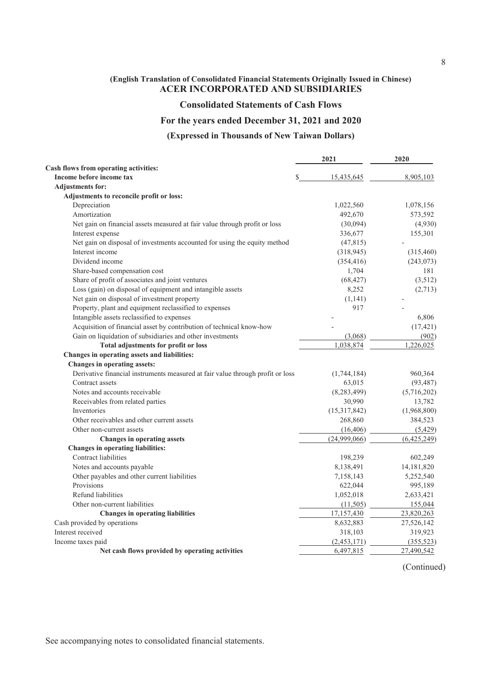#### **Consolidated Statements of Cash Flows**

#### **For the years ended December 31, 2021 and 2020**

#### **(Expressed in Thousands of New Taiwan Dollars)**

|                                                                                | 2021            | 2020        |
|--------------------------------------------------------------------------------|-----------------|-------------|
| Cash flows from operating activities:                                          |                 |             |
| Income before income tax                                                       | 15,435,645<br>S | 8,905,103   |
| <b>Adjustments for:</b>                                                        |                 |             |
| Adjustments to reconcile profit or loss:                                       |                 |             |
| Depreciation                                                                   | 1,022,560       | 1,078,156   |
| Amortization                                                                   | 492,670         | 573,592     |
| Net gain on financial assets measured at fair value through profit or loss     | (30,094)        | (4,930)     |
| Interest expense                                                               | 336,677         | 155,301     |
| Net gain on disposal of investments accounted for using the equity method      | (47, 815)       |             |
| Interest income                                                                | (318, 945)      | (315, 460)  |
| Dividend income                                                                | (354, 416)      | (243, 073)  |
| Share-based compensation cost                                                  | 1,704           | 181         |
| Share of profit of associates and joint ventures                               | (68, 427)       | (3,512)     |
| Loss (gain) on disposal of equipment and intangible assets                     | 8,252           | (2,713)     |
| Net gain on disposal of investment property                                    | (1,141)         |             |
| Property, plant and equipment reclassified to expenses                         | 917             |             |
| Intangible assets reclassified to expenses                                     |                 | 6,806       |
| Acquisition of financial asset by contribution of technical know-how           |                 | (17, 421)   |
| Gain on liquidation of subsidiaries and other investments                      | (3,068)         | (902)       |
| Total adjustments for profit or loss                                           | 1,038,874       | 1,226,025   |
| Changes in operating assets and liabilities:                                   |                 |             |
| Changes in operating assets:                                                   |                 |             |
| Derivative financial instruments measured at fair value through profit or loss | (1,744,184)     | 960,364     |
| Contract assets                                                                | 63,015          | (93, 487)   |
| Notes and accounts receivable                                                  | (8, 283, 499)   | (5,716,202) |
| Receivables from related parties                                               | 30,990          | 13,782      |
| Inventories                                                                    | (15,317,842)    | (1,968,800) |
| Other receivables and other current assets                                     | 268,860         | 384,523     |
| Other non-current assets                                                       | (16, 406)       | (5,429)     |
| Changes in operating assets                                                    | (24,999,066)    | (6,425,249) |
| <b>Changes in operating liabilities:</b>                                       |                 |             |
| Contract liabilities                                                           | 198,239         | 602,249     |
| Notes and accounts payable                                                     | 8,138,491       | 14,181,820  |
| Other payables and other current liabilities                                   | 7,158,143       | 5,252,540   |
| Provisions                                                                     | 622,044         | 995,189     |
| Refund liabilities                                                             | 1,052,018       | 2,633,421   |
| Other non-current liabilities                                                  | (11,505)        | 155,044     |
| <b>Changes in operating liabilities</b>                                        | 17,157,430      | 23,820,263  |
| Cash provided by operations                                                    | 8,632,883       | 27,526,142  |
| Interest received                                                              | 318,103         | 319,923     |
| Income taxes paid                                                              | (2,453,171)     | (355, 523)  |
| Net cash flows provided by operating activities                                | 6,497,815       | 27,490,542  |

(Continued)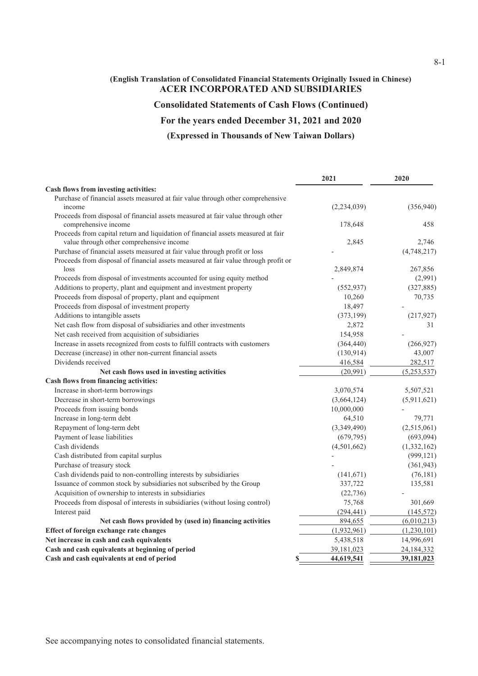### **Consolidated Statements of Cash Flows (Continued)**

### **For the years ended December 31, 2021 and 2020**

#### **(Expressed in Thousands of New Taiwan Dollars)**

|                                                                                     | 2021        | 2020          |
|-------------------------------------------------------------------------------------|-------------|---------------|
| Cash flows from investing activities:                                               |             |               |
| Purchase of financial assets measured at fair value through other comprehensive     |             |               |
| income                                                                              | (2,234,039) | (356,940)     |
| Proceeds from disposal of financial assets measured at fair value through other     |             |               |
| comprehensive income                                                                | 178,648     | 458           |
| Proceeds from capital return and liquidation of financial assets measured at fair   |             |               |
| value through other comprehensive income                                            | 2,845       | 2,746         |
| Purchase of financial assets measured at fair value through profit or loss          |             | (4,748,217)   |
| Proceeds from disposal of financial assets measured at fair value through profit or |             |               |
| loss                                                                                | 2,849,874   | 267,856       |
| Proceeds from disposal of investments accounted for using equity method             |             | (2,991)       |
| Additions to property, plant and equipment and investment property                  | (552, 937)  | (327, 885)    |
| Proceeds from disposal of property, plant and equipment                             | 10,260      | 70,735        |
| Proceeds from disposal of investment property                                       | 18,497      |               |
| Additions to intangible assets                                                      | (373, 199)  | (217, 927)    |
| Net cash flow from disposal of subsidiaries and other investments                   | 2,872       | 31            |
| Net cash received from acquisition of subsidiaries                                  | 154,958     |               |
| Increase in assets recognized from costs to fulfill contracts with customers        | (364, 440)  | (266, 927)    |
| Decrease (increase) in other non-current financial assets                           | (130, 914)  | 43,007        |
| Dividends received                                                                  | 416,584     | 282,517       |
| Net cash flows used in investing activities                                         | (20,991)    | (5,253,537)   |
| Cash flows from financing activities:                                               |             |               |
| Increase in short-term borrowings                                                   | 3,070,574   | 5,507,521     |
| Decrease in short-term borrowings                                                   | (3,664,124) | (5,911,621)   |
| Proceeds from issuing bonds                                                         | 10,000,000  |               |
| Increase in long-term debt                                                          | 64,510      | 79,771        |
| Repayment of long-term debt                                                         | (3,349,490) | (2,515,061)   |
| Payment of lease liabilities                                                        | (679, 795)  | (693,094)     |
| Cash dividends                                                                      | (4,501,662) | (1, 332, 162) |
| Cash distributed from capital surplus                                               |             | (999, 121)    |
| Purchase of treasury stock                                                          |             | (361, 943)    |
| Cash dividends paid to non-controlling interests by subsidiaries                    | (141,671)   | (76, 181)     |
| Issuance of common stock by subsidiaries not subscribed by the Group                | 337,722     | 135,581       |
| Acquisition of ownership to interests in subsidiaries                               | (22, 736)   |               |
| Proceeds from disposal of interests in subsidiaries (without losing control)        | 75,768      | 301,669       |
| Interest paid                                                                       | (294, 441)  | (145, 572)    |
| Net cash flows provided by (used in) financing activities                           | 894,655     | (6,010,213)   |
| Effect of foreign exchange rate changes                                             | (1,932,961) | (1,230,101)   |
| Net increase in cash and cash equivalents                                           | 5,438,518   | 14,996,691    |
| Cash and cash equivalents at beginning of period                                    | 39,181,023  | 24,184,332    |
| Cash and cash equivalents at end of period<br>S                                     | 44,619,541  | 39,181,023    |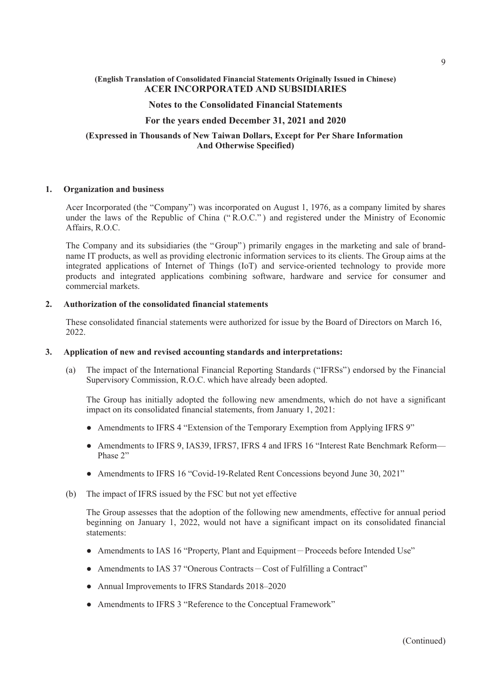#### **Notes to the Consolidated Financial Statements**

#### **For the years ended December 31, 2021 and 2020**

#### **(Expressed in Thousands of New Taiwan Dollars, Except for Per Share Information And Otherwise Specified)**

#### **1. Organization and business**

Acer Incorporated (the "Company") was incorporated on August 1, 1976, as a company limited by shares under the laws of the Republic of China (" R.O.C." ) and registered under the Ministry of Economic Affairs, R.O.C.

The Company and its subsidiaries (the "Group") primarily engages in the marketing and sale of brandname IT products, as well as providing electronic information services to its clients. The Group aims at the integrated applications of Internet of Things (IoT) and service-oriented technology to provide more products and integrated applications combining software, hardware and service for consumer and commercial markets.

#### **2. Authorization of the consolidated financial statements**

These consolidated financial statements were authorized for issue by the Board of Directors on March 16, 2022.

#### **3. Application of new and revised accounting standards and interpretations:**

(a) The impact of the International Financial Reporting Standards ("IFRSs") endorsed by the Financial Supervisory Commission, R.O.C. which have already been adopted.

The Group has initially adopted the following new amendments, which do not have a significant impact on its consolidated financial statements, from January 1, 2021:

- Amendments to IFRS 4 "Extension of the Temporary Exemption from Applying IFRS 9"
- Amendments to IFRS 9, IAS39, IFRS7, IFRS 4 and IFRS 16 "Interest Rate Benchmark Reform— Phase 2"
- Amendments to IFRS 16 "Covid-19-Related Rent Concessions beyond June 30, 2021"
- (b) The impact of IFRS issued by the FSC but not yet effective

The Group assesses that the adoption of the following new amendments, effective for annual period beginning on January 1, 2022, would not have a significant impact on its consolidated financial statements:

- Amendments to IAS 16 "Property, Plant and Equipment-Proceeds before Intended Use"
- Amendments to IAS 37 "Onerous Contracts Cost of Fulfilling a Contract"
- Annual Improvements to IFRS Standards 2018–2020
- Amendments to IFRS 3 "Reference to the Conceptual Framework"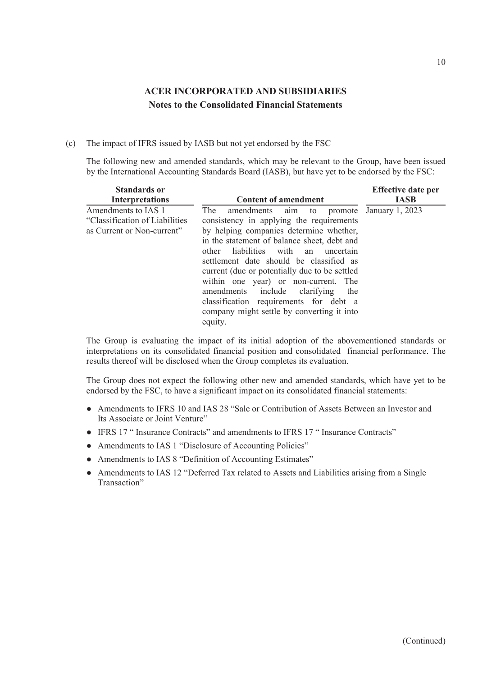#### (c) The impact of IFRS issued by IASB but not yet endorsed by the FSC

The following new and amended standards, which may be relevant to the Group, have been issued by the International Accounting Standards Board (IASB), but have yet to be endorsed by the FSC:

| <b>Standards or</b>                                                                  |                                                                                                                                                                                                                                                                                                                                                                                                                                                                                                                    | <b>Effective date per</b> |
|--------------------------------------------------------------------------------------|--------------------------------------------------------------------------------------------------------------------------------------------------------------------------------------------------------------------------------------------------------------------------------------------------------------------------------------------------------------------------------------------------------------------------------------------------------------------------------------------------------------------|---------------------------|
| <b>Interpretations</b>                                                               | <b>Content of amendment</b>                                                                                                                                                                                                                                                                                                                                                                                                                                                                                        | <b>IASB</b>               |
| Amendments to IAS 1<br>"Classification of Liabilities"<br>as Current or Non-current" | The<br>amendments aim to promote January 1, 2023<br>consistency in applying the requirements<br>by helping companies determine whether,<br>in the statement of balance sheet, debt and<br>liabilities with an<br>other<br>uncertain<br>settlement date should be classified as<br>current (due or potentially due to be settled<br>within one year) or non-current. The<br>amendments include clarifying<br>the<br>classification requirements for debt a<br>company might settle by converting it into<br>equity. |                           |

The Group is evaluating the impact of its initial adoption of the abovementioned standards or interpretations on its consolidated financial position and consolidated financial performance. The results thereof will be disclosed when the Group completes its evaluation.

The Group does not expect the following other new and amended standards, which have yet to be endorsed by the FSC, to have a significant impact on its consolidated financial statements:

- Amendments to IFRS 10 and IAS 28 "Sale or Contribution of Assets Between an Investor and Its Associate or Joint Venture"
- IFRS 17 " Insurance Contracts" and amendments to IFRS 17 " Insurance Contracts"
- Amendments to IAS 1 "Disclosure of Accounting Policies"
- Amendments to IAS 8 "Definition of Accounting Estimates"
- Amendments to IAS 12 "Deferred Tax related to Assets and Liabilities arising from a Single Transaction"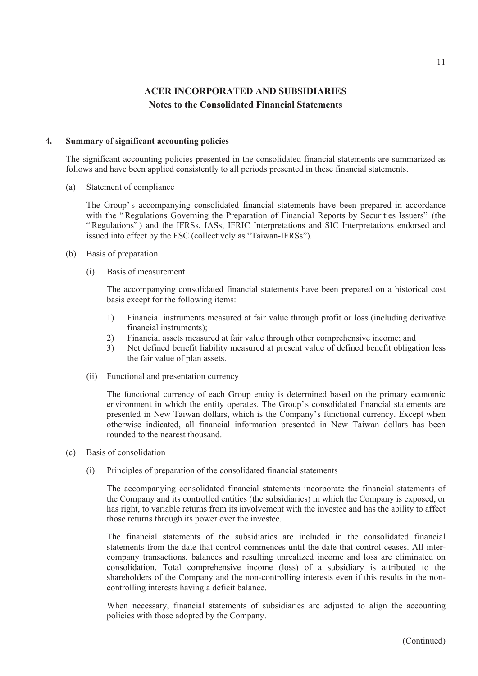#### **4. Summary of significant accounting policies**

The significant accounting policies presented in the consolidated financial statements are summarized as follows and have been applied consistently to all periods presented in these financial statements.

(a) Statement of compliance

The Group' s accompanying consolidated financial statements have been prepared in accordance with the "Regulations Governing the Preparation of Financial Reports by Securities Issuers" (the "Regulations") and the IFRSs, IASs, IFRIC Interpretations and SIC Interpretations endorsed and issued into effect by the FSC (collectively as "Taiwan-IFRSs").

- (b) Basis of preparation
	- (i) Basis of measurement

The accompanying consolidated financial statements have been prepared on a historical cost basis except for the following items:

- 1) Financial instruments measured at fair value through profit or loss (including derivative financial instruments);
- 2) Financial assets measured at fair value through other comprehensive income; and
- 3) Net defined benefit liability measured at present value of defined benefit obligation less the fair value of plan assets.
- (ii) Functional and presentation currency

The functional currency of each Group entity is determined based on the primary economic environment in which the entity operates. The Group's consolidated financial statements are presented in New Taiwan dollars, which is the Company's functional currency. Except when otherwise indicated, all financial information presented in New Taiwan dollars has been rounded to the nearest thousand.

- (c) Basis of consolidation
	- (i) Principles of preparation of the consolidated financial statements

The accompanying consolidated financial statements incorporate the financial statements of the Company and its controlled entities (the subsidiaries) in which the Company is exposed, or has right, to variable returns from its involvement with the investee and has the ability to affect those returns through its power over the investee.

The financial statements of the subsidiaries are included in the consolidated financial statements from the date that control commences until the date that control ceases. All intercompany transactions, balances and resulting unrealized income and loss are eliminated on consolidation. Total comprehensive income (loss) of a subsidiary is attributed to the shareholders of the Company and the non-controlling interests even if this results in the noncontrolling interests having a deficit balance.

When necessary, financial statements of subsidiaries are adjusted to align the accounting policies with those adopted by the Company.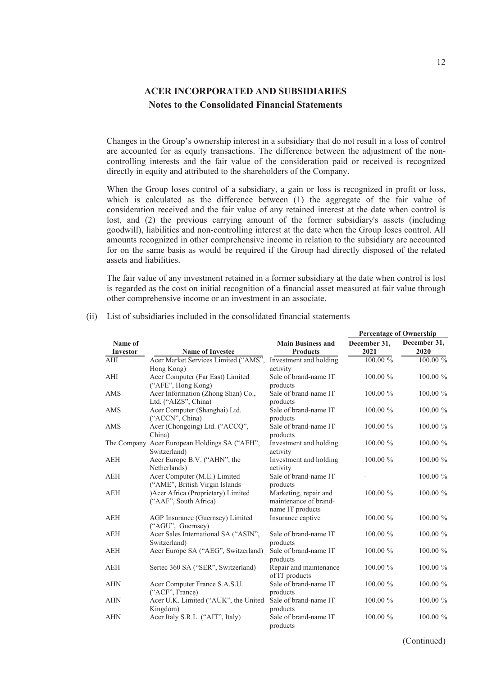Changes in the Group's ownership interest in a subsidiary that do not result in a loss of control are accounted for as equity transactions. The difference between the adjustment of the noncontrolling interests and the fair value of the consideration paid or received is recognized directly in equity and attributed to the shareholders of the Company.

When the Group loses control of a subsidiary, a gain or loss is recognized in profit or loss, which is calculated as the difference between (1) the aggregate of the fair value of consideration received and the fair value of any retained interest at the date when control is lost, and (2) the previous carrying amount of the former subsidiary's assets (including goodwill), liabilities and non-controlling interest at the date when the Group loses control. All amounts recognized in other comprehensive income in relation to the subsidiary are accounted for on the same basis as would be required if the Group had directly disposed of the related assets and liabilities.

The fair value of any investment retained in a former subsidiary at the date when control is lost is regarded as the cost on initial recognition of a financial asset measured at fair value through other comprehensive income or an investment in an associate.

|                            |                                                           |                                             |                      |                      |  | <b>Percentage of Ownership</b> |
|----------------------------|-----------------------------------------------------------|---------------------------------------------|----------------------|----------------------|--|--------------------------------|
| Name of<br><b>Investor</b> | <b>Name of Investee</b>                                   | <b>Main Business and</b><br><b>Products</b> | December 31,<br>2021 | December 31,<br>2020 |  |                                |
| AHI                        | Acer Market Services Limited ("AMS",                      | Investment and holding                      | 100.00 %             | 100.00 %             |  |                                |
|                            | Hong Kong)                                                | activity                                    |                      |                      |  |                                |
| AHI                        | Acer Computer (Far East) Limited                          | Sale of brand-name IT                       | 100.00 %             | 100.00 %             |  |                                |
|                            | ("AFE", Hong Kong)                                        | products                                    |                      |                      |  |                                |
| AMS                        | Acer Information (Zhong Shan) Co.,                        | Sale of brand-name IT                       | $100.00 \%$          | 100.00 %             |  |                                |
|                            | Ltd. ("AIZS", China)                                      | products                                    |                      |                      |  |                                |
| AMS                        | Acer Computer (Shanghai) Ltd.                             | Sale of brand-name IT                       | $100.00 \%$          | 100.00 %             |  |                                |
|                            | ("ACCN", China)                                           | products                                    |                      |                      |  |                                |
| AMS                        | Acer (Chongqing) Ltd. ("ACCQ",                            | Sale of brand-name IT                       | 100.00 %             | 100.00 %             |  |                                |
|                            | China)                                                    | products                                    |                      |                      |  |                                |
|                            | The Company Acer European Holdings SA ("AEH",             | Investment and holding                      | $100.00 \%$          | 100.00 %             |  |                                |
|                            | Switzerland)                                              | activity                                    |                      |                      |  |                                |
| <b>AEH</b>                 | Acer Europe B.V. ("AHN", the                              | Investment and holding                      | $100.00\%$           | 100.00 %             |  |                                |
|                            | Netherlands)                                              | activity                                    |                      |                      |  |                                |
| <b>AEH</b>                 | Acer Computer (M.E.) Limited                              | Sale of brand-name IT                       |                      | 100.00 %             |  |                                |
|                            | ("AME", British Virgin Islands                            | products                                    |                      |                      |  |                                |
| <b>AEH</b>                 | )Acer Africa (Proprietary) Limited                        | Marketing, repair and                       | $100.00 \%$          | 100.00 %             |  |                                |
|                            | ("AAF", South Africa)                                     | maintenance of brand-                       |                      |                      |  |                                |
| <b>AEH</b>                 |                                                           | name IT products                            |                      |                      |  |                                |
|                            | AGP Insurance (Guernsey) Limited                          | Insurance captive                           | $100.00 \%$          | 100.00 %             |  |                                |
| <b>AEH</b>                 | ("AGU", Guernsey)<br>Acer Sales International SA ("ASIN", | Sale of brand-name IT                       | $100.00 \%$          | 100.00 %             |  |                                |
|                            | Switzerland)                                              | products                                    |                      |                      |  |                                |
| <b>AEH</b>                 | Acer Europe SA ("AEG", Switzerland)                       | Sale of brand-name IT                       | $100.00 \%$          | 100.00 %             |  |                                |
|                            |                                                           | products                                    |                      |                      |  |                                |
| <b>AEH</b>                 | Sertec 360 SA ("SER", Switzerland)                        | Repair and maintenance                      | 100.00 %             | 100.00 %             |  |                                |
|                            |                                                           | of IT products                              |                      |                      |  |                                |
| <b>AHN</b>                 | Acer Computer France S.A.S.U.                             | Sale of brand-name IT                       | $100.00 \%$          | 100.00 %             |  |                                |
|                            | ("ACF", France)                                           | products                                    |                      |                      |  |                                |
| <b>AHN</b>                 | Acer U.K. Limited ("AUK", the United                      | Sale of brand-name IT                       | $100.00 \%$          | 100.00 %             |  |                                |
|                            | Kingdom)                                                  | products                                    |                      |                      |  |                                |
| <b>AHN</b>                 | Acer Italy S.R.L. ("AIT", Italy)                          | Sale of brand-name IT                       | $100.00 \%$          | 100.00 %             |  |                                |
|                            |                                                           | products                                    |                      |                      |  |                                |

#### (ii) List of subsidiaries included in the consolidated financial statements

(Continued)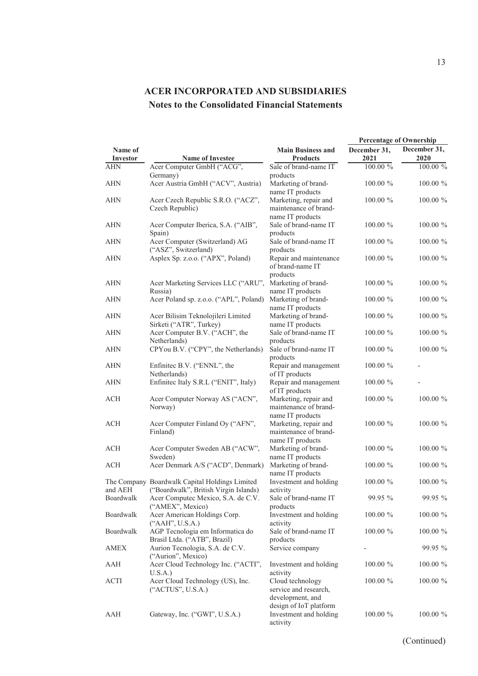|                     |                                                                                         |                                                                                         | <b>Percentage of Ownership</b> |                      |  |  |
|---------------------|-----------------------------------------------------------------------------------------|-----------------------------------------------------------------------------------------|--------------------------------|----------------------|--|--|
| Name of<br>Investor | <b>Name of Investee</b>                                                                 | <b>Main Business and</b><br><b>Products</b>                                             | December 31,<br>2021           | December 31,<br>2020 |  |  |
| <b>AHN</b>          | Acer Computer GmbH ("ACG",                                                              | Sale of brand-name IT                                                                   | 100.00 %                       | 100.00 %             |  |  |
|                     | Germany)                                                                                | products                                                                                |                                |                      |  |  |
| ${\rm AHN}$         | Acer Austria GmbH ("ACV", Austria)                                                      | Marketing of brand-<br>name IT products                                                 | 100.00 %                       | 100.00 %             |  |  |
| <b>AHN</b>          | Acer Czech Republic S.R.O. ("ACZ",<br>Czech Republic)                                   | Marketing, repair and<br>maintenance of brand-<br>name IT products                      | $100.00 \%$                    | 100.00 %             |  |  |
| <b>AHN</b>          | Acer Computer Iberica, S.A. ("AIB",<br>Spain)                                           | Sale of brand-name IT<br>products                                                       | 100.00 %                       | 100.00 %             |  |  |
| <b>AHN</b>          | Acer Computer (Switzerland) AG<br>("ASZ", Switzerland)                                  | Sale of brand-name IT<br>products                                                       | $100.00 \%$                    | 100.00 %             |  |  |
| <b>AHN</b>          | Asplex Sp. z.o.o. ("APX", Poland)                                                       | Repair and maintenance<br>of brand-name IT<br>products                                  | $100.00 \%$                    | 100.00 %             |  |  |
| <b>AHN</b>          | Acer Marketing Services LLC ("ARU",<br>Russia)                                          | Marketing of brand-<br>name IT products                                                 | 100.00 %                       | 100.00 %             |  |  |
| <b>AHN</b>          | Acer Poland sp. z.o.o. ("APL", Poland)                                                  | Marketing of brand-<br>name IT products                                                 | $100.00 \%$                    | 100.00 %             |  |  |
| <b>AHN</b>          | Acer Bilisim Teknolojileri Limited<br>Sirketi ("ATR", Turkey)                           | Marketing of brand-<br>name IT products                                                 | 100.00 %                       | 100.00 %             |  |  |
| <b>AHN</b>          | Acer Computer B.V. ("ACH", the<br>Netherlands)                                          | Sale of brand-name IT<br>products                                                       | 100.00 %                       | $100.00~\%$          |  |  |
| <b>AHN</b>          | CPYou B.V. ("CPY", the Netherlands)                                                     | Sale of brand-name IT<br>products                                                       | 100.00 %                       | 100.00 %             |  |  |
| <b>AHN</b>          | Enfinited B.V. ("ENNL", the<br>Netherlands)                                             | Repair and management<br>of IT products                                                 | 100.00 %                       |                      |  |  |
| <b>AHN</b>          | Enfinitec Italy S.R.L ("ENIT", Italy)                                                   | Repair and management<br>of IT products                                                 | $100.00 \%$                    |                      |  |  |
| <b>ACH</b>          | Acer Computer Norway AS ("ACN",<br>Norway)                                              | Marketing, repair and<br>maintenance of brand-<br>name IT products                      | 100.00 %                       | 100.00 %             |  |  |
| ACH                 | Acer Computer Finland Oy ("AFN",<br>Finland)                                            | Marketing, repair and<br>maintenance of brand-<br>name IT products                      | 100.00 %                       | 100.00 %             |  |  |
| ACH                 | Acer Computer Sweden AB ("ACW",<br>Sweden)                                              | Marketing of brand-<br>name IT products                                                 | 100.00 %                       | 100.00 %             |  |  |
| ACH                 | Acer Denmark A/S ("ACD", Denmark)                                                       | Marketing of brand-<br>name IT products                                                 | 100.00 %                       | 100.00 %             |  |  |
| and AEH             | The Company Boardwalk Capital Holdings Limited<br>("Boardwalk", British Virgin Islands) | Investment and holding<br>activity                                                      | $100.00 \%$                    | 100.00 %             |  |  |
| Boardwalk           | Acer Computec Mexico, S.A. de C.V.<br>("AMEX", Mexico)                                  | Sale of brand-name IT<br>products                                                       | 99.95 %                        | 99.95 %              |  |  |
| Boardwalk           | Acer American Holdings Corp.<br>("AAH", U.S.A.)                                         | Investment and holding<br>activity                                                      | 100.00 %                       | 100.00 %             |  |  |
| Boardwalk           | AGP Tecnologia em Informatica do<br>Brasil Ltda. ("ATB", Brazil)                        | Sale of brand-name IT<br>products                                                       | 100.00 %                       | 100.00 %             |  |  |
| <b>AMEX</b>         | Aurion Tecnologia, S.A. de C.V.<br>("Aurion", Mexico)                                   | Service company                                                                         |                                | 99.95 %              |  |  |
| ${\rm AAH}$         | Acer Cloud Technology Inc. ("ACTI",<br>U.S.A.                                           | Investment and holding<br>activity                                                      | 100.00 %                       | $100.00 \%$          |  |  |
| <b>ACTI</b>         | Acer Cloud Technology (US), Inc.<br>("ACTUS", U.S.A.)                                   | Cloud technology<br>service and research,<br>development, and<br>design of IoT platform | $100.00 \%$                    | $100.00 \%$          |  |  |
| AAH                 | Gateway, Inc. ("GWI", U.S.A.)                                                           | Investment and holding<br>activity                                                      | 100.00 %                       | 100.00 %             |  |  |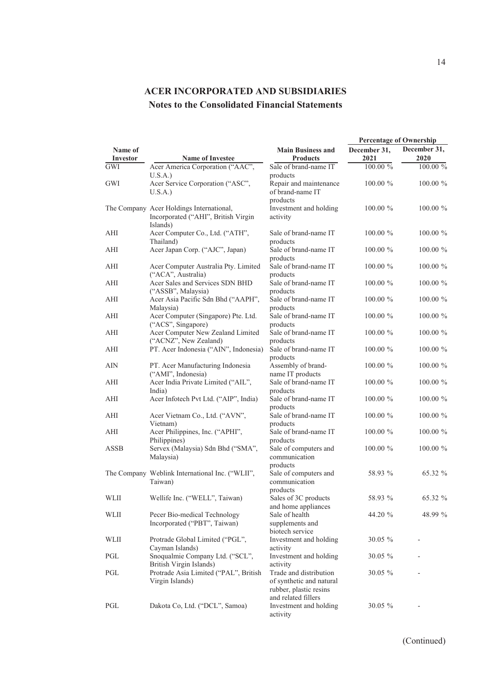|                                  |                                                                                             |                                                                              | <b>Percentage of Ownership</b> |                      |  |  |
|----------------------------------|---------------------------------------------------------------------------------------------|------------------------------------------------------------------------------|--------------------------------|----------------------|--|--|
| Name of<br>Investor              | <b>Name of Investee</b>                                                                     | <b>Main Business and</b><br><b>Products</b>                                  | December 31,<br>2021           | December 31,<br>2020 |  |  |
| GWI                              | Acer America Corporation ("AAC",                                                            | Sale of brand-name IT                                                        | $100.00~\%$                    | 100.00 %             |  |  |
| GWI                              | U.S.A.<br>Acer Service Corporation ("ASC",<br>U.S.A.)                                       | products<br>Repair and maintenance<br>of brand-name IT                       | 100.00 %                       | 100.00 %             |  |  |
|                                  | The Company Acer Holdings International,<br>Incorporated ("AHI", British Virgin<br>Islands) | products<br>Investment and holding<br>activity                               | $100.00 \%$                    | 100.00 %             |  |  |
| AHI                              | Acer Computer Co., Ltd. ("ATH",<br>Thailand)                                                | Sale of brand-name IT<br>products                                            | $100.00 \%$                    | 100.00 %             |  |  |
| AHI                              | Acer Japan Corp. ("AJC", Japan)                                                             | Sale of brand-name IT<br>products                                            | $100.00 \%$                    | 100.00 %             |  |  |
| AHI                              | Acer Computer Australia Pty. Limited<br>("ACA", Australia)                                  | Sale of brand-name IT<br>products                                            | $100.00 \%$                    | 100.00 %             |  |  |
| AHI                              | Acer Sales and Services SDN BHD<br>("ASSB", Malaysia)                                       | Sale of brand-name IT<br>products                                            | $100.00\%$                     | 100.00 %             |  |  |
| AHI                              | Acer Asia Pacific Sdn Bhd ("AAPH",<br>Malaysia)                                             | Sale of brand-name IT<br>products                                            | $100.00 \%$                    | 100.00 %             |  |  |
| AHI                              | Acer Computer (Singapore) Pte. Ltd.<br>("ACS", Singapore)                                   | Sale of brand-name IT<br>products                                            | $100.00 \%$                    | 100.00 %             |  |  |
| AHI                              | Acer Computer New Zealand Limited<br>("ACNZ", New Zealand)                                  | Sale of brand-name IT<br>products                                            | 100.00 %                       | 100.00 %             |  |  |
| AHI                              | PT. Acer Indonesia ("AIN", Indonesia)                                                       | Sale of brand-name IT<br>products                                            | $100.00 \%$                    | 100.00 %             |  |  |
| $\mathbf{A}\mathbf{I}\mathbf{N}$ | PT. Acer Manufacturing Indonesia<br>("AMI", Indonesia)                                      | Assembly of brand-<br>name IT products                                       | $100.00 \%$                    | 100.00 %             |  |  |
| AHI                              | Acer India Private Limited ("AIL",<br>India)                                                | Sale of brand-name IT<br>products                                            | $100.00 \%$                    | 100.00 %             |  |  |
| AHI                              | Acer Infotech Pvt Ltd. ("AIP", India)                                                       | Sale of brand-name IT<br>products                                            | 100.00 %                       | 100.00 %             |  |  |
| AHI                              | Acer Vietnam Co., Ltd. ("AVN",<br>Vietnam)                                                  | Sale of brand-name IT<br>products                                            | $100.00\%$                     | 100.00 %             |  |  |
| AHI                              | Acer Philippines, Inc. ("APHI",<br>Philippines)                                             | Sale of brand-name IT<br>products                                            | 100.00 %                       | 100.00 %             |  |  |
| <b>ASSB</b>                      | Servex (Malaysia) Sdn Bhd ("SMA",<br>Malaysia)                                              | Sale of computers and<br>communication<br>products                           | $100.00 \%$                    | 100.00 %             |  |  |
|                                  | The Company Weblink International Inc. ("WLII",<br>Taiwan)                                  | Sale of computers and<br>communication<br>products                           | 58.93 %                        | 65.32 %              |  |  |
| WLII                             | Wellife Inc. ("WELL", Taiwan)                                                               | Sales of 3C products<br>and home appliances                                  | 58.93 %                        | 65.32 %              |  |  |
| WLII                             | Pecer Bio-medical Technology<br>Incorporated ("PBT", Taiwan)                                | Sale of health<br>supplements and<br>biotech service                         | 44.20 %                        | 48.99 %              |  |  |
| WLII                             | Protrade Global Limited ("PGL",<br>Cayman Islands)                                          | Investment and holding<br>activity                                           | 30.05 %                        |                      |  |  |
| PGL                              | Snoqualmie Company Ltd. ("SCL",<br>British Virgin Islands)                                  | Investment and holding<br>activity                                           | 30.05 %                        |                      |  |  |
| PGL                              | Protrade Asia Limited ("PAL", British<br>Virgin Islands)                                    | Trade and distribution<br>of synthetic and natural<br>rubber, plastic resins | $30.05 \%$                     |                      |  |  |
| PGL                              | Dakota Co, Ltd. ("DCL", Samoa)                                                              | and related fillers<br>Investment and holding<br>activity                    | 30.05 %                        |                      |  |  |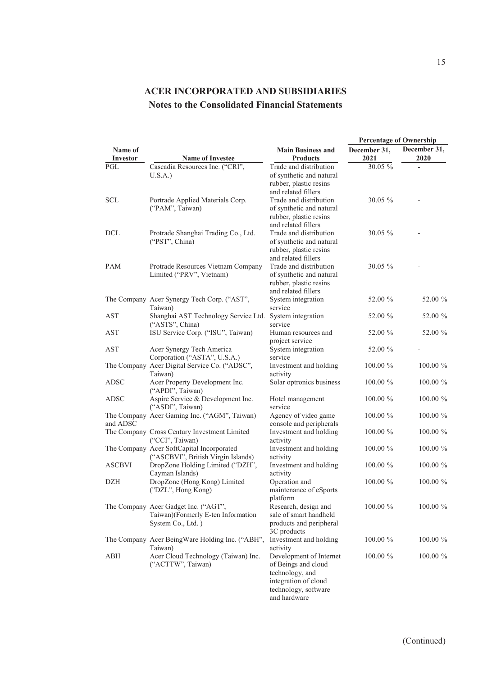|                     |                                                                    |                                                    | <b>Percentage of Ownership</b> |                      |
|---------------------|--------------------------------------------------------------------|----------------------------------------------------|--------------------------------|----------------------|
| Name of<br>Investor | <b>Name of Investee</b>                                            | <b>Main Business and</b><br><b>Products</b>        | December 31.<br>2021           | December 31,<br>2020 |
| PGL                 | Cascadia Resources Inc. ("CRI",                                    | Trade and distribution                             | 30.05 %                        |                      |
|                     | U.S.A.                                                             | of synthetic and natural                           |                                |                      |
|                     |                                                                    | rubber, plastic resins<br>and related fillers      |                                |                      |
| SCL                 | Portrade Applied Materials Corp.                                   | Trade and distribution                             | 30.05 %                        |                      |
|                     | ("PAM", Taiwan)                                                    | of synthetic and natural                           |                                |                      |
|                     |                                                                    | rubber, plastic resins                             |                                |                      |
|                     |                                                                    | and related fillers                                |                                |                      |
| <b>DCL</b>          | Protrade Shanghai Trading Co., Ltd.                                | Trade and distribution                             | 30.05 %                        |                      |
|                     | ("PST", China)                                                     | of synthetic and natural<br>rubber, plastic resins |                                |                      |
|                     |                                                                    | and related fillers                                |                                |                      |
| PAM                 | Protrade Resources Vietnam Company                                 | Trade and distribution                             | $30.05 \%$                     |                      |
|                     | Limited ("PRV", Vietnam)                                           | of synthetic and natural                           |                                |                      |
|                     |                                                                    | rubber, plastic resins                             |                                |                      |
|                     |                                                                    | and related fillers                                |                                |                      |
|                     | The Company Acer Synergy Tech Corp. ("AST",                        | System integration<br>service                      | 52.00 %                        | 52.00 %              |
| <b>AST</b>          | Taiwan)<br>Shanghai AST Technology Service Ltd. System integration |                                                    | 52.00 %                        | 52.00 %              |
|                     | ("ASTS", China)                                                    | service                                            |                                |                      |
| <b>AST</b>          | ISU Service Corp. ("ISU", Taiwan)                                  | Human resources and                                | 52.00 %                        | 52.00 %              |
|                     |                                                                    | project service                                    |                                |                      |
| AST                 | Acer Synergy Tech America                                          | System integration                                 | 52.00 %                        |                      |
|                     | Corporation ("ASTA", U.S.A.)                                       | service                                            |                                |                      |
|                     | The Company Acer Digital Service Co. ("ADSC",<br>Taiwan)           | Investment and holding<br>activity                 | $100.00 \%$                    | 100.00 %             |
| ADSC                | Acer Property Development Inc.                                     | Solar optronics business                           | $100.00 \%$                    | 100.00 %             |
|                     | ("APDI", Taiwan)                                                   |                                                    |                                |                      |
| <b>ADSC</b>         | Aspire Service & Development Inc.                                  | Hotel management                                   | 100.00 %                       | 100.00 %             |
|                     | ("ASDI", Taiwan)                                                   | service                                            |                                |                      |
|                     | The Company Acer Gaming Inc. ("AGM", Taiwan)                       | Agency of video game                               | $100.00 \%$                    | 100.00 %             |
| and ADSC            | The Company Cross Century Investment Limited                       | console and peripherals<br>Investment and holding  | $100.00 \%$                    | 100.00 %             |
|                     | ("CCI", Taiwan)                                                    | activity                                           |                                |                      |
|                     | The Company Acer SoftCapital Incorporated                          | Investment and holding                             | $100.00 \%$                    | 100.00 %             |
|                     | ("ASCBVI", British Virgin Islands)                                 | activity                                           |                                |                      |
| <b>ASCBVI</b>       | DropZone Holding Limited ("DZH",                                   | Investment and holding                             | $100.00 \%$                    | 100.00 %             |
|                     | Cayman Islands)                                                    | activity                                           |                                |                      |
| DZH                 | DropZone (Hong Kong) Limited                                       | Operation and                                      | $100.00 \%$                    | 100.00 %             |
|                     | ("DZL", Hong Kong)                                                 | maintenance of eSports<br>platform                 |                                |                      |
|                     | The Company Acer Gadget Inc. ("AGT",                               | Research, design and                               | 100.00 %                       | 100.00 %             |
|                     | Taiwan)(Formerly E-ten Information                                 | sale of smart handheld                             |                                |                      |
|                     | System Co., Ltd.)                                                  | products and peripheral                            |                                |                      |
|                     |                                                                    | 3C products                                        |                                |                      |
|                     | The Company Acer BeingWare Holding Inc. ("ABH",                    | Investment and holding                             | 100.00 %                       | 100.00 %             |
| ABH                 | Taiwan)<br>Acer Cloud Technology (Taiwan) Inc.                     | activity<br>Development of Internet                | $100.00 \%$                    | $100.00 \%$          |
|                     | ("ACTTW", Taiwan)                                                  | of Beings and cloud                                |                                |                      |
|                     |                                                                    | technology, and                                    |                                |                      |
|                     |                                                                    | integration of cloud                               |                                |                      |
|                     |                                                                    | technology, software                               |                                |                      |
|                     |                                                                    | and hardware                                       |                                |                      |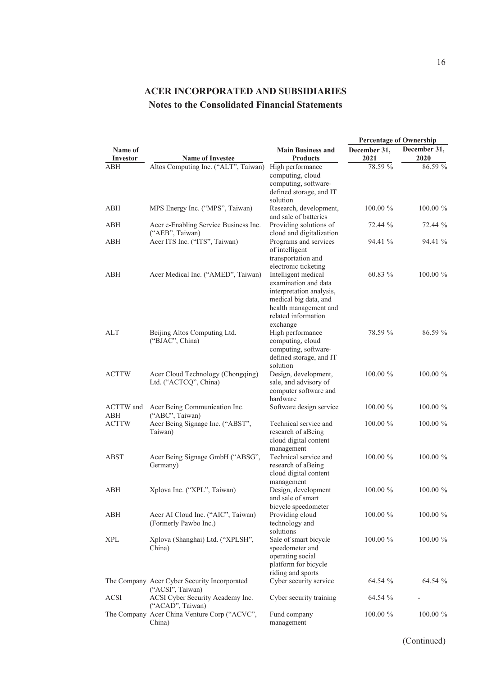|                         |                                                                  |                                                                                                                                                  | <b>Percentage of Ownership</b> |                      |
|-------------------------|------------------------------------------------------------------|--------------------------------------------------------------------------------------------------------------------------------------------------|--------------------------------|----------------------|
| Name of<br>Investor     | <b>Name of Investee</b>                                          | <b>Main Business and</b><br><b>Products</b>                                                                                                      | December 31,<br>2021           | December 31,<br>2020 |
| ABH                     | Altos Computing Inc. ("ALT", Taiwan)                             | High performance                                                                                                                                 | 78.59 %                        | 86.59 %              |
|                         |                                                                  | computing, cloud<br>computing, software-<br>defined storage, and IT                                                                              |                                |                      |
| ABH                     | MPS Energy Inc. ("MPS", Taiwan)                                  | solution<br>Research, development,<br>and sale of batteries                                                                                      | 100.00 %                       | 100.00 %             |
| ABH                     | Acer e-Enabling Service Business Inc.<br>("AEB", Taiwan)         | Providing solutions of<br>cloud and digitalization                                                                                               | 72.44 %                        | 72.44 %              |
| ABH                     | Acer ITS Inc. ("ITS", Taiwan)                                    | Programs and services<br>of intelligent<br>transportation and<br>electronic ticketing                                                            | 94.41 %                        | 94.41 %              |
| ABH                     | Acer Medical Inc. ("AMED", Taiwan)                               | Intelligent medical<br>examination and data<br>interpretation analysis,<br>medical big data, and<br>health management and<br>related information | 60.83 %                        | 100.00 %             |
| ALT                     | Beijing Altos Computing Ltd.<br>("BJAC", China)                  | exchange<br>High performance<br>computing, cloud<br>computing, software-<br>defined storage, and IT<br>solution                                  | 78.59 %                        | 86.59 %              |
| <b>ACTTW</b>            | Acer Cloud Technology (Chongqing)<br>Ltd. ("ACTCQ", China)       | Design, development,<br>sale, and advisory of<br>computer software and<br>hardware                                                               | $100.00~\%$                    | 100.00 %             |
| <b>ACTTW</b> and<br>ABH | Acer Being Communication Inc.<br>("ABC", Taiwan)                 | Software design service                                                                                                                          | 100.00 %                       | 100.00 %             |
| <b>ACTTW</b>            | Acer Being Signage Inc. ("ABST",<br>Taiwan)                      | Technical service and<br>research of aBeing<br>cloud digital content<br>management                                                               | 100.00 %                       | 100.00 %             |
| <b>ABST</b>             | Acer Being Signage GmbH ("ABSG",<br>Germany)                     | Technical service and<br>research of aBeing<br>cloud digital content<br>management                                                               | 100.00 %                       | 100.00 %             |
| ABH                     | Xplova Inc. ("XPL", Taiwan)                                      | Design, development<br>and sale of smart<br>bicycle speedometer                                                                                  | $100.00 \%$                    | 100.00 %             |
| ABH                     | Acer AI Cloud Inc. ("AIC", Taiwan)<br>(Formerly Pawbo Inc.)      | Providing cloud<br>technology and<br>solutions                                                                                                   | 100.00 %                       | 100.00 %             |
| <b>XPL</b>              | Xplova (Shanghai) Ltd. ("XPLSH",<br>China)                       | Sale of smart bicycle<br>speedometer and<br>operating social<br>platform for bicycle<br>riding and sports                                        | 100.00 %                       | 100.00 %             |
|                         | The Company Acer Cyber Security Incorporated<br>("ACSI", Taiwan) | Cyber security service                                                                                                                           | 64.54 %                        | 64.54 %              |
| <b>ACSI</b>             | ACSI Cyber Security Academy Inc.<br>("ACAD", Taiwan)             | Cyber security training                                                                                                                          | 64.54 %                        |                      |
|                         | The Company Acer China Venture Corp ("ACVC",<br>China)           | Fund company<br>management                                                                                                                       | 100.00 %                       | 100.00 %             |

(Continued)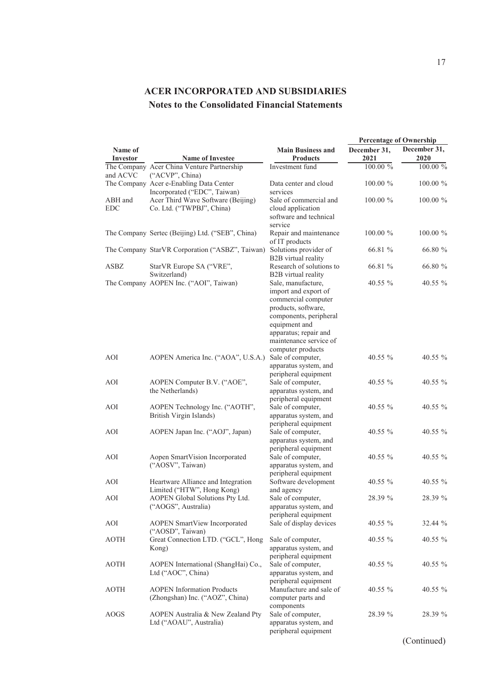|                       |                                                                                            |                                                                                                                                                                                                             | <b>Percentage of Ownership</b> |                      |
|-----------------------|--------------------------------------------------------------------------------------------|-------------------------------------------------------------------------------------------------------------------------------------------------------------------------------------------------------------|--------------------------------|----------------------|
| Name of<br>Investor   | <b>Name of Investee</b>                                                                    | <b>Main Business and</b><br><b>Products</b>                                                                                                                                                                 | December 31,<br>2021           | December 31,<br>2020 |
|                       | The Company Acer China Venture Partnership                                                 | Investment fund                                                                                                                                                                                             | 100.00 %                       | 100.00 %             |
| and ACVC              | ("ACVP", China)<br>The Company Acer e-Enabling Data Center<br>Incorporated ("EDC", Taiwan) | Data center and cloud<br>services                                                                                                                                                                           | 100.00 %                       | 100.00 %             |
| ABH and<br><b>EDC</b> | Acer Third Wave Software (Beijing)<br>Co. Ltd. ("TWPBJ", China)                            | Sale of commercial and<br>cloud application<br>software and technical                                                                                                                                       | $100.00 \%$                    | 100.00 %             |
|                       | The Company Sertec (Beijing) Ltd. ("SEB", China)                                           | service<br>Repair and maintenance<br>of IT products                                                                                                                                                         | $100.00 \%$                    | 100.00 %             |
|                       | The Company StarVR Corporation ("ASBZ", Taiwan)                                            | Solutions provider of<br>B2B virtual reality                                                                                                                                                                | 66.81 %                        | 66.80 %              |
| ASBZ                  | StarVR Europe SA ("VRE",<br>Switzerland)                                                   | Research of solutions to<br>B2B virtual reality                                                                                                                                                             | 66.81 %                        | 66.80 %              |
|                       | The Company AOPEN Inc. ("AOI", Taiwan)                                                     | Sale, manufacture,<br>import and export of<br>commercial computer<br>products, software,<br>components, peripheral<br>equipment and<br>apparatus; repair and<br>maintenance service of<br>computer products | 40.55 %                        | 40.55 %              |
| AOI                   | AOPEN America Inc. ("AOA", U.S.A.)                                                         | Sale of computer,<br>apparatus system, and<br>peripheral equipment                                                                                                                                          | $40.55\%$                      | 40.55 %              |
| AOI                   | AOPEN Computer B.V. ("AOE",<br>the Netherlands)                                            | Sale of computer,<br>apparatus system, and<br>peripheral equipment                                                                                                                                          | 40.55 %                        | 40.55 %              |
| AOI                   | AOPEN Technology Inc. ("AOTH",<br>British Virgin Islands)                                  | Sale of computer,<br>apparatus system, and<br>peripheral equipment                                                                                                                                          | 40.55 %                        | 40.55 %              |
| AOI                   | AOPEN Japan Inc. ("AOJ", Japan)                                                            | Sale of computer,<br>apparatus system, and<br>peripheral equipment                                                                                                                                          | 40.55 %                        | 40.55 %              |
| <b>AOI</b>            | Aopen SmartVision Incorporated<br>("AOSV", Taiwan)                                         | Sale of computer,<br>apparatus system, and<br>peripheral equipment                                                                                                                                          | 40.55 %                        | 40.55 %              |
| AOI                   | Heartware Alliance and Integration<br>Limited ("HTW", Hong Kong)                           | Software development<br>and agency                                                                                                                                                                          | 40.55 $%$                      | 40.55 %              |
| AOI                   | AOPEN Global Solutions Pty Ltd.<br>("AOGS", Australia)                                     | Sale of computer,<br>apparatus system, and<br>peripheral equipment                                                                                                                                          | 28.39 %                        | 28.39 %              |
| AOI                   | AOPEN SmartView Incorporated<br>("AOSD", Taiwan)                                           | Sale of display devices                                                                                                                                                                                     | 40.55 %                        | 32.44 %              |
| <b>AOTH</b>           | Great Connection LTD. ("GCL", Hong<br>Kong)                                                | Sale of computer,<br>apparatus system, and<br>peripheral equipment                                                                                                                                          | 40.55 %                        | 40.55 %              |
| <b>AOTH</b>           | AOPEN International (ShangHai) Co.,<br>Ltd ("AOC", China)                                  | Sale of computer,<br>apparatus system, and<br>peripheral equipment                                                                                                                                          | 40.55 %                        | 40.55 %              |
| <b>AOTH</b>           | <b>AOPEN</b> Information Products<br>(Zhongshan) Inc. ("AOZ", China)                       | Manufacture and sale of<br>computer parts and<br>components                                                                                                                                                 | 40.55 %                        | 40.55 %              |
| AOGS                  | AOPEN Australia & New Zealand Pty<br>Ltd ("AOAU", Australia)                               | Sale of computer,<br>apparatus system, and<br>peripheral equipment                                                                                                                                          | 28.39 %                        | 28.39 %              |

(Continued)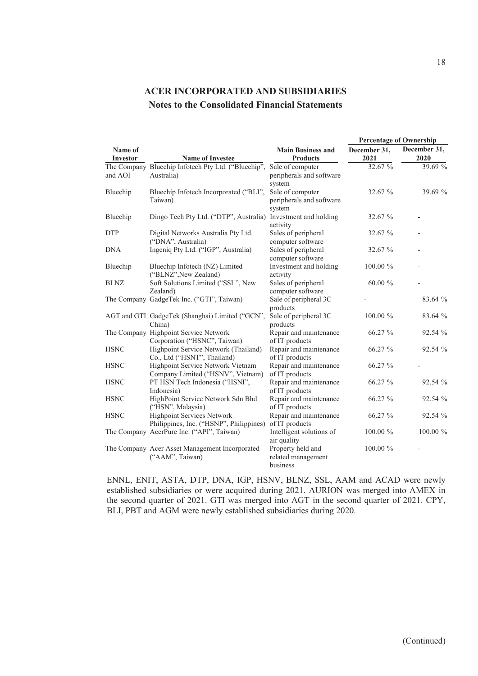|                            | <b>Name of Investee</b>                                                | <b>Main Business and</b><br><b>Products</b>            | <b>Percentage of Ownership</b> |                      |
|----------------------------|------------------------------------------------------------------------|--------------------------------------------------------|--------------------------------|----------------------|
| Name of<br><b>Investor</b> |                                                                        |                                                        | December 31,<br>2021           | December 31,<br>2020 |
|                            |                                                                        |                                                        | 32.67%                         | 39.69 %              |
| and AOI                    | The Company Bluechip Infotech Pty Ltd. ("Bluechip",<br>Australia)      | Sale of computer<br>peripherals and software<br>system |                                |                      |
| Bluechip                   | Bluechip Infotech Incorporated ("BLI",<br>Taiwan)                      | Sale of computer<br>peripherals and software<br>system | 32.67 %                        | 39.69 %              |
| Bluechip                   | Dingo Tech Pty Ltd. ("DTP", Australia) Investment and holding          | activity                                               | 32.67 %                        |                      |
| <b>DTP</b>                 | Digital Networks Australia Pty Ltd.<br>("DNA", Australia)              | Sales of peripheral<br>computer software               | 32.67 %                        |                      |
| <b>DNA</b>                 | Ingeniq Pty Ltd. ("IGP", Australia)                                    | Sales of peripheral<br>computer software               | 32.67 %                        |                      |
| Bluechip                   | Bluechip Infotech (NZ) Limited<br>("BLNZ", New Zealand)                | Investment and holding<br>activity                     | $100.00 \%$                    |                      |
| <b>BLNZ</b>                | Soft Solutions Limited ("SSL", New<br>Zealand)                         | Sales of peripheral<br>computer software               | $60.00 \%$                     |                      |
|                            | The Company GadgeTek Inc. ("GTI", Taiwan)                              | Sale of peripheral 3C<br>products                      |                                | 83.64 %              |
|                            | AGT and GTI GadgeTek (Shanghai) Limited ("GCN",<br>China)              | Sale of peripheral 3C<br>products                      | 100.00 %                       | 83.64 %              |
|                            | The Company Highpoint Service Network<br>Corporation ("HSNC", Taiwan)  | Repair and maintenance<br>of IT products               | 66.27 %                        | 92.54 %              |
| <b>HSNC</b>                | Highpoint Service Network (Thailand)<br>Co., Ltd ("HSNT", Thailand)    | Repair and maintenance<br>of IT products               | 66.27 %                        | 92.54 %              |
| <b>HSNC</b>                | Highpoint Service Network Vietnam<br>Company Limited ("HSNV", Vietnam) | Repair and maintenance<br>of IT products               | 66.27 %                        |                      |
| <b>HSNC</b>                | PT HSN Tech Indonesia ("HSNI",<br>Indonesia)                           | Repair and maintenance<br>of IT products               | 66.27 %                        | 92.54 %              |
| <b>HSNC</b>                | HighPoint Service Network Sdn Bhd<br>("HSN", Malaysia)                 | Repair and maintenance<br>of IT products               | 66.27 %                        | 92.54 %              |
| <b>HSNC</b>                | Highpoint Services Network<br>Philippines, Inc. ("HSNP", Philippines)  | Repair and maintenance<br>of IT products               | 66.27 %                        | 92.54 %              |
|                            | The Company AcerPure Inc. ("API", Taiwan)                              | Intelligent solutions of<br>air quality                | 100.00 %                       | 100.00 %             |
|                            | The Company Acer Asset Management Incorporated<br>("AAM", Taiwan)      | Property held and<br>related management<br>business    | 100.00 %                       |                      |

ENNL, ENIT, ASTA, DTP, DNA, IGP, HSNV, BLNZ, SSL, AAM and ACAD were newly established subsidiaries or were acquired during 2021. AURION was merged into AMEX in the second quarter of 2021. GTI was merged into AGT in the second quarter of 2021. CPY, BLI, PBT and AGM were newly established subsidiaries during 2020.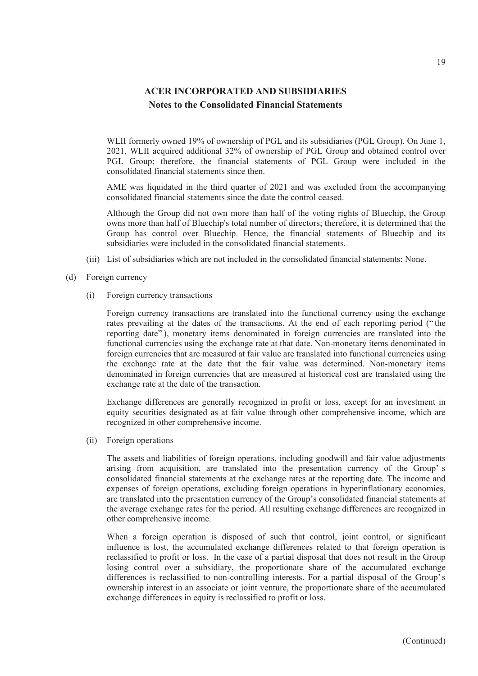WLII formerly owned 19% of ownership of PGL and its subsidiaries (PGL Group). On June 1, 2021, WLII acquired additional 32% of ownership of PGL Group and obtained control over PGL Group; therefore, the financial statements of PGL Group were included in the consolidated financial statements since then.

AME was liquidated in the third quarter of 2021 and was excluded from the accompanying consolidated financial statements since the date the control ceased.

Although the Group did not own more than half of the voting rights of Bluechip, the Group owns more than half of Bluechip's total number of directors; therefore, it is determined that the Group has control over Bluechip. Hence, the financial statements of Bluechip and its subsidiaries were included in the consolidated financial statements.

- (iii) List of subsidiaries which are not included in the consolidated financial statements: None.
- (d) Foreign currency
	- (i) Foreign currency transactions

Foreign currency transactions are translated into the functional currency using the exchange rates prevailing at the dates of the transactions. At the end of each reporting period (" the reporting date"), monetary items denominated in foreign currencies are translated into the functional currencies using the exchange rate at that date. Non-monetary items denominated in foreign currencies that are measured at fair value are translated into functional currencies using the exchange rate at the date that the fair value was determined. Non-monetary items denominated in foreign currencies that are measured at historical cost are translated using the exchange rate at the date of the transaction.

Exchange differences are generally recognized in profit or loss, except for an investment in equity securities designated as at fair value through other comprehensive income, which are recognized in other comprehensive income.

(ii) Foreign operations

The assets and liabilities of foreign operations, including goodwill and fair value adjustments arising from acquisition, are translated into the presentation currency of the Group' s consolidated financial statements at the exchange rates at the reporting date. The income and expenses of foreign operations, excluding foreign operations in hyperinflationary economies, are translated into the presentation currency of the Group's consolidated financial statements at the average exchange rates for the period. All resulting exchange differences are recognized in other comprehensive income.

When a foreign operation is disposed of such that control, joint control, or significant influence is lost, the accumulated exchange differences related to that foreign operation is reclassified to profit or loss. In the case of a partial disposal that does not result in the Group losing control over a subsidiary, the proportionate share of the accumulated exchange differences is reclassified to non-controlling interests. For a partial disposal of the Group's ownership interest in an associate or joint venture, the proportionate share of the accumulated exchange differences in equity is reclassified to profit or loss.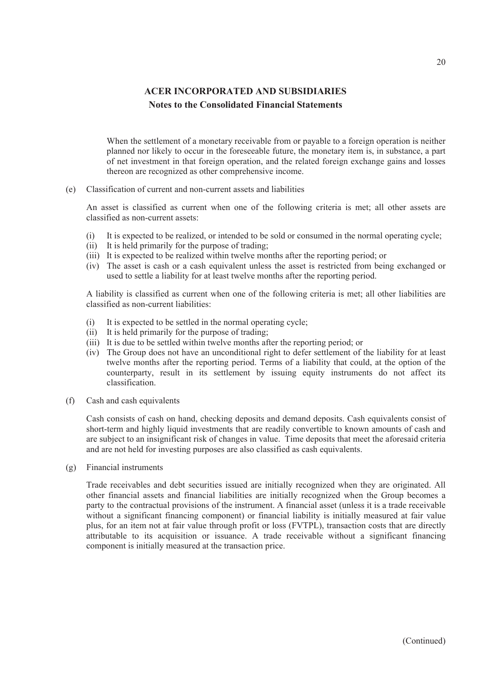When the settlement of a monetary receivable from or payable to a foreign operation is neither planned nor likely to occur in the foreseeable future, the monetary item is, in substance, a part of net investment in that foreign operation, and the related foreign exchange gains and losses thereon are recognized as other comprehensive income.

(e) Classification of current and non-current assets and liabilities

An asset is classified as current when one of the following criteria is met; all other assets are classified as non-current assets:

- (i) It is expected to be realized, or intended to be sold or consumed in the normal operating cycle;
- (ii) It is held primarily for the purpose of trading;
- (iii) It is expected to be realized within twelve months after the reporting period; or
- (iv) The asset is cash or a cash equivalent unless the asset is restricted from being exchanged or used to settle a liability for at least twelve months after the reporting period.

A liability is classified as current when one of the following criteria is met; all other liabilities are classified as non-current liabilities:

- (i) It is expected to be settled in the normal operating cycle;
- (ii) It is held primarily for the purpose of trading;
- (iii) It is due to be settled within twelve months after the reporting period; or
- (iv) The Group does not have an unconditional right to defer settlement of the liability for at least twelve months after the reporting period. Terms of a liability that could, at the option of the counterparty, result in its settlement by issuing equity instruments do not affect its classification.
- (f) Cash and cash equivalents

Cash consists of cash on hand, checking deposits and demand deposits. Cash equivalents consist of short-term and highly liquid investments that are readily convertible to known amounts of cash and are subject to an insignificant risk of changes in value. Time deposits that meet the aforesaid criteria and are not held for investing purposes are also classified as cash equivalents.

(g) Financial instruments

Trade receivables and debt securities issued are initially recognized when they are originated. All other financial assets and financial liabilities are initially recognized when the Group becomes a party to the contractual provisions of the instrument. A financial asset (unless it is a trade receivable without a significant financing component) or financial liability is initially measured at fair value plus, for an item not at fair value through profit or loss (FVTPL), transaction costs that are directly attributable to its acquisition or issuance. A trade receivable without a significant financing component is initially measured at the transaction price.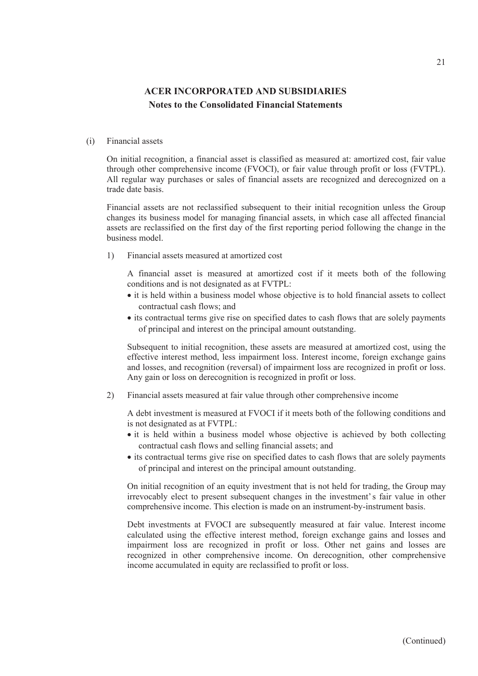#### (i) Financial assets

On initial recognition, a financial asset is classified as measured at: amortized cost, fair value through other comprehensive income (FVOCI), or fair value through profit or loss (FVTPL). All regular way purchases or sales of financial assets are recognized and derecognized on a trade date basis.

Financial assets are not reclassified subsequent to their initial recognition unless the Group changes its business model for managing financial assets, in which case all affected financial assets are reclassified on the first day of the first reporting period following the change in the business model.

1) Financial assets measured at amortized cost

A financial asset is measured at amortized cost if it meets both of the following conditions and is not designated as at FVTPL:

- it is held within a business model whose objective is to hold financial assets to collect contractual cash flows; and
- its contractual terms give rise on specified dates to cash flows that are solely payments of principal and interest on the principal amount outstanding.

Subsequent to initial recognition, these assets are measured at amortized cost, using the effective interest method, less impairment loss. Interest income, foreign exchange gains and losses, and recognition (reversal) of impairment loss are recognized in profit or loss. Any gain or loss on derecognition is recognized in profit or loss.

2) Financial assets measured at fair value through other comprehensive income

A debt investment is measured at FVOCI if it meets both of the following conditions and is not designated as at FVTPL:

- it is held within a business model whose objective is achieved by both collecting contractual cash flows and selling financial assets; and
- its contractual terms give rise on specified dates to cash flows that are solely payments of principal and interest on the principal amount outstanding.

On initial recognition of an equity investment that is not held for trading, the Group may irrevocably elect to present subsequent changes in the investment's fair value in other comprehensive income. This election is made on an instrument-by-instrument basis.

Debt investments at FVOCI are subsequently measured at fair value. Interest income calculated using the effective interest method, foreign exchange gains and losses and impairment loss are recognized in profit or loss. Other net gains and losses are recognized in other comprehensive income. On derecognition, other comprehensive income accumulated in equity are reclassified to profit or loss.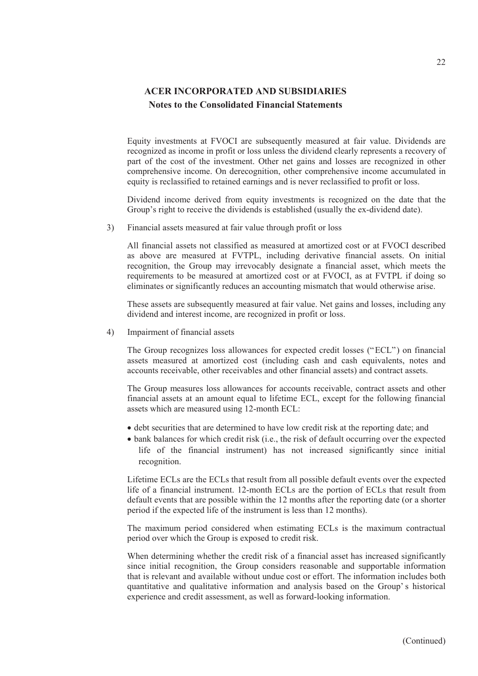Equity investments at FVOCI are subsequently measured at fair value. Dividends are recognized as income in profit or loss unless the dividend clearly represents a recovery of part of the cost of the investment. Other net gains and losses are recognized in other comprehensive income. On derecognition, other comprehensive income accumulated in equity is reclassified to retained earnings and is never reclassified to profit or loss.

Dividend income derived from equity investments is recognized on the date that the Group's right to receive the dividends is established (usually the ex-dividend date).

3) Financial assets measured at fair value through profit or loss

All financial assets not classified as measured at amortized cost or at FVOCI described as above are measured at FVTPL, including derivative financial assets. On initial recognition, the Group may irrevocably designate a financial asset, which meets the requirements to be measured at amortized cost or at FVOCI, as at FVTPL if doing so eliminates or significantly reduces an accounting mismatch that would otherwise arise.

These assets are subsequently measured at fair value. Net gains and losses, including any dividend and interest income, are recognized in profit or loss.

4) Impairment of financial assets

The Group recognizes loss allowances for expected credit losses ("ECL") on financial assets measured at amortized cost (including cash and cash equivalents, notes and accounts receivable, other receivables and other financial assets) and contract assets.

The Group measures loss allowances for accounts receivable, contract assets and other financial assets at an amount equal to lifetime ECL, except for the following financial assets which are measured using 12-month ECL:

- debt securities that are determined to have low credit risk at the reporting date; and
- bank balances for which credit risk (i.e., the risk of default occurring over the expected life of the financial instrument) has not increased significantly since initial recognition.

Lifetime ECLs are the ECLs that result from all possible default events over the expected life of a financial instrument. 12-month ECLs are the portion of ECLs that result from default events that are possible within the 12 months after the reporting date (or a shorter period if the expected life of the instrument is less than 12 months).

The maximum period considered when estimating ECLs is the maximum contractual period over which the Group is exposed to credit risk.

When determining whether the credit risk of a financial asset has increased significantly since initial recognition, the Group considers reasonable and supportable information that is relevant and available without undue cost or effort. The information includes both quantitative and qualitative information and analysis based on the Group' s historical experience and credit assessment, as well as forward-looking information.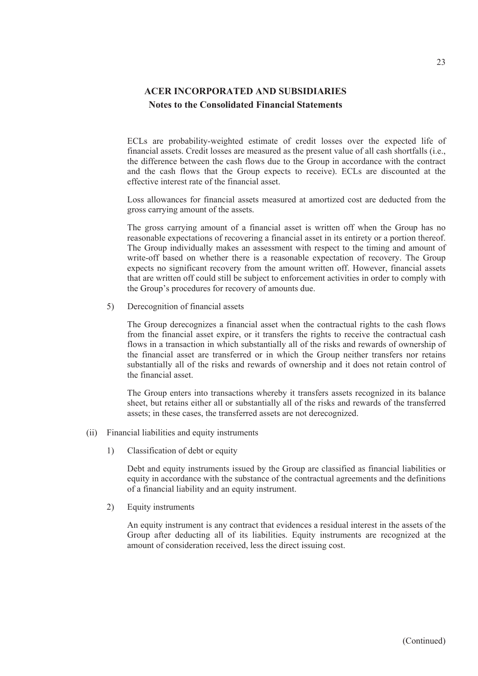ECLs are probability-weighted estimate of credit losses over the expected life of financial assets. Credit losses are measured as the present value of all cash shortfalls (i.e., the difference between the cash flows due to the Group in accordance with the contract and the cash flows that the Group expects to receive). ECLs are discounted at the effective interest rate of the financial asset.

Loss allowances for financial assets measured at amortized cost are deducted from the gross carrying amount of the assets.

The gross carrying amount of a financial asset is written off when the Group has no reasonable expectations of recovering a financial asset in its entirety or a portion thereof. The Group individually makes an assessment with respect to the timing and amount of write-off based on whether there is a reasonable expectation of recovery. The Group expects no significant recovery from the amount written off. However, financial assets that are written off could still be subject to enforcement activities in order to comply with the Group's procedures for recovery of amounts due.

5) Derecognition of financial assets

The Group derecognizes a financial asset when the contractual rights to the cash flows from the financial asset expire, or it transfers the rights to receive the contractual cash flows in a transaction in which substantially all of the risks and rewards of ownership of the financial asset are transferred or in which the Group neither transfers nor retains substantially all of the risks and rewards of ownership and it does not retain control of the financial asset.

The Group enters into transactions whereby it transfers assets recognized in its balance sheet, but retains either all or substantially all of the risks and rewards of the transferred assets; in these cases, the transferred assets are not derecognized.

- (ii) Financial liabilities and equity instruments
	- 1) Classification of debt or equity

Debt and equity instruments issued by the Group are classified as financial liabilities or equity in accordance with the substance of the contractual agreements and the definitions of a financial liability and an equity instrument.

2) Equity instruments

An equity instrument is any contract that evidences a residual interest in the assets of the Group after deducting all of its liabilities. Equity instruments are recognized at the amount of consideration received, less the direct issuing cost.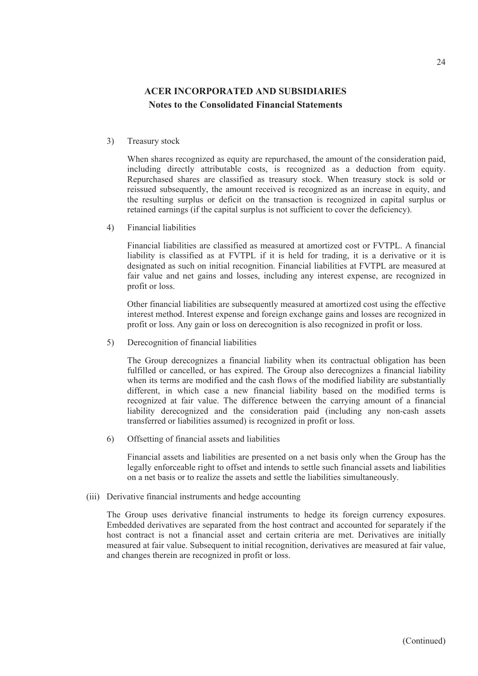3) Treasury stock

When shares recognized as equity are repurchased, the amount of the consideration paid, including directly attributable costs, is recognized as a deduction from equity. Repurchased shares are classified as treasury stock. When treasury stock is sold or reissued subsequently, the amount received is recognized as an increase in equity, and the resulting surplus or deficit on the transaction is recognized in capital surplus or retained earnings (if the capital surplus is not sufficient to cover the deficiency).

4) Financial liabilities

Financial liabilities are classified as measured at amortized cost or FVTPL. A financial liability is classified as at FVTPL if it is held for trading, it is a derivative or it is designated as such on initial recognition. Financial liabilities at FVTPL are measured at fair value and net gains and losses, including any interest expense, are recognized in profit or loss.

Other financial liabilities are subsequently measured at amortized cost using the effective interest method. Interest expense and foreign exchange gains and losses are recognized in profit or loss. Any gain or loss on derecognition is also recognized in profit or loss.

5) Derecognition of financial liabilities

The Group derecognizes a financial liability when its contractual obligation has been fulfilled or cancelled, or has expired. The Group also derecognizes a financial liability when its terms are modified and the cash flows of the modified liability are substantially different, in which case a new financial liability based on the modified terms is recognized at fair value. The difference between the carrying amount of a financial liability derecognized and the consideration paid (including any non-cash assets transferred or liabilities assumed) is recognized in profit or loss.

6) Offsetting of financial assets and liabilities

Financial assets and liabilities are presented on a net basis only when the Group has the legally enforceable right to offset and intends to settle such financial assets and liabilities on a net basis or to realize the assets and settle the liabilities simultaneously.

(iii) Derivative financial instruments and hedge accounting

The Group uses derivative financial instruments to hedge its foreign currency exposures. Embedded derivatives are separated from the host contract and accounted for separately if the host contract is not a financial asset and certain criteria are met. Derivatives are initially measured at fair value. Subsequent to initial recognition, derivatives are measured at fair value, and changes therein are recognized in profit or loss.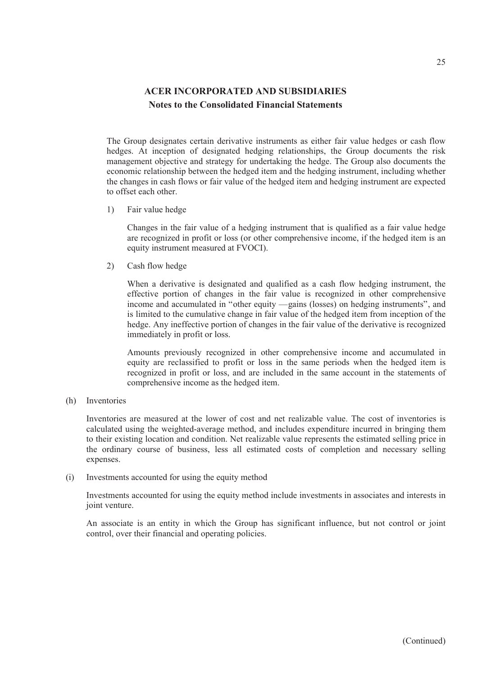The Group designates certain derivative instruments as either fair value hedges or cash flow hedges. At inception of designated hedging relationships, the Group documents the risk management objective and strategy for undertaking the hedge. The Group also documents the economic relationship between the hedged item and the hedging instrument, including whether the changes in cash flows or fair value of the hedged item and hedging instrument are expected to offset each other.

1) Fair value hedge

Changes in the fair value of a hedging instrument that is qualified as a fair value hedge are recognized in profit or loss (or other comprehensive income, if the hedged item is an equity instrument measured at FVOCI).

2) Cash flow hedge

When a derivative is designated and qualified as a cash flow hedging instrument, the effective portion of changes in the fair value is recognized in other comprehensive income and accumulated in "other equity —gains (losses) on hedging instruments", and is limited to the cumulative change in fair value of the hedged item from inception of the hedge. Any ineffective portion of changes in the fair value of the derivative is recognized immediately in profit or loss.

Amounts previously recognized in other comprehensive income and accumulated in equity are reclassified to profit or loss in the same periods when the hedged item is recognized in profit or loss, and are included in the same account in the statements of comprehensive income as the hedged item.

(h) Inventories

Inventories are measured at the lower of cost and net realizable value. The cost of inventories is calculated using the weighted-average method, and includes expenditure incurred in bringing them to their existing location and condition. Net realizable value represents the estimated selling price in the ordinary course of business, less all estimated costs of completion and necessary selling expenses.

(i) Investments accounted for using the equity method

Investments accounted for using the equity method include investments in associates and interests in joint venture.

An associate is an entity in which the Group has significant influence, but not control or joint control, over their financial and operating policies.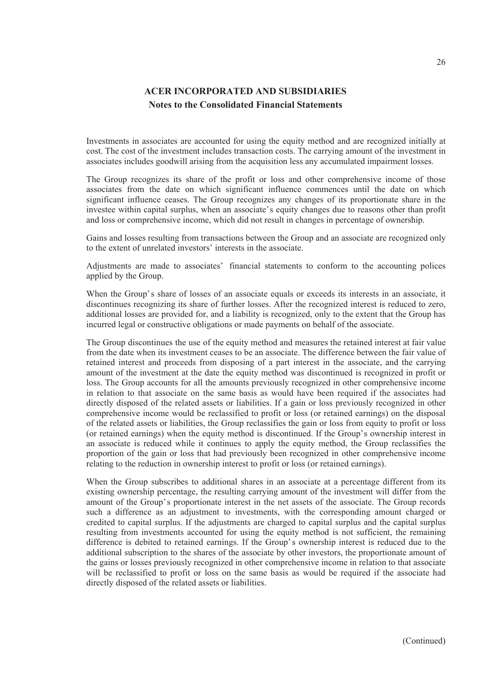Investments in associates are accounted for using the equity method and are recognized initially at cost. The cost of the investment includes transaction costs. The carrying amount of the investment in associates includes goodwill arising from the acquisition less any accumulated impairment losses.

The Group recognizes its share of the profit or loss and other comprehensive income of those associates from the date on which significant influence commences until the date on which significant influence ceases. The Group recognizes any changes of its proportionate share in the investee within capital surplus, when an associate's equity changes due to reasons other than profit and loss or comprehensive income, which did not result in changes in percentage of ownership.

Gains and losses resulting from transactions between the Group and an associate are recognized only to the extent of unrelated investors' interests in the associate.

Adjustments are made to associates' financial statements to conform to the accounting polices applied by the Group.

When the Group's share of losses of an associate equals or exceeds its interests in an associate, it discontinues recognizing its share of further losses. After the recognized interest is reduced to zero, additional losses are provided for, and a liability is recognized, only to the extent that the Group has incurred legal or constructive obligations or made payments on behalf of the associate.

The Group discontinues the use of the equity method and measures the retained interest at fair value from the date when its investment ceases to be an associate. The difference between the fair value of retained interest and proceeds from disposing of a part interest in the associate, and the carrying amount of the investment at the date the equity method was discontinued is recognized in profit or loss. The Group accounts for all the amounts previously recognized in other comprehensive income in relation to that associate on the same basis as would have been required if the associates had directly disposed of the related assets or liabilities. If a gain or loss previously recognized in other comprehensive income would be reclassified to profit or loss (or retained earnings) on the disposal of the related assets or liabilities, the Group reclassifies the gain or loss from equity to profit or loss (or retained earnings) when the equity method is discontinued. If the Group's ownership interest in an associate is reduced while it continues to apply the equity method, the Group reclassifies the proportion of the gain or loss that had previously been recognized in other comprehensive income relating to the reduction in ownership interest to profit or loss (or retained earnings).

When the Group subscribes to additional shares in an associate at a percentage different from its existing ownership percentage, the resulting carrying amount of the investment will differ from the amount of the Group's proportionate interest in the net assets of the associate. The Group records such a difference as an adjustment to investments, with the corresponding amount charged or credited to capital surplus. If the adjustments are charged to capital surplus and the capital surplus resulting from investments accounted for using the equity method is not sufficient, the remaining difference is debited to retained earnings. If the Group's ownership interest is reduced due to the additional subscription to the shares of the associate by other investors, the proportionate amount of the gains or losses previously recognized in other comprehensive income in relation to that associate will be reclassified to profit or loss on the same basis as would be required if the associate had directly disposed of the related assets or liabilities.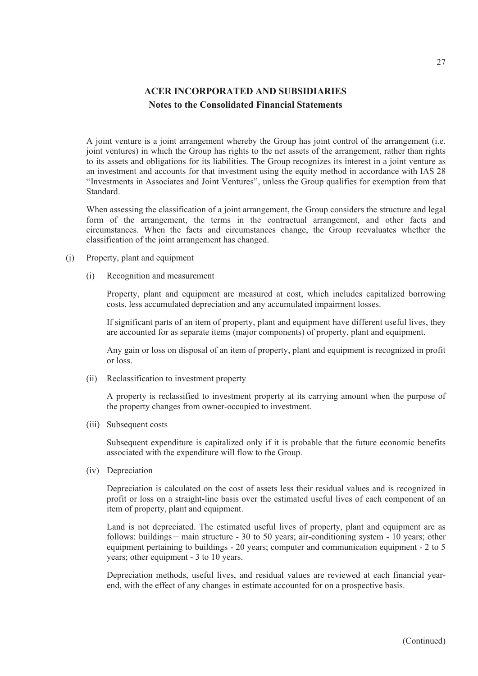A joint venture is a joint arrangement whereby the Group has joint control of the arrangement (i.e. joint ventures) in which the Group has rights to the net assets of the arrangement, rather than rights to its assets and obligations for its liabilities. The Group recognizes its interest in a joint venture as an investment and accounts for that investment using the equity method in accordance with IAS 28 "Investments in Associates and Joint Ventures", unless the Group qualifies for exemption from that Standard.

When assessing the classification of a joint arrangement, the Group considers the structure and legal form of the arrangement, the terms in the contractual arrangement, and other facts and circumstances. When the facts and circumstances change, the Group reevaluates whether the classification of the joint arrangement has changed.

- (j) Property, plant and equipment
	- (i) Recognition and measurement

Property, plant and equipment are measured at cost, which includes capitalized borrowing costs, less accumulated depreciation and any accumulated impairment losses.

If significant parts of an item of property, plant and equipment have different useful lives, they are accounted for as separate items (major components) of property, plant and equipment.

Any gain or loss on disposal of an item of property, plant and equipment is recognized in profit or loss.

(ii) Reclassification to investment property

A property is reclassified to investment property at its carrying amount when the purpose of the property changes from owner-occupied to investment.

(iii) Subsequent costs

Subsequent expenditure is capitalized only if it is probable that the future economic benefits associated with the expenditure will flow to the Group.

(iv) Depreciation

Depreciation is calculated on the cost of assets less their residual values and is recognized in profit or loss on a straight-line basis over the estimated useful lives of each component of an item of property, plant and equipment.

Land is not depreciated. The estimated useful lives of property, plant and equipment are as follows: buildings - main structure - 30 to 50 years; air-conditioning system - 10 years; other equipment pertaining to buildings - 20 years; computer and communication equipment - 2 to 5 years; other equipment - 3 to 10 years.

Depreciation methods, useful lives, and residual values are reviewed at each financial yearend, with the effect of any changes in estimate accounted for on a prospective basis.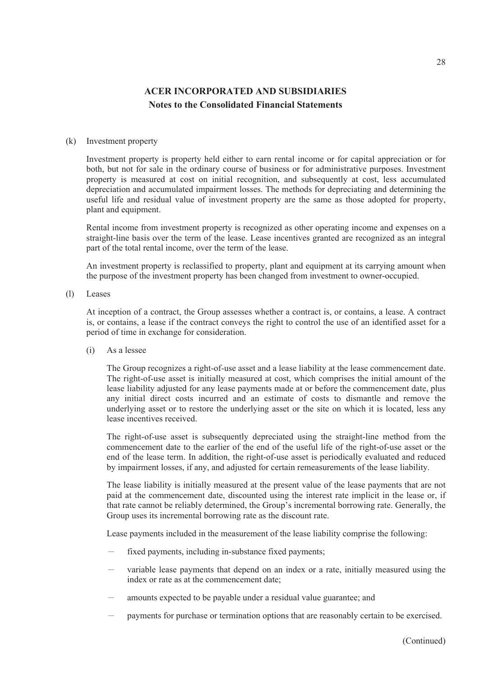#### (k) Investment property

Investment property is property held either to earn rental income or for capital appreciation or for both, but not for sale in the ordinary course of business or for administrative purposes. Investment property is measured at cost on initial recognition, and subsequently at cost, less accumulated depreciation and accumulated impairment losses. The methods for depreciating and determining the useful life and residual value of investment property are the same as those adopted for property, plant and equipment.

Rental income from investment property is recognized as other operating income and expenses on a straight-line basis over the term of the lease. Lease incentives granted are recognized as an integral part of the total rental income, over the term of the lease.

An investment property is reclassified to property, plant and equipment at its carrying amount when the purpose of the investment property has been changed from investment to owner-occupied.

(l) Leases

At inception of a contract, the Group assesses whether a contract is, or contains, a lease. A contract is, or contains, a lease if the contract conveys the right to control the use of an identified asset for a period of time in exchange for consideration.

(i) As a lessee

The Group recognizes a right-of-use asset and a lease liability at the lease commencement date. The right-of-use asset is initially measured at cost, which comprises the initial amount of the lease liability adjusted for any lease payments made at or before the commencement date, plus any initial direct costs incurred and an estimate of costs to dismantle and remove the underlying asset or to restore the underlying asset or the site on which it is located, less any lease incentives received.

The right-of-use asset is subsequently depreciated using the straight-line method from the commencement date to the earlier of the end of the useful life of the right-of-use asset or the end of the lease term. In addition, the right-of-use asset is periodically evaluated and reduced by impairment losses, if any, and adjusted for certain remeasurements of the lease liability.

The lease liability is initially measured at the present value of the lease payments that are not paid at the commencement date, discounted using the interest rate implicit in the lease or, if that rate cannot be reliably determined, the Group's incremental borrowing rate. Generally, the Group uses its incremental borrowing rate as the discount rate.

Lease payments included in the measurement of the lease liability comprise the following:

- fixed payments, including in-substance fixed payments;
- variable lease payments that depend on an index or a rate, initially measured using the index or rate as at the commencement date;
- amounts expected to be payable under a residual value guarantee; and
- payments for purchase or termination options that are reasonably certain to be exercised.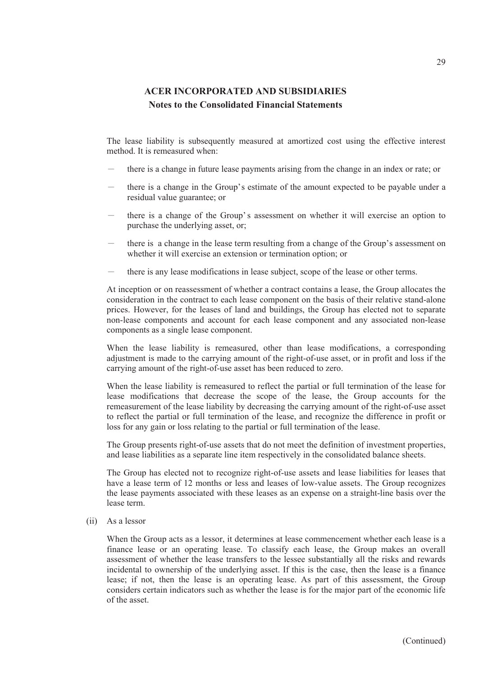The lease liability is subsequently measured at amortized cost using the effective interest method. It is remeasured when:

- there is a change in future lease payments arising from the change in an index or rate; or
- there is a change in the Group's estimate of the amount expected to be payable under a residual value guarantee; or
- there is a change of the Group's assessment on whether it will exercise an option to purchase the underlying asset, or;
- there is a change in the lease term resulting from a change of the Group's assessment on whether it will exercise an extension or termination option; or
- there is any lease modifications in lease subject, scope of the lease or other terms.

At inception or on reassessment of whether a contract contains a lease, the Group allocates the consideration in the contract to each lease component on the basis of their relative stand-alone prices. However, for the leases of land and buildings, the Group has elected not to separate non-lease components and account for each lease component and any associated non-lease components as a single lease component.

When the lease liability is remeasured, other than lease modifications, a corresponding adjustment is made to the carrying amount of the right-of-use asset, or in profit and loss if the carrying amount of the right-of-use asset has been reduced to zero.

When the lease liability is remeasured to reflect the partial or full termination of the lease for lease modifications that decrease the scope of the lease, the Group accounts for the remeasurement of the lease liability by decreasing the carrying amount of the right-of-use asset to reflect the partial or full termination of the lease, and recognize the difference in profit or loss for any gain or loss relating to the partial or full termination of the lease.

The Group presents right-of-use assets that do not meet the definition of investment properties, and lease liabilities as a separate line item respectively in the consolidated balance sheets.

The Group has elected not to recognize right-of-use assets and lease liabilities for leases that have a lease term of 12 months or less and leases of low-value assets. The Group recognizes the lease payments associated with these leases as an expense on a straight-line basis over the lease term.

(ii) As a lessor

When the Group acts as a lessor, it determines at lease commencement whether each lease is a finance lease or an operating lease. To classify each lease, the Group makes an overall assessment of whether the lease transfers to the lessee substantially all the risks and rewards incidental to ownership of the underlying asset. If this is the case, then the lease is a finance lease; if not, then the lease is an operating lease. As part of this assessment, the Group considers certain indicators such as whether the lease is for the major part of the economic life of the asset.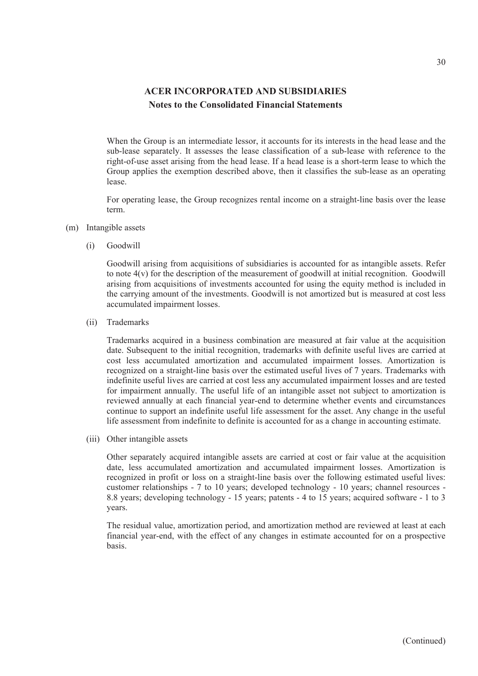When the Group is an intermediate lessor, it accounts for its interests in the head lease and the sub-lease separately. It assesses the lease classification of a sub-lease with reference to the right-of-use asset arising from the head lease. If a head lease is a short-term lease to which the Group applies the exemption described above, then it classifies the sub-lease as an operating lease.

For operating lease, the Group recognizes rental income on a straight-line basis over the lease term.

- (m) Intangible assets
	- (i) Goodwill

Goodwill arising from acquisitions of subsidiaries is accounted for as intangible assets. Refer to note 4(v) for the description of the measurement of goodwill at initial recognition. Goodwill arising from acquisitions of investments accounted for using the equity method is included in the carrying amount of the investments. Goodwill is not amortized but is measured at cost less accumulated impairment losses.

(ii) Trademarks

Trademarks acquired in a business combination are measured at fair value at the acquisition date. Subsequent to the initial recognition, trademarks with definite useful lives are carried at cost less accumulated amortization and accumulated impairment losses. Amortization is recognized on a straight-line basis over the estimated useful lives of 7 years. Trademarks with indefinite useful lives are carried at cost less any accumulated impairment losses and are tested for impairment annually. The useful life of an intangible asset not subject to amortization is reviewed annually at each financial year-end to determine whether events and circumstances continue to support an indefinite useful life assessment for the asset. Any change in the useful life assessment from indefinite to definite is accounted for as a change in accounting estimate.

(iii) Other intangible assets

Other separately acquired intangible assets are carried at cost or fair value at the acquisition date, less accumulated amortization and accumulated impairment losses. Amortization is recognized in profit or loss on a straight-line basis over the following estimated useful lives: customer relationships - 7 to 10 years; developed technology - 10 years; channel resources - 8.8 years; developing technology - 15 years; patents - 4 to 15 years; acquired software - 1 to 3 years.

The residual value, amortization period, and amortization method are reviewed at least at each financial year-end, with the effect of any changes in estimate accounted for on a prospective basis.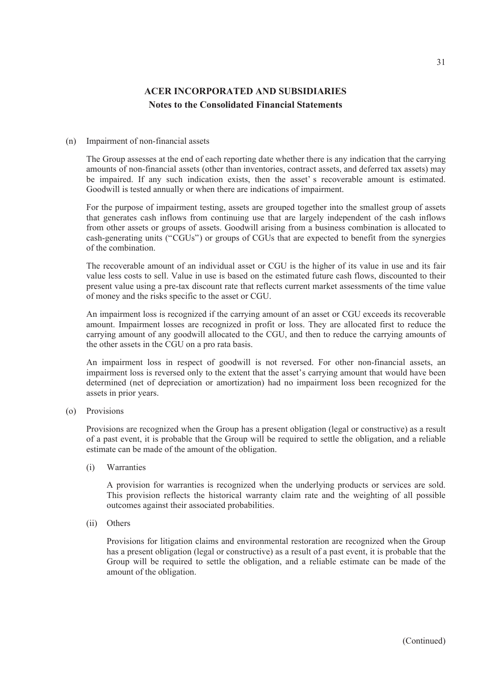#### (n) Impairment of non-financial assets

The Group assesses at the end of each reporting date whether there is any indication that the carrying amounts of non-financial assets (other than inventories, contract assets, and deferred tax assets) may be impaired. If any such indication exists, then the asset' s recoverable amount is estimated. Goodwill is tested annually or when there are indications of impairment.

For the purpose of impairment testing, assets are grouped together into the smallest group of assets that generates cash inflows from continuing use that are largely independent of the cash inflows from other assets or groups of assets. Goodwill arising from a business combination is allocated to cash-generating units ("CGUs") or groups of CGUs that are expected to benefit from the synergies of the combination.

The recoverable amount of an individual asset or CGU is the higher of its value in use and its fair value less costs to sell. Value in use is based on the estimated future cash flows, discounted to their present value using a pre-tax discount rate that reflects current market assessments of the time value of money and the risks specific to the asset or CGU.

An impairment loss is recognized if the carrying amount of an asset or CGU exceeds its recoverable amount. Impairment losses are recognized in profit or loss. They are allocated first to reduce the carrying amount of any goodwill allocated to the CGU, and then to reduce the carrying amounts of the other assets in the CGU on a pro rata basis.

An impairment loss in respect of goodwill is not reversed. For other non-financial assets, an impairment loss is reversed only to the extent that the asset's carrying amount that would have been determined (net of depreciation or amortization) had no impairment loss been recognized for the assets in prior years.

(o) Provisions

Provisions are recognized when the Group has a present obligation (legal or constructive) as a result of a past event, it is probable that the Group will be required to settle the obligation, and a reliable estimate can be made of the amount of the obligation.

(i) Warranties

A provision for warranties is recognized when the underlying products or services are sold. This provision reflects the historical warranty claim rate and the weighting of all possible outcomes against their associated probabilities.

(ii) Others

Provisions for litigation claims and environmental restoration are recognized when the Group has a present obligation (legal or constructive) as a result of a past event, it is probable that the Group will be required to settle the obligation, and a reliable estimate can be made of the amount of the obligation.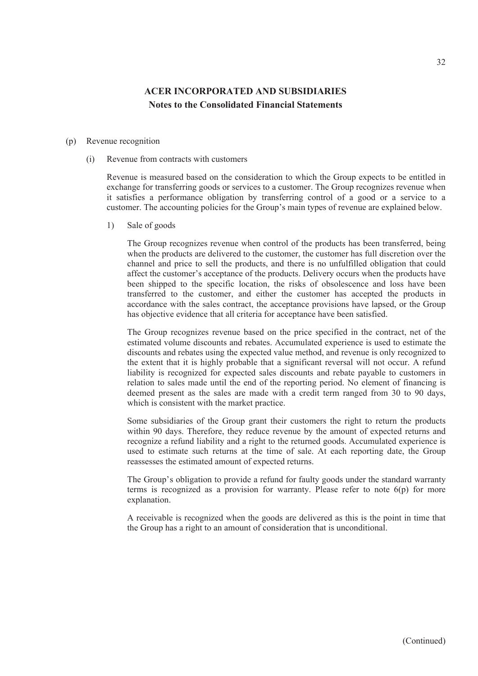#### (p) Revenue recognition

(i) Revenue from contracts with customers

Revenue is measured based on the consideration to which the Group expects to be entitled in exchange for transferring goods or services to a customer. The Group recognizes revenue when it satisfies a performance obligation by transferring control of a good or a service to a customer. The accounting policies for the Group's main types of revenue are explained below.

1) Sale of goods

The Group recognizes revenue when control of the products has been transferred, being when the products are delivered to the customer, the customer has full discretion over the channel and price to sell the products, and there is no unfulfilled obligation that could affect the customer's acceptance of the products. Delivery occurs when the products have been shipped to the specific location, the risks of obsolescence and loss have been transferred to the customer, and either the customer has accepted the products in accordance with the sales contract, the acceptance provisions have lapsed, or the Group has objective evidence that all criteria for acceptance have been satisfied.

The Group recognizes revenue based on the price specified in the contract, net of the estimated volume discounts and rebates. Accumulated experience is used to estimate the discounts and rebates using the expected value method, and revenue is only recognized to the extent that it is highly probable that a significant reversal will not occur. A refund liability is recognized for expected sales discounts and rebate payable to customers in relation to sales made until the end of the reporting period. No element of financing is deemed present as the sales are made with a credit term ranged from 30 to 90 days, which is consistent with the market practice.

Some subsidiaries of the Group grant their customers the right to return the products within 90 days. Therefore, they reduce revenue by the amount of expected returns and recognize a refund liability and a right to the returned goods. Accumulated experience is used to estimate such returns at the time of sale. At each reporting date, the Group reassesses the estimated amount of expected returns.

The Group's obligation to provide a refund for faulty goods under the standard warranty terms is recognized as a provision for warranty. Please refer to note  $6(p)$  for more explanation.

A receivable is recognized when the goods are delivered as this is the point in time that the Group has a right to an amount of consideration that is unconditional.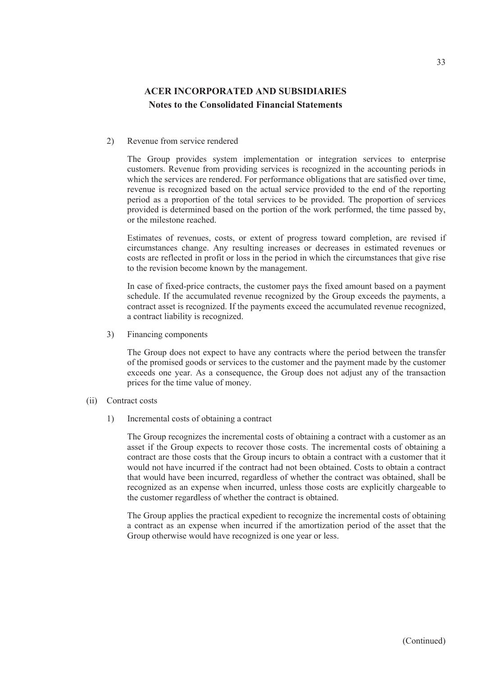#### 2) Revenue from service rendered

The Group provides system implementation or integration services to enterprise customers. Revenue from providing services is recognized in the accounting periods in which the services are rendered. For performance obligations that are satisfied over time, revenue is recognized based on the actual service provided to the end of the reporting period as a proportion of the total services to be provided. The proportion of services provided is determined based on the portion of the work performed, the time passed by, or the milestone reached.

Estimates of revenues, costs, or extent of progress toward completion, are revised if circumstances change. Any resulting increases or decreases in estimated revenues or costs are reflected in profit or loss in the period in which the circumstances that give rise to the revision become known by the management.

In case of fixed-price contracts, the customer pays the fixed amount based on a payment schedule. If the accumulated revenue recognized by the Group exceeds the payments, a contract asset is recognized. If the payments exceed the accumulated revenue recognized, a contract liability is recognized.

3) Financing components

The Group does not expect to have any contracts where the period between the transfer of the promised goods or services to the customer and the payment made by the customer exceeds one year. As a consequence, the Group does not adjust any of the transaction prices for the time value of money.

- (ii) Contract costs
	- 1) Incremental costs of obtaining a contract

The Group recognizes the incremental costs of obtaining a contract with a customer as an asset if the Group expects to recover those costs. The incremental costs of obtaining a contract are those costs that the Group incurs to obtain a contract with a customer that it would not have incurred if the contract had not been obtained. Costs to obtain a contract that would have been incurred, regardless of whether the contract was obtained, shall be recognized as an expense when incurred, unless those costs are explicitly chargeable to the customer regardless of whether the contract is obtained.

The Group applies the practical expedient to recognize the incremental costs of obtaining a contract as an expense when incurred if the amortization period of the asset that the Group otherwise would have recognized is one year or less.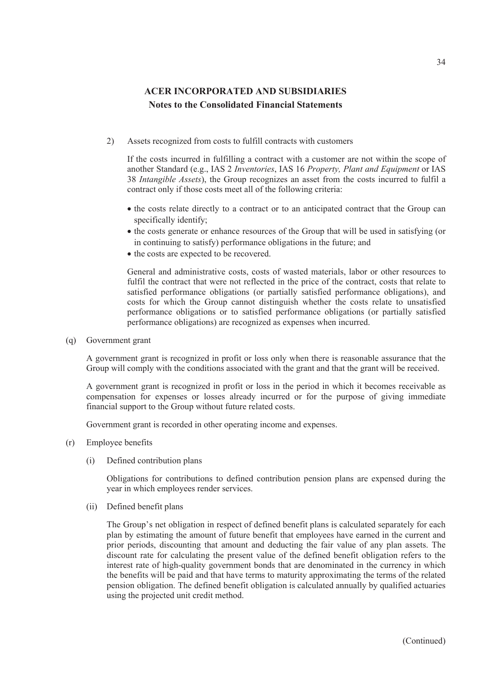2) Assets recognized from costs to fulfill contracts with customers

If the costs incurred in fulfilling a contract with a customer are not within the scope of another Standard (e.g., IAS 2 *Inventories*, IAS 16 *Property, Plant and Equipment* or IAS 38 *Intangible Assets*), the Group recognizes an asset from the costs incurred to fulfil a contract only if those costs meet all of the following criteria:

- the costs relate directly to a contract or to an anticipated contract that the Group can specifically identify;
- the costs generate or enhance resources of the Group that will be used in satisfying (or in continuing to satisfy) performance obligations in the future; and
- the costs are expected to be recovered.

General and administrative costs, costs of wasted materials, labor or other resources to fulfil the contract that were not reflected in the price of the contract, costs that relate to satisfied performance obligations (or partially satisfied performance obligations), and costs for which the Group cannot distinguish whether the costs relate to unsatisfied performance obligations or to satisfied performance obligations (or partially satisfied performance obligations) are recognized as expenses when incurred.

(q) Government grant

A government grant is recognized in profit or loss only when there is reasonable assurance that the Group will comply with the conditions associated with the grant and that the grant will be received.

A government grant is recognized in profit or loss in the period in which it becomes receivable as compensation for expenses or losses already incurred or for the purpose of giving immediate financial support to the Group without future related costs.

Government grant is recorded in other operating income and expenses.

- (r) Employee benefits
	- (i) Defined contribution plans

Obligations for contributions to defined contribution pension plans are expensed during the year in which employees render services.

(ii) Defined benefit plans

The Group's net obligation in respect of defined benefit plans is calculated separately for each plan by estimating the amount of future benefit that employees have earned in the current and prior periods, discounting that amount and deducting the fair value of any plan assets. The discount rate for calculating the present value of the defined benefit obligation refers to the interest rate of high-quality government bonds that are denominated in the currency in which the benefits will be paid and that have terms to maturity approximating the terms of the related pension obligation. The defined benefit obligation is calculated annually by qualified actuaries using the projected unit credit method.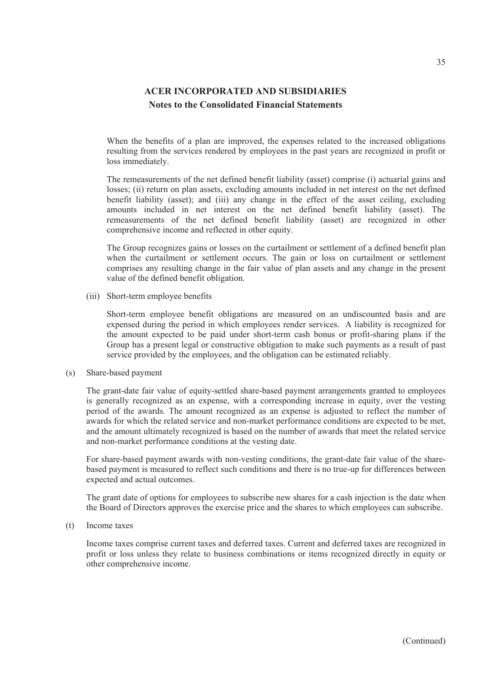When the benefits of a plan are improved, the expenses related to the increased obligations resulting from the services rendered by employees in the past years are recognized in profit or loss immediately.

The remeasurements of the net defined benefit liability (asset) comprise (i) actuarial gains and losses; (ii) return on plan assets, excluding amounts included in net interest on the net defined benefit liability (asset); and (iii) any change in the effect of the asset ceiling, excluding amounts included in net interest on the net defined benefit liability (asset). The remeasurements of the net defined benefit liability (asset) are recognized in other comprehensive income and reflected in other equity.

The Group recognizes gains or losses on the curtailment or settlement of a defined benefit plan when the curtailment or settlement occurs. The gain or loss on curtailment or settlement comprises any resulting change in the fair value of plan assets and any change in the present value of the defined benefit obligation.

(iii) Short-term employee benefits

Short-term employee benefit obligations are measured on an undiscounted basis and are expensed during the period in which employees render services. A liability is recognized for the amount expected to be paid under short-term cash bonus or profit-sharing plans if the Group has a present legal or constructive obligation to make such payments as a result of past service provided by the employees, and the obligation can be estimated reliably.

### (s) Share-based payment

The grant-date fair value of equity-settled share-based payment arrangements granted to employees is generally recognized as an expense, with a corresponding increase in equity, over the vesting period of the awards. The amount recognized as an expense is adjusted to reflect the number of awards for which the related service and non-market performance conditions are expected to be met, and the amount ultimately recognized is based on the number of awards that meet the related service and non-market performance conditions at the vesting date.

For share-based payment awards with non-vesting conditions, the grant-date fair value of the sharebased payment is measured to reflect such conditions and there is no true-up for differences between expected and actual outcomes.

The grant date of options for employees to subscribe new shares for a cash injection is the date when the Board of Directors approves the exercise price and the shares to which employees can subscribe.

(t) Income taxes

Income taxes comprise current taxes and deferred taxes. Current and deferred taxes are recognized in profit or loss unless they relate to business combinations or items recognized directly in equity or other comprehensive income.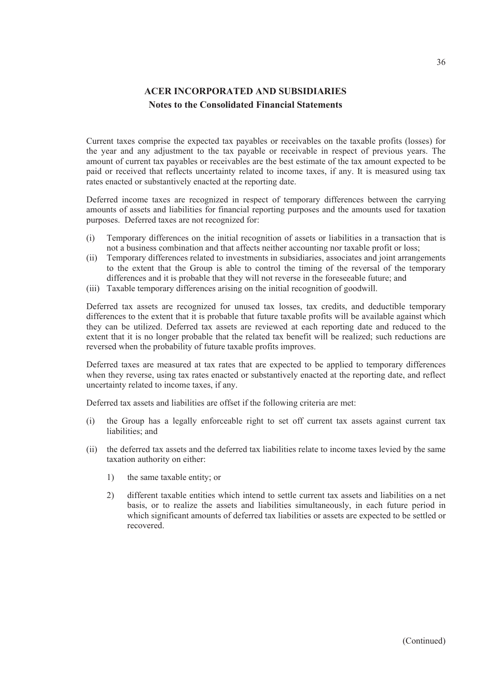Current taxes comprise the expected tax payables or receivables on the taxable profits (losses) for the year and any adjustment to the tax payable or receivable in respect of previous years. The amount of current tax payables or receivables are the best estimate of the tax amount expected to be paid or received that reflects uncertainty related to income taxes, if any. It is measured using tax rates enacted or substantively enacted at the reporting date.

Deferred income taxes are recognized in respect of temporary differences between the carrying amounts of assets and liabilities for financial reporting purposes and the amounts used for taxation purposes. Deferred taxes are not recognized for:

- (i) Temporary differences on the initial recognition of assets or liabilities in a transaction that is not a business combination and that affects neither accounting nor taxable profit or loss;
- (ii) Temporary differences related to investments in subsidiaries, associates and joint arrangements to the extent that the Group is able to control the timing of the reversal of the temporary differences and it is probable that they will not reverse in the foreseeable future; and
- (iii) Taxable temporary differences arising on the initial recognition of goodwill.

Deferred tax assets are recognized for unused tax losses, tax credits, and deductible temporary differences to the extent that it is probable that future taxable profits will be available against which they can be utilized. Deferred tax assets are reviewed at each reporting date and reduced to the extent that it is no longer probable that the related tax benefit will be realized; such reductions are reversed when the probability of future taxable profits improves.

Deferred taxes are measured at tax rates that are expected to be applied to temporary differences when they reverse, using tax rates enacted or substantively enacted at the reporting date, and reflect uncertainty related to income taxes, if any.

Deferred tax assets and liabilities are offset if the following criteria are met:

- (i) the Group has a legally enforceable right to set off current tax assets against current tax liabilities; and
- (ii) the deferred tax assets and the deferred tax liabilities relate to income taxes levied by the same taxation authority on either:
	- 1) the same taxable entity; or
	- 2) different taxable entities which intend to settle current tax assets and liabilities on a net basis, or to realize the assets and liabilities simultaneously, in each future period in which significant amounts of deferred tax liabilities or assets are expected to be settled or recovered.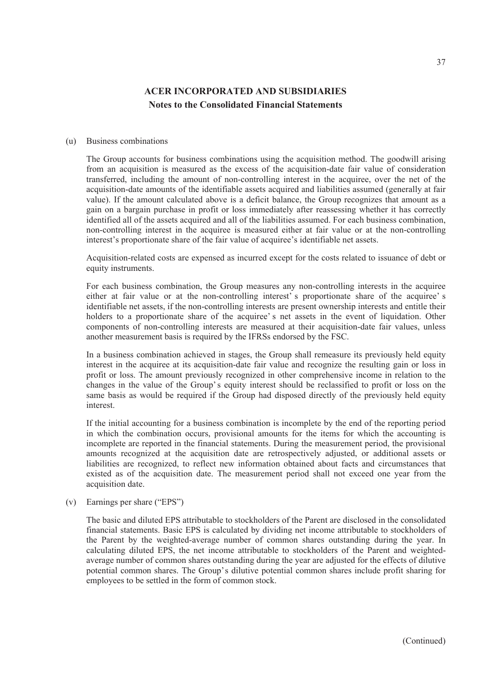#### (u) Business combinations

The Group accounts for business combinations using the acquisition method. The goodwill arising from an acquisition is measured as the excess of the acquisition-date fair value of consideration transferred, including the amount of non-controlling interest in the acquiree, over the net of the acquisition-date amounts of the identifiable assets acquired and liabilities assumed (generally at fair value). If the amount calculated above is a deficit balance, the Group recognizes that amount as a gain on a bargain purchase in profit or loss immediately after reassessing whether it has correctly identified all of the assets acquired and all of the liabilities assumed. For each business combination, non-controlling interest in the acquiree is measured either at fair value or at the non-controlling interest's proportionate share of the fair value of acquiree's identifiable net assets.

Acquisition-related costs are expensed as incurred except for the costs related to issuance of debt or equity instruments.

For each business combination, the Group measures any non-controlling interests in the acquiree either at fair value or at the non-controlling interest' s proportionate share of the acquiree' s identifiable net assets, if the non-controlling interests are present ownership interests and entitle their holders to a proportionate share of the acquiree' s net assets in the event of liquidation. Other components of non-controlling interests are measured at their acquisition-date fair values, unless another measurement basis is required by the IFRSs endorsed by the FSC.

In a business combination achieved in stages, the Group shall remeasure its previously held equity interest in the acquiree at its acquisition-date fair value and recognize the resulting gain or loss in profit or loss. The amount previously recognized in other comprehensive income in relation to the changes in the value of the Group's equity interest should be reclassified to profit or loss on the same basis as would be required if the Group had disposed directly of the previously held equity interest.

If the initial accounting for a business combination is incomplete by the end of the reporting period in which the combination occurs, provisional amounts for the items for which the accounting is incomplete are reported in the financial statements. During the measurement period, the provisional amounts recognized at the acquisition date are retrospectively adjusted, or additional assets or liabilities are recognized, to reflect new information obtained about facts and circumstances that existed as of the acquisition date. The measurement period shall not exceed one year from the acquisition date.

(v) Earnings per share ("EPS")

The basic and diluted EPS attributable to stockholders of the Parent are disclosed in the consolidated financial statements. Basic EPS is calculated by dividing net income attributable to stockholders of the Parent by the weighted-average number of common shares outstanding during the year. In calculating diluted EPS, the net income attributable to stockholders of the Parent and weightedaverage number of common shares outstanding during the year are adjusted for the effects of dilutive potential common shares. The Group's dilutive potential common shares include profit sharing for employees to be settled in the form of common stock.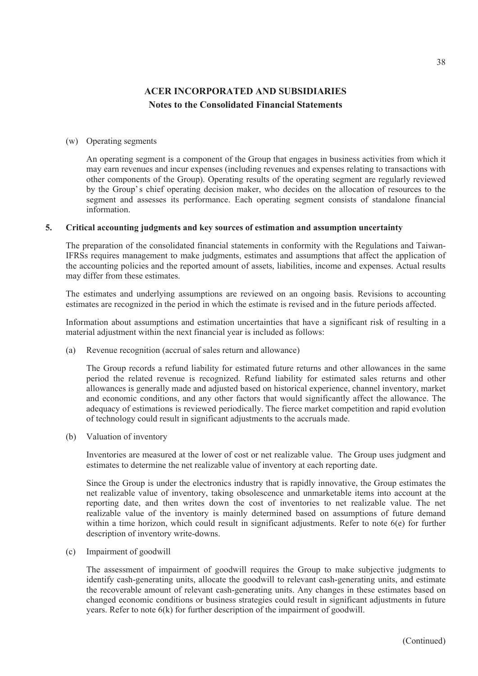#### (w) Operating segments

An operating segment is a component of the Group that engages in business activities from which it may earn revenues and incur expenses (including revenues and expenses relating to transactions with other components of the Group). Operating results of the operating segment are regularly reviewed by the Group's chief operating decision maker, who decides on the allocation of resources to the segment and assesses its performance. Each operating segment consists of standalone financial information.

#### **5. Critical accounting judgments and key sources of estimation and assumption uncertainty**

The preparation of the consolidated financial statements in conformity with the Regulations and Taiwan-IFRSs requires management to make judgments, estimates and assumptions that affect the application of the accounting policies and the reported amount of assets, liabilities, income and expenses. Actual results may differ from these estimates.

The estimates and underlying assumptions are reviewed on an ongoing basis. Revisions to accounting estimates are recognized in the period in which the estimate is revised and in the future periods affected.

Information about assumptions and estimation uncertainties that have a significant risk of resulting in a material adjustment within the next financial year is included as follows:

(a) Revenue recognition (accrual of sales return and allowance)

The Group records a refund liability for estimated future returns and other allowances in the same period the related revenue is recognized. Refund liability for estimated sales returns and other allowances is generally made and adjusted based on historical experience, channel inventory, market and economic conditions, and any other factors that would significantly affect the allowance. The adequacy of estimations is reviewed periodically. The fierce market competition and rapid evolution of technology could result in significant adjustments to the accruals made.

(b) Valuation of inventory

Inventories are measured at the lower of cost or net realizable value. The Group uses judgment and estimates to determine the net realizable value of inventory at each reporting date.

Since the Group is under the electronics industry that is rapidly innovative, the Group estimates the net realizable value of inventory, taking obsolescence and unmarketable items into account at the reporting date, and then writes down the cost of inventories to net realizable value. The net realizable value of the inventory is mainly determined based on assumptions of future demand within a time horizon, which could result in significant adjustments. Refer to note 6(e) for further description of inventory write-downs.

(c) Impairment of goodwill

The assessment of impairment of goodwill requires the Group to make subjective judgments to identify cash-generating units, allocate the goodwill to relevant cash-generating units, and estimate the recoverable amount of relevant cash-generating units. Any changes in these estimates based on changed economic conditions or business strategies could result in significant adjustments in future years. Refer to note 6(k) for further description of the impairment of goodwill.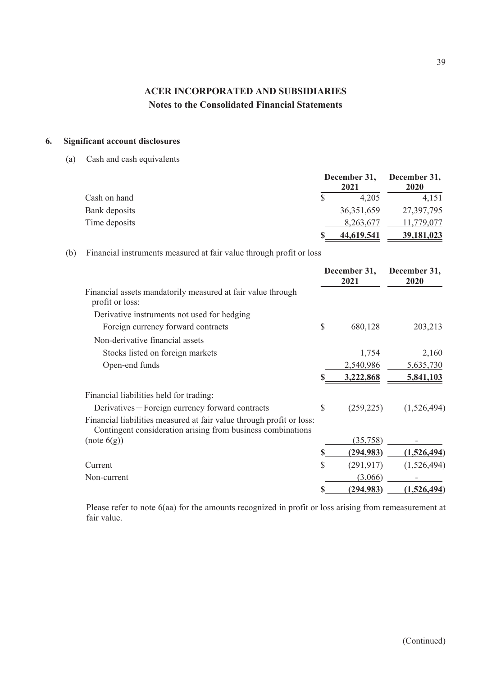### **6. Significant account disclosures**

(a) Cash and cash equivalents

|               | 2021         | December 31, December 31,<br><b>2020</b> |
|---------------|--------------|------------------------------------------|
| Cash on hand  | 4,205        | 4.151                                    |
| Bank deposits | 36, 351, 659 | 27,397,795                               |
| Time deposits | 8,263,677    | 11,779,077                               |
|               | 44,619,541   | 39,181,023                               |

(b) Financial instruments measured at fair value through profit or loss

|                                                                                                                                     | December 31,<br>2021 | December 31,<br>2020 |
|-------------------------------------------------------------------------------------------------------------------------------------|----------------------|----------------------|
| Financial assets mandatorily measured at fair value through<br>profit or loss:                                                      |                      |                      |
| Derivative instruments not used for hedging                                                                                         |                      |                      |
| Foreign currency forward contracts                                                                                                  | \$<br>680,128        | 203,213              |
| Non-derivative financial assets                                                                                                     |                      |                      |
| Stocks listed on foreign markets                                                                                                    | 1,754                | 2,160                |
| Open-end funds                                                                                                                      | 2,540,986            | 5,635,730            |
|                                                                                                                                     | 3,222,868            | 5,841,103            |
| Financial liabilities held for trading:                                                                                             |                      |                      |
| Derivatives – Foreign currency forward contracts                                                                                    | \$<br>(259, 225)     | (1,526,494)          |
| Financial liabilities measured at fair value through profit or loss:<br>Contingent consideration arising from business combinations |                      |                      |
| (note (6(g))                                                                                                                        | (35,758)             |                      |
|                                                                                                                                     | (294, 983)           | (1,526,494)          |
| Current                                                                                                                             | \$<br>(291, 917)     | (1,526,494)          |
| Non-current                                                                                                                         | (3,066)              |                      |
|                                                                                                                                     | (294, 983)           | (1,526,494)          |

Please refer to note 6(aa) for the amounts recognized in profit or loss arising from remeasurement at fair value.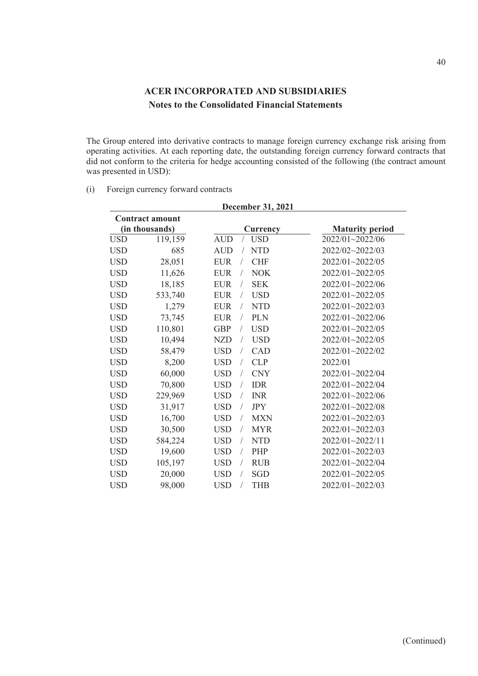The Group entered into derivative contracts to manage foreign currency exchange risk arising from operating activities. At each reporting date, the outstanding foreign currency forward contracts that did not conform to the criteria for hedge accounting consisted of the following (the contract amount was presented in USD):

(i) Foreign currency forward contracts

|            | <b>December 31, 2021</b> |                                            |                        |  |  |  |  |
|------------|--------------------------|--------------------------------------------|------------------------|--|--|--|--|
|            | <b>Contract amount</b>   |                                            |                        |  |  |  |  |
|            | (in thousands)           | <b>Currency</b>                            | <b>Maturity period</b> |  |  |  |  |
| <b>USD</b> | 119,159                  | <b>AUD</b><br><b>USD</b>                   | 2022/01~2022/06        |  |  |  |  |
| <b>USD</b> | 685                      | <b>AUD</b><br><b>NTD</b>                   | 2022/02~2022/03        |  |  |  |  |
| <b>USD</b> | 28,051                   | <b>EUR</b><br><b>CHF</b>                   | 2022/01~2022/05        |  |  |  |  |
| <b>USD</b> | 11,626                   | <b>EUR</b><br><b>NOK</b><br>$\overline{1}$ | 2022/01~2022/05        |  |  |  |  |
| <b>USD</b> | 18,185                   | <b>SEK</b><br><b>EUR</b>                   | 2022/01~2022/06        |  |  |  |  |
| <b>USD</b> | 533,740                  | <b>EUR</b><br><b>USD</b><br>$\sqrt{2}$     | 2022/01~2022/05        |  |  |  |  |
| <b>USD</b> | 1,279                    | <b>NTD</b><br><b>EUR</b>                   | 2022/01~2022/03        |  |  |  |  |
| <b>USD</b> | 73,745                   | <b>EUR</b><br><b>PLN</b><br>$\sqrt{2}$     | 2022/01~2022/06        |  |  |  |  |
| <b>USD</b> | 110,801                  | <b>USD</b><br><b>GBP</b><br>$\sqrt{2}$     | 2022/01~2022/05        |  |  |  |  |
| <b>USD</b> | 10,494                   | <b>USD</b><br><b>NZD</b><br>$\sqrt{2}$     | 2022/01~2022/05        |  |  |  |  |
| <b>USD</b> | 58,479                   | <b>USD</b><br>CAD                          | 2022/01~2022/02        |  |  |  |  |
| <b>USD</b> | 8,200                    | <b>USD</b><br><b>CLP</b><br>$\sqrt{2}$     | 2022/01                |  |  |  |  |
| <b>USD</b> | 60,000                   | <b>USD</b><br><b>CNY</b><br>$\sqrt{2}$     | $2022/01 - 2022/04$    |  |  |  |  |
| <b>USD</b> | 70,800                   | <b>USD</b><br><b>IDR</b><br>$\sqrt{ }$     | 2022/01~2022/04        |  |  |  |  |
| <b>USD</b> | 229,969                  | <b>USD</b><br><b>INR</b><br>$\sqrt{2}$     | 2022/01~2022/06        |  |  |  |  |
| <b>USD</b> | 31,917                   | <b>USD</b><br><b>JPY</b><br>$\sqrt{2}$     | 2022/01~2022/08        |  |  |  |  |
| <b>USD</b> | 16,700                   | <b>USD</b><br><b>MXN</b>                   | 2022/01~2022/03        |  |  |  |  |
| <b>USD</b> | 30,500                   | <b>MYR</b><br><b>USD</b><br>$\sqrt{2}$     | 2022/01~2022/03        |  |  |  |  |
| <b>USD</b> | 584,224                  | <b>USD</b><br><b>NTD</b><br>$\sqrt{2}$     | 2022/01~2022/11        |  |  |  |  |
| <b>USD</b> | 19,600                   | <b>USD</b><br>PHP<br>$\sqrt{2}$            | 2022/01~2022/03        |  |  |  |  |
| <b>USD</b> | 105,197                  | <b>USD</b><br><b>RUB</b>                   | 2022/01~2022/04        |  |  |  |  |
| <b>USD</b> | 20,000                   | <b>USD</b><br><b>SGD</b><br>$\overline{1}$ | 2022/01~2022/05        |  |  |  |  |
| <b>USD</b> | 98,000                   | <b>USD</b><br><b>THB</b>                   | 2022/01~2022/03        |  |  |  |  |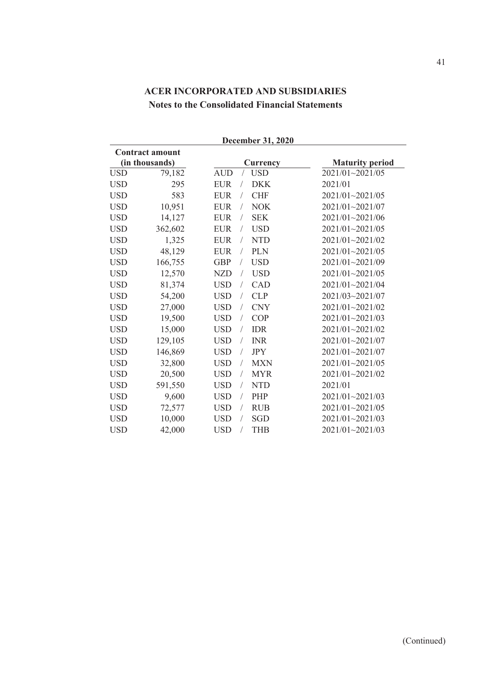|            | <b>Contract amount</b> |                                           |                        |  |  |  |  |
|------------|------------------------|-------------------------------------------|------------------------|--|--|--|--|
|            | (in thousands)         | Currency                                  | <b>Maturity period</b> |  |  |  |  |
| <b>USD</b> | 79,182                 | <b>AUD</b><br><b>USD</b>                  | 2021/01~2021/05        |  |  |  |  |
| <b>USD</b> | 295                    | <b>EUR</b><br><b>DKK</b>                  | 2021/01                |  |  |  |  |
| <b>USD</b> | 583                    | <b>CHF</b><br><b>EUR</b><br>$\sqrt{2}$    | 2021/01~2021/05        |  |  |  |  |
| <b>USD</b> | 10,951                 | <b>EUR</b><br><b>NOK</b>                  | $2021/01 - 2021/07$    |  |  |  |  |
| <b>USD</b> | 14,127                 | <b>SEK</b><br><b>EUR</b><br>$\sqrt{2}$    | 2021/01~2021/06        |  |  |  |  |
| <b>USD</b> | 362,602                | <b>USD</b><br><b>EUR</b><br>$\sqrt{2}$    | 2021/01~2021/05        |  |  |  |  |
| <b>USD</b> | 1,325                  | <b>NTD</b><br><b>EUR</b>                  | $2021/01 - 2021/02$    |  |  |  |  |
| <b>USD</b> | 48,129                 | <b>PLN</b><br><b>EUR</b><br>$\sqrt{2}$    | 2021/01~2021/05        |  |  |  |  |
| <b>USD</b> | 166,755                | <b>GBP</b><br><b>USD</b>                  | 2021/01~2021/09        |  |  |  |  |
| <b>USD</b> | 12,570                 | <b>USD</b><br><b>NZD</b><br>$\frac{1}{2}$ | 2021/01~2021/05        |  |  |  |  |
| <b>USD</b> | 81,374                 | <b>USD</b><br>CAD<br>$\sqrt{2}$           | 2021/01~2021/04        |  |  |  |  |
| <b>USD</b> | 54,200                 | <b>USD</b><br><b>CLP</b><br>$\sqrt{2}$    | 2021/03~2021/07        |  |  |  |  |
| <b>USD</b> | 27,000                 | <b>USD</b><br><b>CNY</b><br>$\sqrt{2}$    | 2021/01~2021/02        |  |  |  |  |
| <b>USD</b> | 19,500                 | <b>COP</b><br><b>USD</b><br>$\sqrt{2}$    | 2021/01~2021/03        |  |  |  |  |
| <b>USD</b> | 15,000                 | <b>USD</b><br><b>IDR</b><br>$\sqrt{2}$    | 2021/01~2021/02        |  |  |  |  |
| <b>USD</b> | 129,105                | <b>INR</b><br><b>USD</b><br>$\sqrt{2}$    | 2021/01~2021/07        |  |  |  |  |
| <b>USD</b> | 146,869                | <b>USD</b><br><b>JPY</b>                  | 2021/01~2021/07        |  |  |  |  |
| <b>USD</b> | 32,800                 | <b>USD</b><br><b>MXN</b><br>$\frac{1}{2}$ | 2021/01~2021/05        |  |  |  |  |
| <b>USD</b> | 20,500                 | <b>USD</b><br><b>MYR</b><br>$\sqrt{2}$    | 2021/01~2021/02        |  |  |  |  |
| <b>USD</b> | 591,550                | <b>USD</b><br><b>NTD</b><br>$\sqrt{2}$    | 2021/01                |  |  |  |  |
| <b>USD</b> | 9,600                  | <b>USD</b><br>PHP<br>$\sqrt{2}$           | 2021/01~2021/03        |  |  |  |  |
| <b>USD</b> | 72,577                 | <b>RUB</b><br><b>USD</b><br>$\sqrt{2}$    | 2021/01~2021/05        |  |  |  |  |
| <b>USD</b> | 10,000                 | <b>USD</b><br><b>SGD</b><br>$\sqrt{2}$    | 2021/01~2021/03        |  |  |  |  |
| <b>USD</b> | 42,000                 | <b>USD</b><br><b>THB</b><br>$\sqrt{2}$    | 2021/01~2021/03        |  |  |  |  |

**December 31, 2020**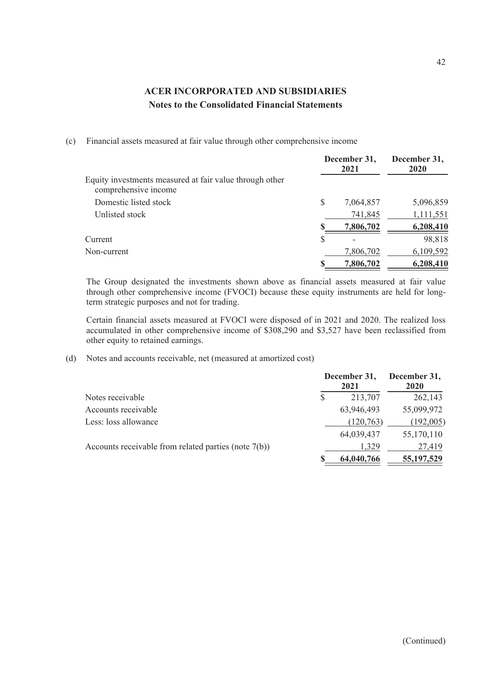(c) Financial assets measured at fair value through other comprehensive income

|                                                                                 | December 31,<br>2021 |           | December 31,<br><b>2020</b> |
|---------------------------------------------------------------------------------|----------------------|-----------|-----------------------------|
| Equity investments measured at fair value through other<br>comprehensive income |                      |           |                             |
| Domestic listed stock                                                           | S                    | 7,064,857 | 5,096,859                   |
| Unlisted stock                                                                  |                      | 741,845   | 1,111,551                   |
|                                                                                 |                      | 7,806,702 | 6,208,410                   |
| Current                                                                         | S                    |           | 98,818                      |
| Non-current                                                                     |                      | 7,806,702 | 6,109,592                   |
|                                                                                 |                      | 7,806,702 | 6,208,410                   |

The Group designated the investments shown above as financial assets measured at fair value through other comprehensive income (FVOCI) because these equity instruments are held for longterm strategic purposes and not for trading.

Certain financial assets measured at FVOCI were disposed of in 2021 and 2020. The realized loss accumulated in other comprehensive income of \$308,290 and \$3,527 have been reclassified from other equity to retained earnings.

(d) Notes and accounts receivable, net (measured at amortized cost)

|                                                         | December 31,<br>2021 | December 31,<br><b>2020</b> |
|---------------------------------------------------------|----------------------|-----------------------------|
| Notes receivable                                        | 213,707              | 262,143                     |
| Accounts receivable                                     | 63,946,493           | 55,099,972                  |
| Less: loss allowance                                    | (120,763)            | (192,005)                   |
|                                                         | 64,039,437           | 55,170,110                  |
| Accounts receivable from related parties (note $7(b)$ ) | 1.329                | 27,419                      |
|                                                         | 64,040,766           | 55, 197, 529                |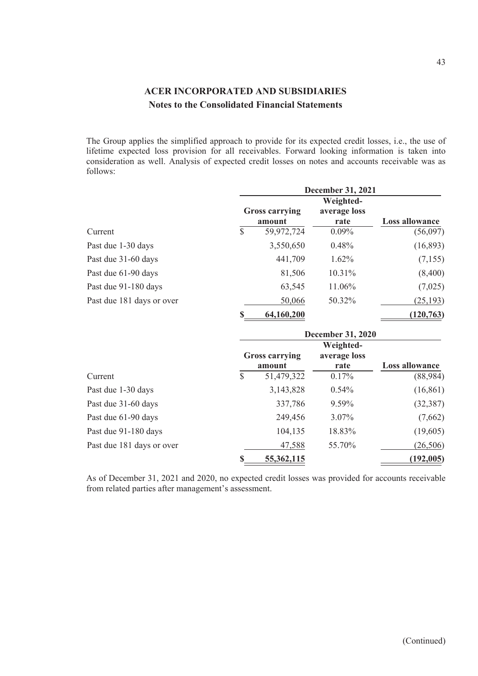The Group applies the simplified approach to provide for its expected credit losses, i.e., the use of lifetime expected loss provision for all receivables. Forward looking information is taken into consideration as well. Analysis of expected credit losses on notes and accounts receivable was as follows:

|                           | <b>December 31, 2021</b>        |                      |                       |  |  |
|---------------------------|---------------------------------|----------------------|-----------------------|--|--|
|                           | Weighted-                       |                      |                       |  |  |
|                           | <b>Gross carrying</b><br>amount | average loss<br>rate | <b>Loss allowance</b> |  |  |
| Current                   | \$<br>59,972,724                | $0.09\%$             | (56,097)              |  |  |
| Past due 1-30 days        | 3,550,650                       | 0.48%                | (16,893)              |  |  |
| Past due 31-60 days       | 441,709                         | $1.62\%$             | (7,155)               |  |  |
| Past due 61-90 days       | 81,506                          | 10.31%               | (8,400)               |  |  |
| Past due 91-180 days      | 63,545                          | 11.06%               | (7,025)               |  |  |
| Past due 181 days or over | 50,066                          | 50.32%               | (25, 193)             |  |  |
|                           | \$<br>64,160,200                |                      | (120, 763)            |  |  |

|                           |               | <b>December 31, 2020</b>        |                      |                       |  |  |
|---------------------------|---------------|---------------------------------|----------------------|-----------------------|--|--|
|                           |               |                                 |                      |                       |  |  |
|                           |               | <b>Gross carrying</b><br>amount | average loss<br>rate | <b>Loss allowance</b> |  |  |
| Current                   | $\mathcal{S}$ | 51,479,322                      | 0.17%                | (88,984)              |  |  |
| Past due 1-30 days        |               | 3,143,828                       | $0.54\%$             | (16, 861)             |  |  |
| Past due 31-60 days       |               | 337,786                         | 9.59%                | (32, 387)             |  |  |
| Past due 61-90 days       |               | 249,456                         | $3.07\%$             | (7,662)               |  |  |
| Past due 91-180 days      |               | 104,135                         | 18.83%               | (19,605)              |  |  |
| Past due 181 days or over |               | 47,588                          | 55.70%               | (26,506)              |  |  |
|                           | $\mathbf S$   | 55, 362, 115                    |                      | (192, 005)            |  |  |

As of December 31, 2021 and 2020, no expected credit losses was provided for accounts receivable from related parties after management's assessment.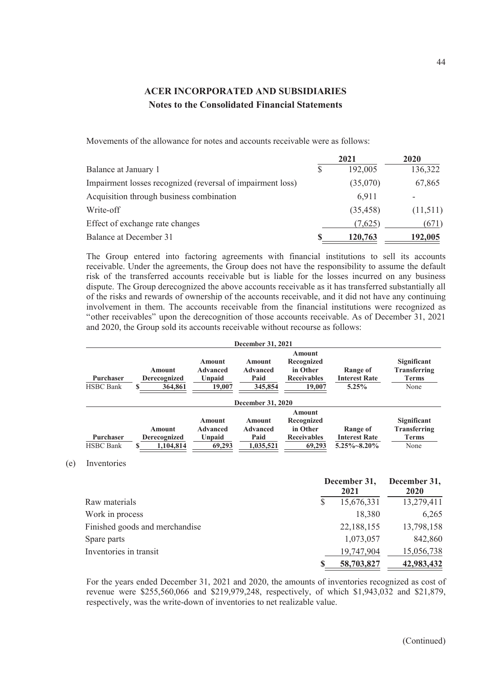Movements of the allowance for notes and accounts receivable were as follows:

|                                                            | 2021      | 2020     |
|------------------------------------------------------------|-----------|----------|
| Balance at January 1                                       | 192,005   | 136,322  |
| Impairment losses recognized (reversal of impairment loss) | (35,070)  | 67,865   |
| Acquisition through business combination                   | 6,911     |          |
| Write-off                                                  | (35, 458) | (11,511) |
| Effect of exchange rate changes                            | (7,625)   | (671)    |
| Balance at December 31                                     | 120,763   | 192,005  |

The Group entered into factoring agreements with financial institutions to sell its accounts receivable. Under the agreements, the Group does not have the responsibility to assume the default risk of the transferred accounts receivable but is liable for the losses incurred on any business dispute. The Group derecognized the above accounts receivable as it has transferred substantially all of the risks and rewards of ownership of the accounts receivable, and it did not have any continuing involvement in them. The accounts receivable from the financial institutions were recognized as "other receivables" upon the derecognition of those accounts receivable. As of December 31, 2021 and 2020, the Group sold its accounts receivable without recourse as follows:

|                                      |                                     |                                                      | December 31, 2021                              |                                                                  |                                                       |                                                            |
|--------------------------------------|-------------------------------------|------------------------------------------------------|------------------------------------------------|------------------------------------------------------------------|-------------------------------------------------------|------------------------------------------------------------|
| Purchaser<br><b>HSBC</b> Bank        | Amount<br>Derecognized<br>364,861   | <b>Amount</b><br><b>Advanced</b><br>Unpaid<br>19,007 | Amount<br><b>Advanced</b><br>Paid<br>345,854   | Amount<br>Recognized<br>in Other<br><b>Receivables</b><br>19,007 | Range of<br><b>Interest Rate</b><br>5.25%             | Significant<br><b>Transferring</b><br><b>Terms</b><br>None |
|                                      |                                     |                                                      | December 31, 2020                              |                                                                  |                                                       |                                                            |
| <b>Purchaser</b><br><b>HSBC</b> Bank | Amount<br>Derecognized<br>1,104,814 | <b>Amount</b><br><b>Advanced</b><br>Unpaid<br>69,293 | Amount<br><b>Advanced</b><br>Paid<br>1,035,521 | Amount<br>Recognized<br>in Other<br><b>Receivables</b><br>69,293 | Range of<br><b>Interest Rate</b><br>$5.25\% - 8.20\%$ | Significant<br><b>Transferring</b><br><b>Terms</b><br>None |

(e) Inventories

|                                | December 31, |            | December 31, |  |
|--------------------------------|--------------|------------|--------------|--|
|                                |              | 2021       | <b>2020</b>  |  |
| Raw materials                  |              | 15,676,331 | 13,279,411   |  |
| Work in process                |              | 18,380     | 6,265        |  |
| Finished goods and merchandise |              | 22,188,155 | 13,798,158   |  |
| Spare parts                    |              | 1,073,057  | 842,860      |  |
| Inventories in transit         |              | 19,747,904 | 15,056,738   |  |
|                                |              | 58,703,827 | 42,983,432   |  |

For the years ended December 31, 2021 and 2020, the amounts of inventories recognized as cost of revenue were \$255,560,066 and \$219,979,248, respectively, of which \$1,943,032 and \$21,879, respectively, was the write-down of inventories to net realizable value.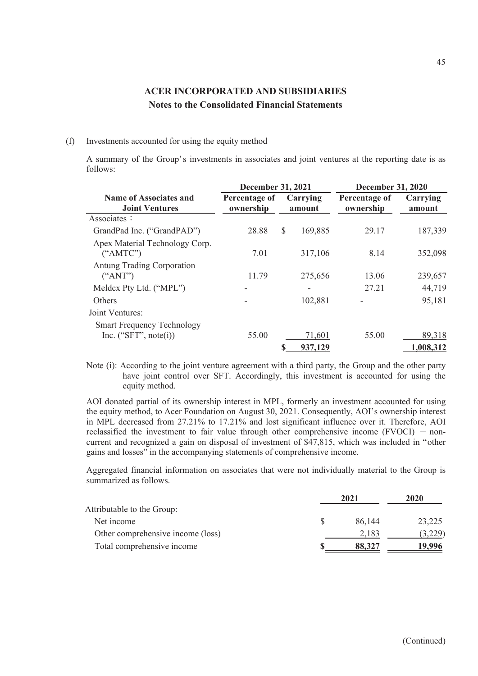#### (f) Investments accounted for using the equity method

A summary of the Group's investments in associates and joint ventures at the reporting date is as follows:

|                                                              | <b>December 31, 2021</b>   |                    | <b>December 31, 2020</b>   |                    |  |
|--------------------------------------------------------------|----------------------------|--------------------|----------------------------|--------------------|--|
| <b>Name of Associates and</b><br><b>Joint Ventures</b>       | Percentage of<br>ownership | Carrying<br>amount | Percentage of<br>ownership | Carrying<br>amount |  |
| Associates:                                                  |                            |                    |                            |                    |  |
| GrandPad Inc. ("GrandPAD")                                   | 28.88                      | \$<br>169,885      | 29.17                      | 187,339            |  |
| Apex Material Technology Corp.<br>("AMTC")                   | 7.01                       | 317,106            | 8.14                       | 352,098            |  |
| <b>Antung Trading Corporation</b><br>("ANT")                 | 11.79                      | 275,656            | 13.06                      | 239,657            |  |
| Meldcx Pty Ltd. ("MPL")                                      |                            |                    | 27.21                      | 44,719             |  |
| <b>Others</b>                                                |                            | 102,881            |                            | 95,181             |  |
| Joint Ventures:                                              |                            |                    |                            |                    |  |
| <b>Smart Frequency Technology</b><br>Inc. $("SFT", note(i))$ | 55.00                      | 71,601             | 55.00                      | 89,318             |  |
|                                                              |                            | \$<br>937,129      |                            | 1,008,312          |  |

Note (i): According to the joint venture agreement with a third party, the Group and the other party have joint control over SFT. Accordingly, this investment is accounted for using the equity method.

AOI donated partial of its ownership interest in MPL, formerly an investment accounted for using the equity method, to Acer Foundation on August 30, 2021. Consequently, AOI's ownership interest in MPL decreased from 27.21% to 17.21% and lost significant influence over it. Therefore, AOI reclassified the investment to fair value through other comprehensive income  $(FVOCI)$  - noncurrent and recognized a gain on disposal of investment of \$47,815, which was included in "other gains and losses" in the accompanying statements of comprehensive income.

Aggregated financial information on associates that were not individually material to the Group is summarized as follows.

|                                   | 2021   | 2020    |  |
|-----------------------------------|--------|---------|--|
| Attributable to the Group:        |        |         |  |
| Net income                        | 86.144 | 23,225  |  |
| Other comprehensive income (loss) | 2.183  | (3,229) |  |
| Total comprehensive income        | 88,327 | 19.996  |  |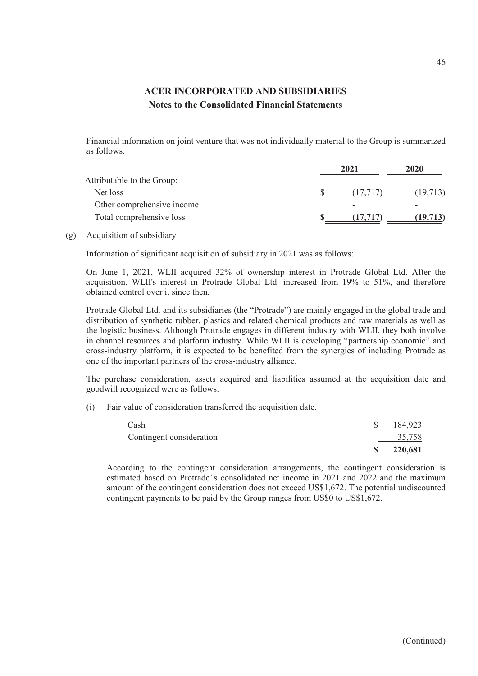Financial information on joint venture that was not individually material to the Group is summarized as follows.

|                            | 2021     | 2020      |  |
|----------------------------|----------|-----------|--|
| Attributable to the Group: |          |           |  |
| Net loss                   | (17,717) | (19,713)  |  |
| Other comprehensive income |          | -         |  |
| Total comprehensive loss   |          | (19, 713) |  |

(g) Acquisition of subsidiary

Information of significant acquisition of subsidiary in 2021 was as follows:

On June 1, 2021, WLII acquired 32% of ownership interest in Protrade Global Ltd. After the acquisition, WLII's interest in Protrade Global Ltd. increased from 19% to 51%, and therefore obtained control over it since then.

Protrade Global Ltd. and its subsidiaries (the "Protrade") are mainly engaged in the global trade and distribution of synthetic rubber, plastics and related chemical products and raw materials as well as the logistic business. Although Protrade engages in different industry with WLII, they both involve in channel resources and platform industry. While WLII is developing "partnership economic" and cross-industry platform, it is expected to be benefited from the synergies of including Protrade as one of the important partners of the cross-industry alliance.

The purchase consideration, assets acquired and liabilities assumed at the acquisition date and goodwill recognized were as follows:

(i) Fair value of consideration transferred the acquisition date.

| Cash                     | 184,923 |
|--------------------------|---------|
| Contingent consideration | 35,758  |
|                          | 220,681 |

According to the contingent consideration arrangements, the contingent consideration is estimated based on Protrade's consolidated net income in 2021 and 2022 and the maximum amount of the contingent consideration does not exceed US\$1,672. The potential undiscounted contingent payments to be paid by the Group ranges from US\$0 to US\$1,672.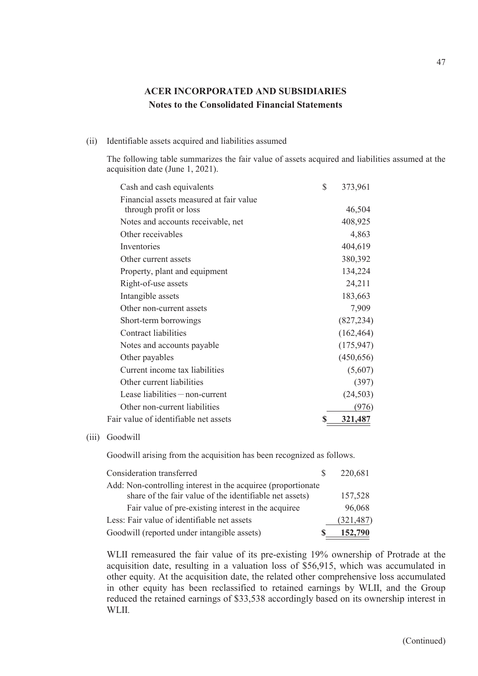### (ii) Identifiable assets acquired and liabilities assumed

The following table summarizes the fair value of assets acquired and liabilities assumed at the acquisition date (June 1, 2021).

| Cash and cash equivalents               | \$ | 373,961    |
|-----------------------------------------|----|------------|
| Financial assets measured at fair value |    |            |
| through profit or loss                  |    | 46,504     |
| Notes and accounts receivable, net      |    | 408,925    |
| Other receivables                       |    | 4,863      |
| Inventories                             |    | 404,619    |
| Other current assets                    |    | 380,392    |
| Property, plant and equipment           |    | 134,224    |
| Right-of-use assets                     |    | 24,211     |
| Intangible assets                       |    | 183,663    |
| Other non-current assets                |    | 7,909      |
| Short-term borrowings                   |    | (827, 234) |
| Contract liabilities                    |    | (162, 464) |
| Notes and accounts payable              |    | (175, 947) |
| Other payables                          |    | (450, 656) |
| Current income tax liabilities          |    | (5,607)    |
| Other current liabilities               |    | (397)      |
| Lease liabilities $-$ non-current       |    | (24, 503)  |
| Other non-current liabilities           |    | (976)      |
| Fair value of identifiable net assets   | S  | 321,487    |

#### (iii) Goodwill

Goodwill arising from the acquisition has been recognized as follows.

| Consideration transferred                                                                                               | 220,681    |
|-------------------------------------------------------------------------------------------------------------------------|------------|
| Add: Non-controlling interest in the acquiree (proportionate<br>share of the fair value of the identifiable net assets) | 157,528    |
| Fair value of pre-existing interest in the acquiree                                                                     | 96,068     |
| Less: Fair value of identifiable net assets                                                                             | (321, 487) |
| Goodwill (reported under intangible assets)                                                                             | 152,790    |

WLII remeasured the fair value of its pre-existing 19% ownership of Protrade at the acquisition date, resulting in a valuation loss of \$56,915, which was accumulated in other equity. At the acquisition date, the related other comprehensive loss accumulated in other equity has been reclassified to retained earnings by WLII, and the Group reduced the retained earnings of \$33,538 accordingly based on its ownership interest in WLII.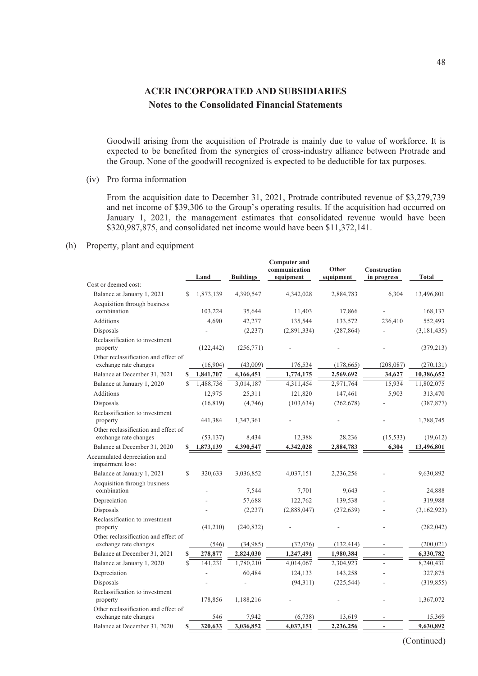Goodwill arising from the acquisition of Protrade is mainly due to value of workforce. It is expected to be benefited from the synergies of cross-industry alliance between Protrade and the Group. None of the goodwill recognized is expected to be deductible for tax purposes.

(iv) Pro forma information

From the acquisition date to December 31, 2021, Protrade contributed revenue of \$3,279,739 and net income of \$39,306 to the Group's operating results. If the acquisition had occurred on January 1, 2021, the management estimates that consolidated revenue would have been \$320,987,875, and consolidated net income would have been \$11,372,141.

(h) Property, plant and equipment

|                                                               |              | Land       | <b>Buildings</b> | <b>Computer and</b><br>communication<br>equipment | Other<br>equipment | <b>Construction</b><br>in progress | <b>Total</b>  |
|---------------------------------------------------------------|--------------|------------|------------------|---------------------------------------------------|--------------------|------------------------------------|---------------|
| Cost or deemed cost:                                          |              |            |                  |                                                   |                    |                                    |               |
| Balance at January 1, 2021                                    | S.           | 1,873,139  | 4,390,547        | 4,342,028                                         | 2,884,783          | 6,304                              | 13,496,801    |
| Acquisition through business                                  |              |            |                  |                                                   |                    |                                    |               |
| combination                                                   |              | 103,224    | 35,644           | 11,403                                            | 17,866             |                                    | 168,137       |
| Additions                                                     |              | 4,690      | 42,277           | 135,544                                           | 133,572            | 236,410                            | 552,493       |
| Disposals                                                     |              |            | (2, 237)         | (2,891,334)                                       | (287, 864)         |                                    | (3, 181, 435) |
| Reclassification to investment<br>property                    |              | (122, 442) | (256, 771)       |                                                   |                    |                                    | (379, 213)    |
| Other reclassification and effect of<br>exchange rate changes |              | (16,904)   | (43,009)         | 176,534                                           | (178, 665)         | (208, 087)                         | (270, 131)    |
| Balance at December 31, 2021                                  | S            | 1,841,707  | 4,166,451        | 1,774,175                                         | 2,569,692          | 34,627                             | 10,386,652    |
| Balance at January 1, 2020                                    | \$.          | 1,488,736  | 3,014,187        | 4,311,454                                         | 2,971,764          | 15,934                             | 11,802,075    |
| Additions                                                     |              | 12,975     | 25,311           | 121,820                                           | 147,461            | 5.903                              | 313,470       |
| Disposals                                                     |              | (16, 819)  | (4,746)          | (103, 634)                                        | (262, 678)         |                                    | (387, 877)    |
| Reclassification to investment<br>property                    |              | 441,384    | 1,347,361        |                                                   |                    |                                    | 1,788,745     |
| Other reclassification and effect of                          |              |            |                  |                                                   |                    |                                    |               |
| exchange rate changes                                         |              | (53, 137)  | 8,434            | 12,388                                            | 28,236             | (15, 533)                          | (19,612)      |
| Balance at December 31, 2020                                  |              | 1,873,139  | 4,390,547        | 4,342,028                                         | 2,884,783          | 6,304                              | 13,496,801    |
| Accumulated depreciation and<br>impairment loss:              |              |            |                  |                                                   |                    |                                    |               |
| Balance at January 1, 2021                                    | $\mathbb{S}$ | 320,633    | 3,036,852        | 4,037,151                                         | 2,236,256          |                                    | 9,630,892     |
| Acquisition through business<br>combination                   |              |            | 7,544            | 7,701                                             | 9,643              |                                    | 24,888        |
| Depreciation                                                  |              |            | 57,688           | 122,762                                           | 139,538            |                                    | 319,988       |
| Disposals                                                     |              |            | (2,237)          | (2,888,047)                                       | (272, 639)         |                                    | (3,162,923)   |
| Reclassification to investment<br>property                    |              | (41,210)   | (240, 832)       |                                                   |                    |                                    | (282, 042)    |
| Other reclassification and effect of<br>exchange rate changes |              | (546)      | (34,985)         | (32,076)                                          | (132, 414)         |                                    | (200, 021)    |
| Balance at December 31, 2021                                  |              | 278,877    | 2,824,030        | 1,247,491                                         | 1,980,384          |                                    | 6,330,782     |
| Balance at January 1, 2020                                    | S            | 141,231    | 1,780,210        | 4,014,067                                         | 2,304,923          |                                    | 8,240,431     |
| Depreciation                                                  |              |            | 60,484           | 124,133                                           | 143,258            |                                    | 327,875       |
| Disposals                                                     |              |            |                  | (94,311)                                          | (225, 544)         |                                    | (319, 855)    |
| Reclassification to investment<br>property                    |              | 178,856    | 1,188,216        |                                                   |                    |                                    | 1,367,072     |
| Other reclassification and effect of                          |              |            |                  |                                                   |                    |                                    |               |
| exchange rate changes                                         |              | 546        | 7,942            | (6,738)                                           | 13,619             |                                    | 15,369        |
| Balance at December 31, 2020                                  |              | 320,633    | 3,036,852        | 4,037,151                                         | 2,236,256          |                                    | 9,630,892     |
|                                                               |              |            |                  |                                                   |                    |                                    |               |

(Continued)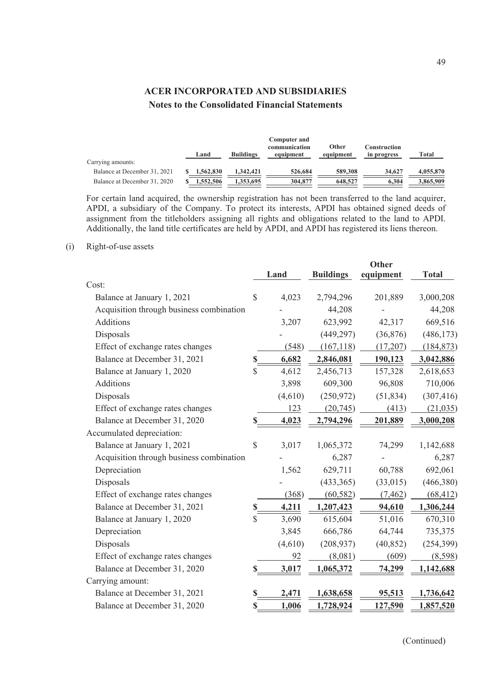|                              | Land      | <b>Buildings</b> | <b>Computer and</b><br>communication<br>equipment | Other<br>equipment | Construction<br>in progress | Total     |
|------------------------------|-----------|------------------|---------------------------------------------------|--------------------|-----------------------------|-----------|
| Carrying amounts:            |           |                  |                                                   |                    |                             |           |
| Balance at December 31, 2021 | 1,562,830 | 1.342.421        | 526,684                                           | 589,308            | 34,627                      | 4,055,870 |
| Balance at December 31, 2020 | .552.506  | 1.353.695        | 304,877                                           | 648,527            | 6.304                       | 3,865,909 |

For certain land acquired, the ownership registration has not been transferred to the land acquirer, APDI, a subsidiary of the Company. To protect its interests, APDI has obtained signed deeds of assignment from the titleholders assigning all rights and obligations related to the land to APDI. Additionally, the land title certificates are held by APDI, and APDI has registered its liens thereon.

#### (i) Right-of-use assets

|                                          |               | Land    | <b>Buildings</b> | <b>Other</b><br>equipment | <b>Total</b> |
|------------------------------------------|---------------|---------|------------------|---------------------------|--------------|
| Cost:                                    |               |         |                  |                           |              |
| Balance at January 1, 2021               | $\mathcal{S}$ | 4,023   | 2,794,296        | 201,889                   | 3,000,208    |
| Acquisition through business combination |               |         | 44,208           |                           | 44,208       |
| Additions                                |               | 3,207   | 623,992          | 42,317                    | 669,516      |
| Disposals                                |               |         | (449, 297)       | (36,876)                  | (486, 173)   |
| Effect of exchange rates changes         |               | (548)   | (167, 118)       | (17,207)                  | (184, 873)   |
| Balance at December 31, 2021             | \$            | 6,682   | 2,846,081        | 190,123                   | 3,042,886    |
| Balance at January 1, 2020               | \$            | 4,612   | 2,456,713        | 157,328                   | 2,618,653    |
| <b>Additions</b>                         |               | 3,898   | 609,300          | 96,808                    | 710,006      |
| Disposals                                |               | (4,610) | (250,972)        | (51, 834)                 | (307, 416)   |
| Effect of exchange rates changes         |               | 123     | (20, 745)        | (413)                     | (21, 035)    |
| Balance at December 31, 2020             | $\mathbb S$   | 4,023   | 2,794,296        | 201,889                   | 3,000,208    |
| Accumulated depreciation:                |               |         |                  |                           |              |
| Balance at January 1, 2021               | \$            | 3,017   | 1,065,372        | 74,299                    | 1,142,688    |
| Acquisition through business combination |               |         | 6,287            |                           | 6,287        |
| Depreciation                             |               | 1,562   | 629,711          | 60,788                    | 692,061      |
| Disposals                                |               |         | (433, 365)       | (33,015)                  | (466, 380)   |
| Effect of exchange rates changes         |               | (368)   | (60, 582)        | (7, 462)                  | (68, 412)    |
| Balance at December 31, 2021             | S             | 4,211   | 1,207,423        | 94,610                    | 1,306,244    |
| Balance at January 1, 2020               | \$            | 3,690   | 615,604          | 51,016                    | 670,310      |
| Depreciation                             |               | 3,845   | 666,786          | 64,744                    | 735,375      |
| Disposals                                |               | (4,610) | (208, 937)       | (40, 852)                 | (254, 399)   |
| Effect of exchange rates changes         |               | 92      | (8,081)          | (609)                     | (8,598)      |
| Balance at December 31, 2020             | S             | 3,017   | 1,065,372        | 74,299                    | 1,142,688    |
| Carrying amount:                         |               |         |                  |                           |              |
| Balance at December 31, 2021             | \$            | 2,471   | 1,638,658        | 95,513                    | 1,736,642    |
| Balance at December 31, 2020             | \$            | 1,006   | 1,728,924        | 127,590                   | 1,857,520    |

(Continued)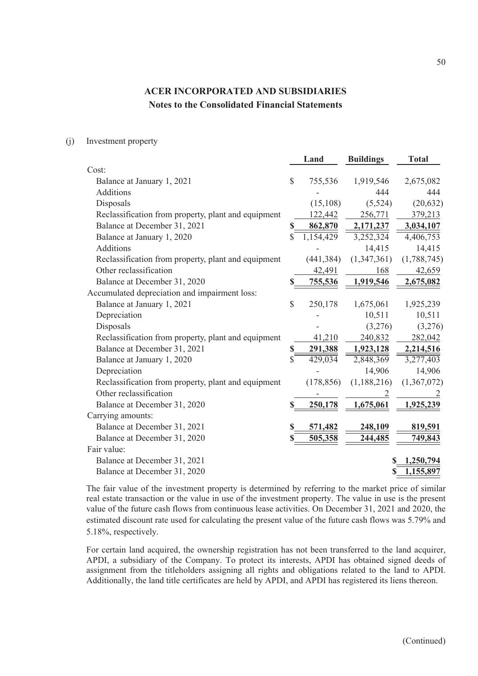(j) Investment property

|                                                     | Land            | <b>Buildings</b> | <b>Total</b>           |
|-----------------------------------------------------|-----------------|------------------|------------------------|
| Cost:                                               |                 |                  |                        |
| Balance at January 1, 2021                          | \$<br>755,536   | 1,919,546        | 2,675,082              |
| <b>Additions</b>                                    |                 | 444              | 444                    |
| Disposals                                           | (15, 108)       | (5,524)          | (20, 632)              |
| Reclassification from property, plant and equipment | 122,442         | 256,771          | 379,213                |
| Balance at December 31, 2021                        | \$<br>862,870   | 2,171,237        | 3,034,107              |
| Balance at January 1, 2020                          | \$<br>1,154,429 | 3,252,324        | 4,406,753              |
| Additions                                           |                 | 14,415           | 14,415                 |
| Reclassification from property, plant and equipment | (441, 384)      | (1,347,361)      | (1,788,745)            |
| Other reclassification                              | 42,491          | 168              | 42,659                 |
| Balance at December 31, 2020                        | <u>755,536</u>  | 1,919,546        | 2,675,082              |
| Accumulated depreciation and impairment loss:       |                 |                  |                        |
| Balance at January 1, 2021                          | \$<br>250,178   | 1,675,061        | 1,925,239              |
| Depreciation                                        |                 | 10,511           | 10,511                 |
| Disposals                                           |                 | (3,276)          | (3,276)                |
| Reclassification from property, plant and equipment | 41,210          | 240,832          | 282,042                |
| Balance at December 31, 2021                        | \$<br>291,388   | 1,923,128        | 2,214,516              |
| Balance at January 1, 2020                          | \$<br>429,034   | 2,848,369        | $\overline{3,}277,403$ |
| Depreciation                                        |                 | 14,906           | 14,906                 |
| Reclassification from property, plant and equipment | (178, 856)      | (1,188,216)      | (1,367,072)            |
| Other reclassification                              |                 |                  |                        |
| Balance at December 31, 2020                        | 250,178         | 1,675,061        | 1,925,239              |
| Carrying amounts:                                   |                 |                  |                        |
| Balance at December 31, 2021                        | \$<br>571,482   | 248,109          | 819,591                |
| Balance at December 31, 2020                        | \$<br>505,358   | 244,485          | 749,843                |
| Fair value:                                         |                 |                  |                        |
| Balance at December 31, 2021                        |                 | S                | 1,250,794              |
| Balance at December 31, 2020                        |                 |                  | 1,155,897              |
|                                                     |                 |                  |                        |

The fair value of the investment property is determined by referring to the market price of similar real estate transaction or the value in use of the investment property. The value in use is the present value of the future cash flows from continuous lease activities. On December 31, 2021 and 2020, the estimated discount rate used for calculating the present value of the future cash flows was 5.79% and 5.18%, respectively.

For certain land acquired, the ownership registration has not been transferred to the land acquirer, APDI, a subsidiary of the Company. To protect its interests, APDI has obtained signed deeds of assignment from the titleholders assigning all rights and obligations related to the land to APDI. Additionally, the land title certificates are held by APDI, and APDI has registered its liens thereon.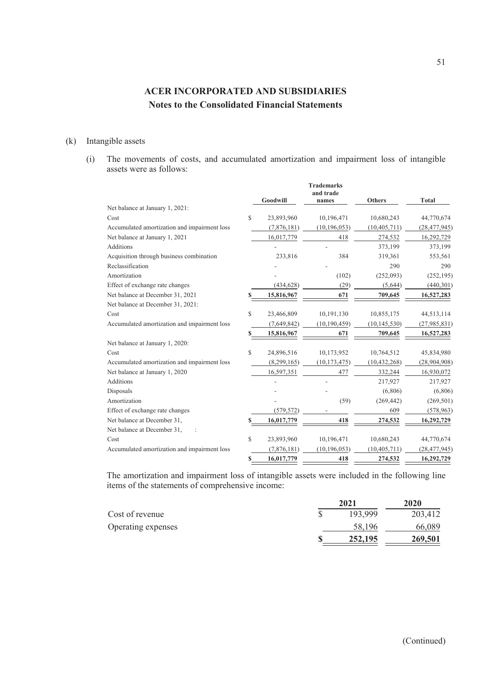### (k) Intangible assets

(i) The movements of costs, and accumulated amortization and impairment loss of intangible assets were as follows:

**Trademarks**

|                                              |    | Goodwill    | 1 rademarks<br>and trade<br>names | <b>Others</b>  | <b>Total</b>   |
|----------------------------------------------|----|-------------|-----------------------------------|----------------|----------------|
| Net balance at January 1, 2021:              |    |             |                                   |                |                |
| Cost                                         | \$ | 23,893,960  | 10,196,471                        | 10,680,243     | 44,770,674     |
| Accumulated amortization and impairment loss |    | (7,876,181) | (10, 196, 053)                    | (10, 405, 711) | (28, 477, 945) |
| Net balance at January 1, 2021               |    | 16,017,779  | 418                               | 274,532        | 16,292,729     |
| <b>Additions</b>                             |    |             |                                   | 373,199        | 373,199        |
| Acquisition through business combination     |    | 233,816     | 384                               | 319,361        | 553,561        |
| Reclassification                             |    |             |                                   | 290            | 290            |
| Amortization                                 |    |             | (102)                             | (252,093)      | (252, 195)     |
| Effect of exchange rate changes              |    | (434, 628)  | (29)                              | (5,644)        | (440, 301)     |
| Net balance at December 31, 2021             | \$ | 15,816,967  | 671                               | 709,645        | 16,527,283     |
| Net balance at December 31, 2021:            |    |             |                                   |                |                |
| Cost                                         | \$ | 23,466,809  | 10,191,130                        | 10,855,175     | 44,513,114     |
| Accumulated amortization and impairment loss |    | (7,649,842) | (10, 190, 459)                    | (10, 145, 530) | (27, 985, 831) |
|                                              |    | 15,816,967  | 671                               | 709,645        | 16,527,283     |
| Net balance at January 1, 2020:              |    |             |                                   |                |                |
| Cost                                         | S  | 24,896,516  | 10,173,952                        | 10,764,512     | 45,834,980     |
| Accumulated amortization and impairment loss |    | (8,299,165) | (10, 173, 475)                    | (10, 432, 268) | (28, 904, 908) |
| Net balance at January 1, 2020               |    | 16,597,351  | 477                               | 332,244        | 16,930,072     |
| <b>Additions</b>                             |    |             |                                   | 217,927        | 217,927        |
| Disposals                                    |    |             |                                   | (6,806)        | (6,806)        |
| Amortization                                 |    |             | (59)                              | (269, 442)     | (269, 501)     |
| Effect of exchange rate changes              |    | (579, 572)  |                                   | 609            | (578, 963)     |
| Net balance at December 31.                  |    | 16,017,779  | 418                               | 274,532        | 16,292,729     |
| Net balance at December 31,                  |    |             |                                   |                |                |
| Cost                                         | S  | 23,893,960  | 10,196,471                        | 10,680,243     | 44,770,674     |
| Accumulated amortization and impairment loss |    | (7,876,181) | (10, 196, 053)                    | (10, 405, 711) | (28, 477, 945) |
|                                              | \$ | 16,017,779  | 418                               | 274,532        | 16,292,729     |

The amortization and impairment loss of intangible assets were included in the following line items of the statements of comprehensive income:

|                    | 2021    |         |  |
|--------------------|---------|---------|--|
| Cost of revenue    | 193,999 | 203,412 |  |
| Operating expenses | 58,196  | 66,089  |  |
|                    | 252,195 | 269,501 |  |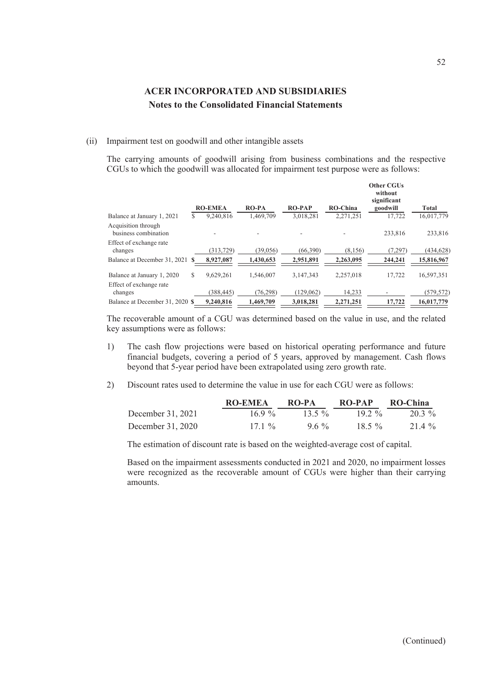#### (ii) Impairment test on goodwill and other intangible assets

The carrying amounts of goodwill arising from business combinations and the respective CGUs to which the goodwill was allocated for impairment test purpose were as follows:

|                                             |    | <b>RO-EMEA</b> | <b>RO-PA</b> | <b>RO-PAP</b> | <b>RO-China</b> | <b>Other CGUs</b><br>without<br>significant<br>goodwill | <b>Total</b> |
|---------------------------------------------|----|----------------|--------------|---------------|-----------------|---------------------------------------------------------|--------------|
| Balance at January 1, 2021                  | S. | 9,240,816      | 1,469,709    | 3,018,281     | 2,271,251       | 17.722                                                  | 16,017,779   |
| Acquisition through<br>business combination |    |                |              |               |                 | 233,816                                                 | 233,816      |
| Effect of exchange rate<br>changes          |    | (313, 729)     | (39,056)     | (66, 390)     | (8,156)         | (7, 297)                                                | (434, 628)   |
| Balance at December 31, 2021                |    | 8,927,087      | 1,430,653    | 2,951,891     | 2,263,095       | 244,241                                                 | 15,816,967   |
| Balance at January 1, 2020                  | S  | 9.629.261      | 1.546,007    | 3.147.343     | 2.257.018       | 17.722                                                  | 16.597.351   |
| Effect of exchange rate<br>changes          |    | (388, 445)     | (76, 298)    | (129,062)     | 14,233          |                                                         | (579, 572)   |
| Balance at December 31, 2020 \$             |    | 9,240,816      | 1.469,709    | 3.018.281     | 2.271.251       | 17,722                                                  | 16,017,779   |

The recoverable amount of a CGU was determined based on the value in use, and the related key assumptions were as follows:

- 1) The cash flow projections were based on historical operating performance and future financial budgets, covering a period of 5 years, approved by management. Cash flows beyond that 5-year period have been extrapolated using zero growth rate.
- 2) Discount rates used to determine the value in use for each CGU were as follows:

|                   | <b>RO-EMEA</b> | RO-PA    | RO-PAP   | RO-China |
|-------------------|----------------|----------|----------|----------|
| December 31, 2021 | $16.9\%$       | $13.5\%$ | $19.2\%$ | 20.3 %   |
| December 31, 2020 | $17.1\%$       | $9.6\%$  | $18.5\%$ | 21.4 %   |

The estimation of discount rate is based on the weighted-average cost of capital.

Based on the impairment assessments conducted in 2021 and 2020, no impairment losses were recognized as the recoverable amount of CGUs were higher than their carrying amounts.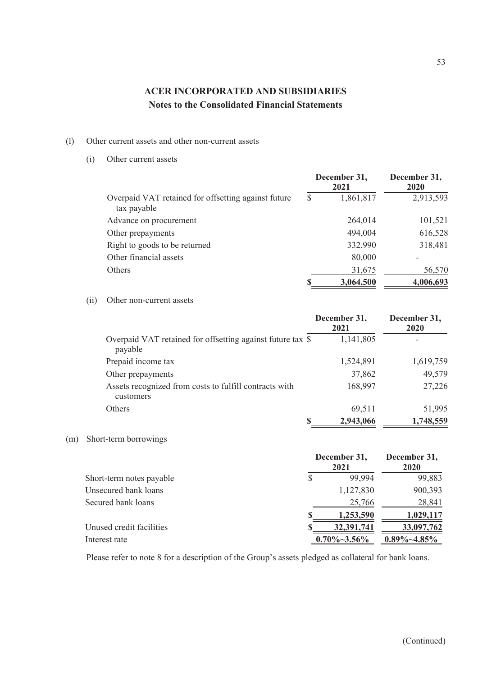### (l) Other current assets and other non-current assets

(i) Other current assets

|                                                                    |    | December 31,<br>2021 | December 31,<br>2020 |  |
|--------------------------------------------------------------------|----|----------------------|----------------------|--|
| Overpaid VAT retained for offsetting against future<br>tax payable | \$ | 1,861,817            | 2,913,593            |  |
| Advance on procurement                                             |    | 264,014              | 101,521              |  |
| Other prepayments                                                  |    | 494,004              | 616,528              |  |
| Right to goods to be returned                                      |    | 332,990              | 318,481              |  |
| Other financial assets                                             |    | 80,000               |                      |  |
| <b>Others</b>                                                      |    | 31,675               | 56,570               |  |
|                                                                    | S  | 3,064,500            | 4,006,693            |  |

#### (ii) Other non-current assets

|                                                                       | December 31,<br>2021 | December 31,<br>2020 |
|-----------------------------------------------------------------------|----------------------|----------------------|
| Overpaid VAT retained for offsetting against future tax \$<br>payable | 1,141,805            |                      |
| Prepaid income tax                                                    | 1,524,891            | 1,619,759            |
| Other prepayments                                                     | 37,862               | 49,579               |
| Assets recognized from costs to fulfill contracts with<br>customers   | 168,997              | 27,226               |
| <b>Others</b>                                                         | 69,511               | 51,995               |
|                                                                       | 2,943,066            | 1,748,559            |

### (m) Short-term borrowings

|                          | December 31, | December 31,<br>2020 |                   |
|--------------------------|--------------|----------------------|-------------------|
| Short-term notes payable |              | 99,994               | 99,883            |
| Unsecured bank loans     |              | 1,127,830            | 900,393           |
| Secured bank loans       |              | 25,766               | 28,841            |
|                          |              | 1,253,590            | 1,029,117         |
| Unused credit facilities |              | 32,391,741           | 33,097,762        |
| Interest rate            |              | $0.70\% \sim 3.56\%$ | $0.89\% - 4.85\%$ |

Please refer to note 8 for a description of the Group's assets pledged as collateral for bank loans.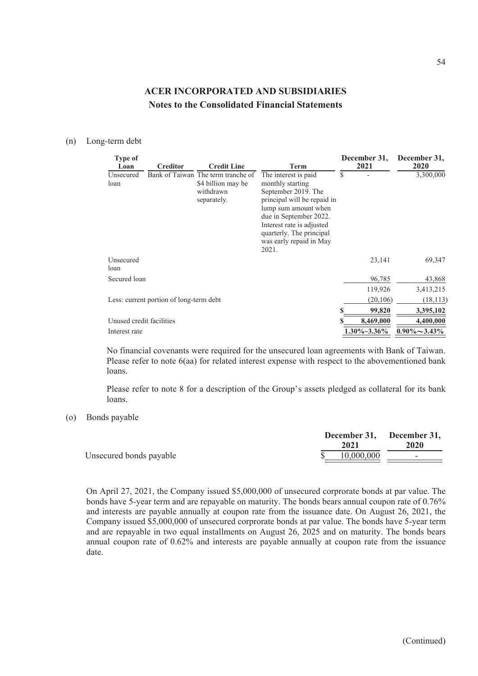#### (n) Long-term debt

| <b>Type of</b>           |                                         |                                                                                      |                                                                                                                                                                                                                                       |   | December 31,         | December 31,         |
|--------------------------|-----------------------------------------|--------------------------------------------------------------------------------------|---------------------------------------------------------------------------------------------------------------------------------------------------------------------------------------------------------------------------------------|---|----------------------|----------------------|
| Loan                     | <b>Creditor</b>                         | <b>Credit Line</b>                                                                   | Term                                                                                                                                                                                                                                  |   | 2021                 | 2020                 |
| Unsecured<br>loan        |                                         | Bank of Taiwan The term tranche of<br>\$4 billion may be<br>withdrawn<br>separately. | The interest is paid.<br>monthly starting<br>September 2019. The<br>principal will be repaid in<br>lump sum amount when<br>due in September 2022.<br>Interest rate is adjusted<br>quarterly. The principal<br>was early repaid in May | S |                      | 3,300,000            |
|                          |                                         |                                                                                      | 2021.                                                                                                                                                                                                                                 |   |                      |                      |
| Unsecured                |                                         |                                                                                      |                                                                                                                                                                                                                                       |   | 23,141               | 69,347               |
| loan                     |                                         |                                                                                      |                                                                                                                                                                                                                                       |   |                      |                      |
| Secured loan             |                                         |                                                                                      |                                                                                                                                                                                                                                       |   | 96,785               | 43,868               |
|                          |                                         |                                                                                      |                                                                                                                                                                                                                                       |   | 119,926              | 3,413,215            |
|                          | Less: current portion of long-term debt |                                                                                      |                                                                                                                                                                                                                                       |   | (20,106)             | (18, 113)            |
|                          |                                         |                                                                                      |                                                                                                                                                                                                                                       |   | 99,820               | 3,395,102            |
| Unused credit facilities |                                         |                                                                                      |                                                                                                                                                                                                                                       |   | 8,469,000            | 4,400,000            |
| Interest rate            |                                         |                                                                                      |                                                                                                                                                                                                                                       |   | $1.30\% \sim 3.36\%$ | $0.90\% \sim 3.43\%$ |

No financial covenants were required for the unsecured loan agreements with Bank of Taiwan. Please refer to note 6(aa) for related interest expense with respect to the abovementioned bank loans.

Please refer to note 8 for a description of the Group's assets pledged as collateral for its bank loans.

(o) Bonds payable

|                         | December 31, December 31,<br>2021 | 2020                     |
|-------------------------|-----------------------------------|--------------------------|
| Unsecured bonds payable | 10,000,000                        | $\overline{\phantom{0}}$ |

On April 27, 2021, the Company issued \$5,000,000 of unsecured corprorate bonds at par value. The bonds have 5-year term and are repayable on maturity. The bonds bears annual coupon rate of 0.76% and interests are payable annually at coupon rate from the issuance date. On August 26, 2021, the Company issued \$5,000,000 of unsecured corprorate bonds at par value. The bonds have 5-year term and are repayable in two equal installments on August 26, 2025 and on maturity. The bonds bears annual coupon rate of 0.62% and interests are payable annually at coupon rate from the issuance date.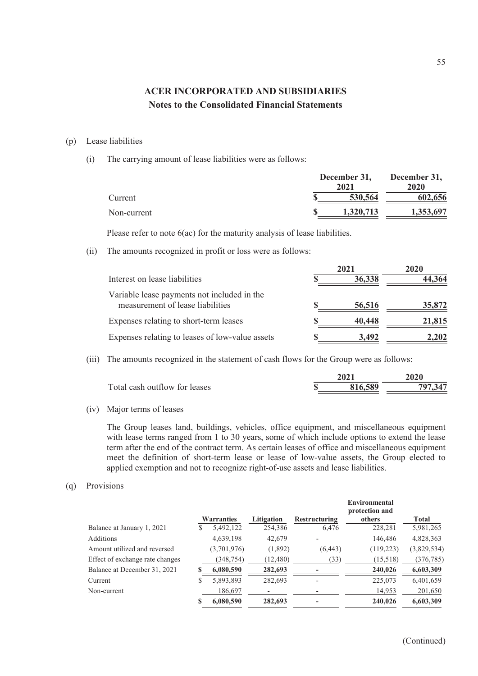#### (p) Lease liabilities

(i) The carrying amount of lease liabilities were as follows:

|             | December 31, |             |
|-------------|--------------|-------------|
|             | 2021         | <b>2020</b> |
| Current     | 530,564      | 602,656     |
| Non-current | 1.320.713    | 1,353,697   |

Please refer to note 6(ac) for the maturity analysis of lease liabilities.

(ii) The amounts recognized in profit or loss were as follows:

|                                                                                 |   | 2020   |        |
|---------------------------------------------------------------------------------|---|--------|--------|
| Interest on lease liabilities                                                   |   | 36,338 | 44.364 |
| Variable lease payments not included in the<br>measurement of lease liabilities |   | 56,516 | 35,872 |
| Expenses relating to short-term leases                                          |   | 40,448 | 21,815 |
| Expenses relating to leases of low-value assets                                 | S | 3.492  | 2.202  |

(iii) The amounts recognized in the statement of cash flows for the Group were as follows:

| 0.021   | 2020 |
|---------|------|
| 316.589 | 707  |
|         |      |

(iv) Major terms of leases

The Group leases land, buildings, vehicles, office equipment, and miscellaneous equipment with lease terms ranged from 1 to 30 years, some of which include options to extend the lease term after the end of the contract term. As certain leases of office and miscellaneous equipment meet the definition of short-term lease or lease of low-value assets, the Group elected to applied exemption and not to recognize right-of-use assets and lease liabilities.

#### (q) Provisions

|                                 |   | <b>Warranties</b> | Litigation | <b>Restructuring</b>     | Environmental<br>protection and<br>others | Total       |
|---------------------------------|---|-------------------|------------|--------------------------|-------------------------------------------|-------------|
| Balance at January 1, 2021      | S | 5,492,122         | 254,386    | 6,476                    | 228,281                                   | 5,981,265   |
| <b>Additions</b>                |   | 4,639,198         | 42,679     | $\overline{\phantom{a}}$ | 146,486                                   | 4,828,363   |
| Amount utilized and reversed    |   | (3,701,976)       | (1,892)    | (6, 443)                 | (119, 223)                                | (3,829,534) |
| Effect of exchange rate changes |   | (348, 754)        | (12, 480)  | (33)                     | (15,518)                                  | (376, 785)  |
| Balance at December 31, 2021    |   | 6,080,590         | 282,693    |                          | 240,026                                   | 6,603,309   |
| Current                         | S | 5,893,893         | 282,693    | $\overline{\phantom{0}}$ | 225,073                                   | 6,401,659   |
| Non-current                     |   | 186,697           |            |                          | 14,953                                    | 201,650     |
|                                 |   | 6,080,590         | 282,693    |                          | 240,026                                   | 6,603,309   |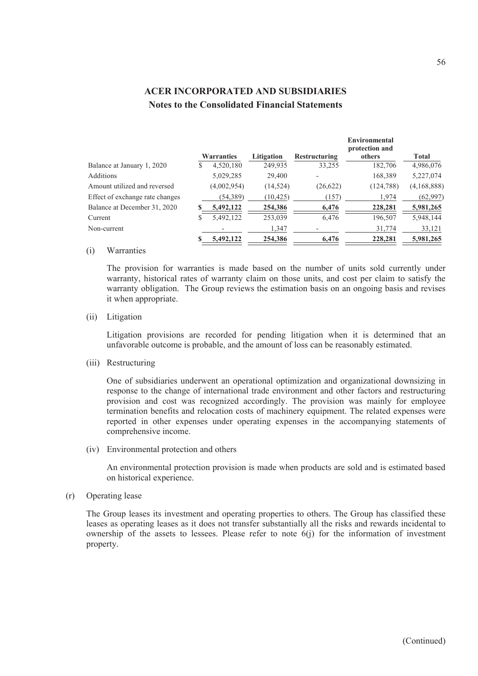|                                 |    |                   |            |                      | <b>Environmental</b><br>protection and |             |
|---------------------------------|----|-------------------|------------|----------------------|----------------------------------------|-------------|
|                                 |    | <b>Warranties</b> | Litigation | <b>Restructuring</b> | others                                 | Total       |
| Balance at January 1, 2020      | S. | 4,520,180         | 249,935    | 33,255               | 182,706                                | 4,986,076   |
| <b>Additions</b>                |    | 5,029,285         | 29,400     |                      | 168,389                                | 5,227,074   |
| Amount utilized and reversed    |    | (4,002,954)       | (14, 524)  | (26, 622)            | (124, 788)                             | (4,168,888) |
| Effect of exchange rate changes |    | (54, 389)         | (10, 425)  | (157)                | 1,974                                  | (62, 997)   |
| Balance at December 31, 2020    |    | 5,492,122         | 254,386    | 6,476                | 228,281                                | 5,981,265   |
| Current                         | S  | 5,492,122         | 253,039    | 6,476                | 196,507                                | 5,948,144   |
| Non-current                     |    |                   | 1,347      |                      | 31,774                                 | 33,121      |
|                                 |    | 5,492,122         | 254,386    | 6,476                | 228,281                                | 5,981,265   |

### (i) Warranties

The provision for warranties is made based on the number of units sold currently under warranty, historical rates of warranty claim on those units, and cost per claim to satisfy the warranty obligation. The Group reviews the estimation basis on an ongoing basis and revises it when appropriate.

#### (ii) Litigation

Litigation provisions are recorded for pending litigation when it is determined that an unfavorable outcome is probable, and the amount of loss can be reasonably estimated.

(iii) Restructuring

One of subsidiaries underwent an operational optimization and organizational downsizing in response to the change of international trade environment and other factors and restructuring provision and cost was recognized accordingly. The provision was mainly for employee termination benefits and relocation costs of machinery equipment. The related expenses were reported in other expenses under operating expenses in the accompanying statements of comprehensive income.

(iv) Environmental protection and others

An environmental protection provision is made when products are sold and is estimated based on historical experience.

(r) Operating lease

The Group leases its investment and operating properties to others. The Group has classified these leases as operating leases as it does not transfer substantially all the risks and rewards incidental to ownership of the assets to lessees. Please refer to note  $6(i)$  for the information of investment property.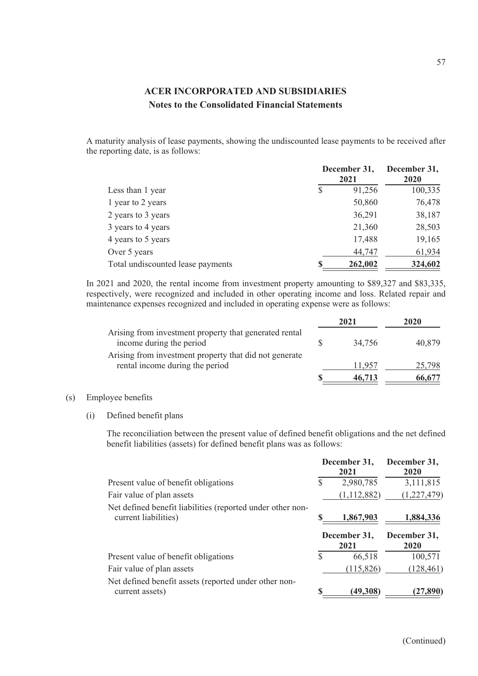A maturity analysis of lease payments, showing the undiscounted lease payments to be received after the reporting date, is as follows:

|                                   |   | December 31,<br>2021 | December 31,<br>2020 |
|-----------------------------------|---|----------------------|----------------------|
| Less than 1 year                  | S | 91,256               | 100,335              |
| 1 year to 2 years                 |   | 50,860               | 76,478               |
| 2 years to 3 years                |   | 36,291               | 38,187               |
| 3 years to 4 years                |   | 21,360               | 28,503               |
| 4 years to 5 years                |   | 17,488               | 19,165               |
| Over 5 years                      |   | 44,747               | 61,934               |
| Total undiscounted lease payments |   | 262,002              | 324,602              |

In 2021 and 2020, the rental income from investment property amounting to \$89,327 and \$83,335, respectively, were recognized and included in other operating income and loss. Related repair and maintenance expenses recognized and included in operating expense were as follows:

|                                                                                           | 2021   | 2020   |
|-------------------------------------------------------------------------------------------|--------|--------|
| Arising from investment property that generated rental<br>income during the period        | 34.756 | 40,879 |
| Arising from investment property that did not generate<br>rental income during the period | 11.957 | 25,798 |
|                                                                                           | 46,713 | 66,677 |

### (s) Employee benefits

(i) Defined benefit plans

The reconciliation between the present value of defined benefit obligations and the net defined benefit liabilities (assets) for defined benefit plans was as follows:

|                                                                                    |   | December 31,<br>2021 | December 31,<br>2020 |
|------------------------------------------------------------------------------------|---|----------------------|----------------------|
| Present value of benefit obligations                                               |   | 2,980,785            | 3,111,815            |
| Fair value of plan assets                                                          |   | (1,112,882)          | (1,227,479)          |
| Net defined benefit liabilities (reported under other non-<br>current liabilities) |   | 1,867,903            | 1,884,336            |
|                                                                                    |   |                      |                      |
|                                                                                    |   | December 31,<br>2021 | December 31,<br>2020 |
| Present value of benefit obligations                                               | S | 66,518               | 100,571              |
| Fair value of plan assets                                                          |   | (115, 826)           | (128, 461)           |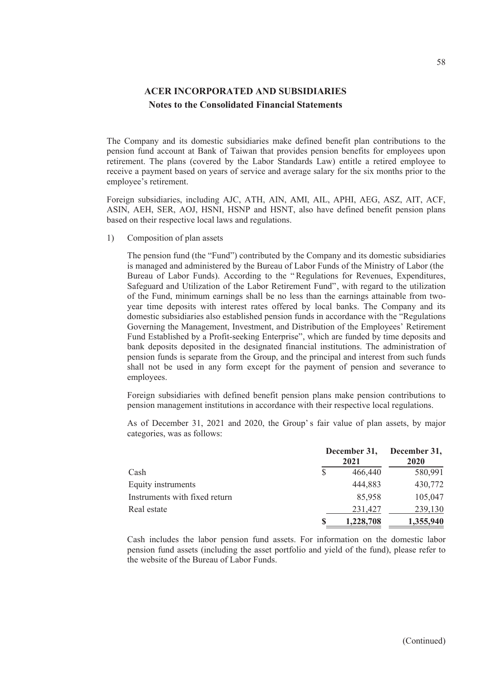The Company and its domestic subsidiaries make defined benefit plan contributions to the pension fund account at Bank of Taiwan that provides pension benefits for employees upon retirement. The plans (covered by the Labor Standards Law) entitle a retired employee to receive a payment based on years of service and average salary for the six months prior to the employee's retirement.

Foreign subsidiaries, including AJC, ATH, AIN, AMI, AIL, APHI, AEG, ASZ, AIT, ACF, ASIN, AEH, SER, AOJ, HSNI, HSNP and HSNT, also have defined benefit pension plans based on their respective local laws and regulations.

1) Composition of plan assets

The pension fund (the "Fund") contributed by the Company and its domestic subsidiaries is managed and administered by the Bureau of Labor Funds of the Ministry of Labor (the Bureau of Labor Funds). According to the " Regulations for Revenues, Expenditures, Safeguard and Utilization of the Labor Retirement Fund", with regard to the utilization of the Fund, minimum earnings shall be no less than the earnings attainable from twoyear time deposits with interest rates offered by local banks. The Company and its domestic subsidiaries also established pension funds in accordance with the "Regulations Governing the Management, Investment, and Distribution of the Employees' Retirement Fund Established by a Profit-seeking Enterprise", which are funded by time deposits and bank deposits deposited in the designated financial institutions. The administration of pension funds is separate from the Group, and the principal and interest from such funds shall not be used in any form except for the payment of pension and severance to employees.

Foreign subsidiaries with defined benefit pension plans make pension contributions to pension management institutions in accordance with their respective local regulations.

As of December 31, 2021 and 2020, the Group' s fair value of plan assets, by major categories, was as follows:

|                               |   | December 31,<br>December 31,<br>2021 |           |  |
|-------------------------------|---|--------------------------------------|-----------|--|
| Cash                          | S | 466,440                              | 580,991   |  |
| Equity instruments            |   | 444,883                              | 430,772   |  |
| Instruments with fixed return |   | 85,958                               | 105,047   |  |
| Real estate                   |   | 231,427                              | 239,130   |  |
|                               |   | 1,228,708                            | 1,355,940 |  |

Cash includes the labor pension fund assets. For information on the domestic labor pension fund assets (including the asset portfolio and yield of the fund), please refer to the website of the Bureau of Labor Funds.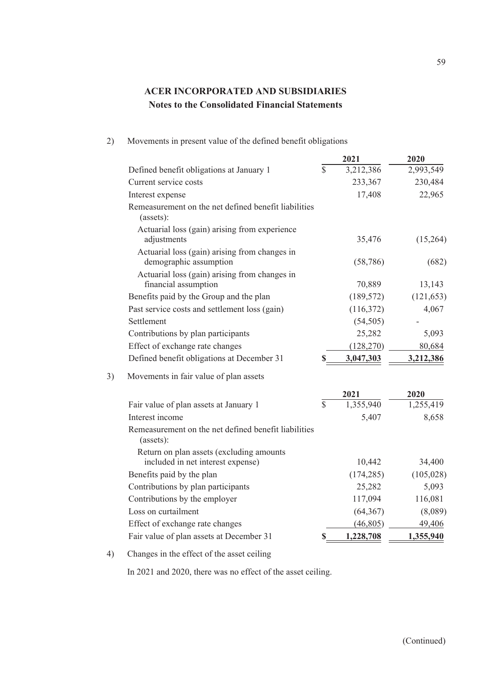| 2) | Movements in present value of the defined benefit obligations |  |  |  |
|----|---------------------------------------------------------------|--|--|--|
|    |                                                               |  |  |  |

|                                                                               |                 | 2021       | 2020       |
|-------------------------------------------------------------------------------|-----------------|------------|------------|
| Defined benefit obligations at January 1                                      | $\overline{\$}$ | 3,212,386  | 2,993,549  |
| Current service costs                                                         |                 | 233,367    | 230,484    |
| Interest expense                                                              |                 | 17,408     | 22,965     |
| Remeasurement on the net defined benefit liabilities<br>(assets):             |                 |            |            |
| Actuarial loss (gain) arising from experience<br>adjustments                  |                 | 35,476     | (15,264)   |
| Actuarial loss (gain) arising from changes in<br>demographic assumption       |                 | (58, 786)  | (682)      |
| Actuarial loss (gain) arising from changes in<br>financial assumption         |                 | 70,889     | 13,143     |
| Benefits paid by the Group and the plan                                       |                 | (189, 572) | (121, 653) |
| Past service costs and settlement loss (gain)                                 |                 | (116,372)  | 4,067      |
| Settlement                                                                    |                 | (54, 505)  |            |
| Contributions by plan participants                                            |                 | 25,282     | 5,093      |
| Effect of exchange rate changes                                               |                 | (128, 270) | 80,684     |
| Defined benefit obligations at December 31                                    | \$              | 3,047,303  | 3,212,386  |
| Movements in fair value of plan assets                                        |                 |            |            |
|                                                                               |                 | 2021       | 2020       |
| Fair value of plan assets at January 1                                        | $\mathbb{S}$    | 1,355,940  | 1,255,419  |
| Interest income                                                               |                 | 5,407      | 8,658      |
| Remeasurement on the net defined benefit liabilities<br>(assets):             |                 |            |            |
| Return on plan assets (excluding amounts<br>included in net interest expense) |                 | 10,442     | 34,400     |
| Benefits paid by the plan                                                     |                 | (174, 285) | (105, 028) |
| Contributions by plan participants                                            |                 | 25,282     | 5,093      |
| Contributions by the employer                                                 |                 | 117,094    | 116,081    |
| Loss on curtailment                                                           |                 | (64, 367)  | (8,089)    |
| Effect of exchange rate changes                                               |                 | (46, 805)  | 49,406     |
| Fair value of plan assets at December 31                                      | \$              | 1,228,708  | 1,355,940  |
|                                                                               |                 |            |            |

4) Changes in the effect of the asset ceiling

In 2021 and 2020, there was no effect of the asset ceiling.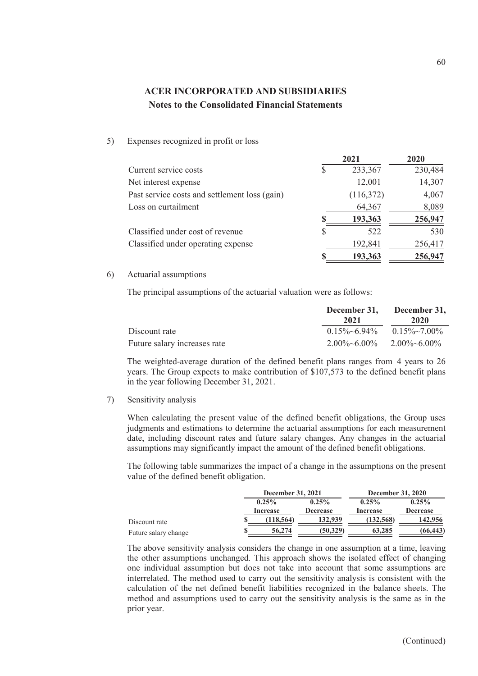5) Expenses recognized in profit or loss

|                                               |   | 2021      | 2020    |  |
|-----------------------------------------------|---|-----------|---------|--|
| Current service costs                         | S | 233,367   | 230,484 |  |
| Net interest expense                          |   | 12,001    | 14,307  |  |
| Past service costs and settlement loss (gain) |   | (116,372) | 4,067   |  |
| Loss on curtailment                           |   | 64,367    | 8,089   |  |
|                                               | S | 193,363   | 256,947 |  |
| Classified under cost of revenue              | S | 522       | 530     |  |
| Classified under operating expense            |   | 192,841   | 256,417 |  |
|                                               | S | 193,363   | 256,947 |  |

#### 6) Actuarial assumptions

The principal assumptions of the actuarial valuation were as follows:

|                              | 2021                            | December 31, December 31,<br>2020         |  |
|------------------------------|---------------------------------|-------------------------------------------|--|
| Discount rate                |                                 | $0.15\% \sim 6.94\%$ $0.15\% \sim 7.00\%$ |  |
| Future salary increases rate | $2.00\%~6.00\%$ $2.00\%~6.00\%$ |                                           |  |

The weighted-average duration of the defined benefit plans ranges from 4 years to 26 years. The Group expects to make contribution of \$107,573 to the defined benefit plans in the year following December 31, 2021.

7) Sensitivity analysis

When calculating the present value of the defined benefit obligations, the Group uses judgments and estimations to determine the actuarial assumptions for each measurement date, including discount rates and future salary changes. Any changes in the actuarial assumptions may significantly impact the amount of the defined benefit obligations.

The following table summarizes the impact of a change in the assumptions on the present value of the defined benefit obligation.

|                      | December 31, 2021 |                 | <b>December 31, 2020</b> |                 |
|----------------------|-------------------|-----------------|--------------------------|-----------------|
|                      | $0.25\%$          | $0.25\%$        | $0.25\%$                 | $0.25\%$        |
|                      | Increase          | <b>Decrease</b> | Increase                 | <b>Decrease</b> |
| Discount rate        | (118, 564)        | 132,939         | (132, 568)               | 142,956         |
| Future salary change | 56,274            | (50.329)        | 63,285                   | (66, 443)       |

The above sensitivity analysis considers the change in one assumption at a time, leaving the other assumptions unchanged. This approach shows the isolated effect of changing one individual assumption but does not take into account that some assumptions are interrelated. The method used to carry out the sensitivity analysis is consistent with the calculation of the net defined benefit liabilities recognized in the balance sheets. The method and assumptions used to carry out the sensitivity analysis is the same as in the prior year.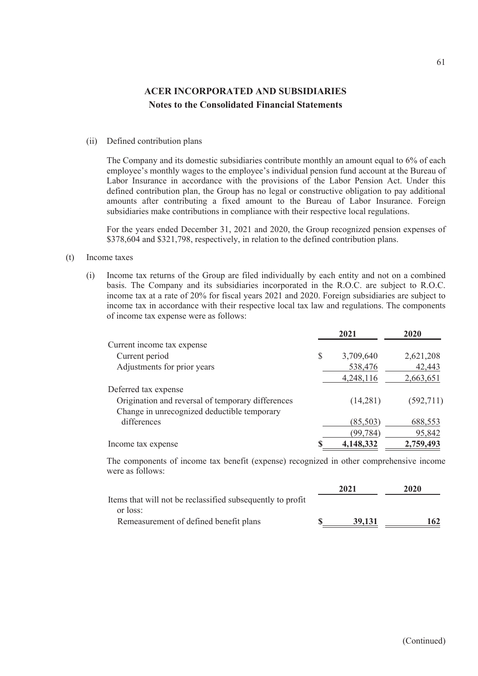#### (ii) Defined contribution plans

The Company and its domestic subsidiaries contribute monthly an amount equal to 6% of each employee's monthly wages to the employee's individual pension fund account at the Bureau of Labor Insurance in accordance with the provisions of the Labor Pension Act. Under this defined contribution plan, the Group has no legal or constructive obligation to pay additional amounts after contributing a fixed amount to the Bureau of Labor Insurance. Foreign subsidiaries make contributions in compliance with their respective local regulations.

For the years ended December 31, 2021 and 2020, the Group recognized pension expenses of \$378,604 and \$321,798, respectively, in relation to the defined contribution plans.

#### (t) Income taxes

(i) Income tax returns of the Group are filed individually by each entity and not on a combined basis. The Company and its subsidiaries incorporated in the R.O.C. are subject to R.O.C. income tax at a rate of 20% for fiscal years 2021 and 2020. Foreign subsidiaries are subject to income tax in accordance with their respective local tax law and regulations. The components of income tax expense were as follows:

|                                                   | 2021            | 2020      |
|---------------------------------------------------|-----------------|-----------|
| Current income tax expense                        |                 |           |
| Current period                                    | \$<br>3,709,640 | 2,621,208 |
| Adjustments for prior years                       | 538,476         | 42,443    |
|                                                   | 4,248,116       | 2,663,651 |
| Deferred tax expense                              |                 |           |
| Origination and reversal of temporary differences | (14,281)        | (592,711) |
| Change in unrecognized deductible temporary       |                 |           |
| differences                                       | (85, 503)       | 688,553   |
|                                                   | (99, 784)       | 95,842    |
| Income tax expense                                | 4,148,332       | 2,759,493 |

The components of income tax benefit (expense) recognized in other comprehensive income were as follows:

|                                                            | 2021   | 2020 |
|------------------------------------------------------------|--------|------|
| Items that will not be reclassified subsequently to profit |        |      |
| or loss:                                                   |        |      |
| Remeasurement of defined benefit plans                     | 39.131 | 162  |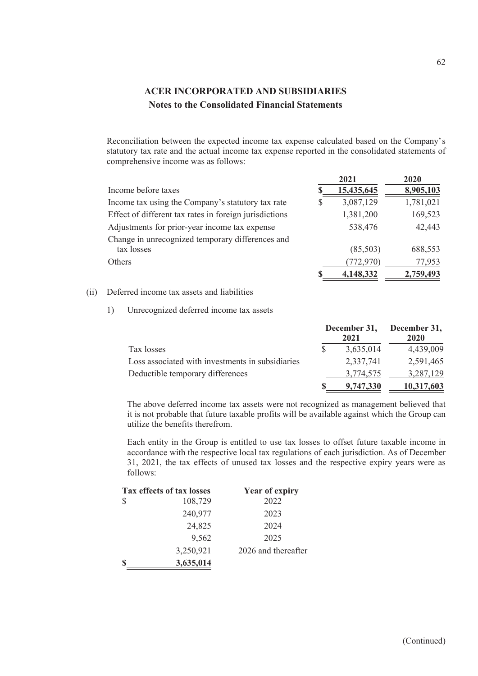Reconciliation between the expected income tax expense calculated based on the Company's statutory tax rate and the actual income tax expense reported in the consolidated statements of comprehensive income was as follows:

| 2021       | 2020      |
|------------|-----------|
| 15,435,645 | 8,905,103 |
| 3,087,129  | 1,781,021 |
| 1,381,200  | 169,523   |
| 538,476    | 42,443    |
| (85,503)   | 688,553   |
| (772, 970) | 77,953    |
| 4,148,332  | 2,759,493 |
|            |           |

### (ii) Deferred income tax assets and liabilities

1) Unrecognized deferred income tax assets

| Tax losses                                       |  | 2021      | December 31, December 31,<br>2020 |  |
|--------------------------------------------------|--|-----------|-----------------------------------|--|
|                                                  |  | 3,635,014 | 4,439,009                         |  |
| Loss associated with investments in subsidiaries |  | 2,337,741 | 2,591,465                         |  |
| Deductible temporary differences                 |  | 3,774,575 | 3,287,129                         |  |
|                                                  |  | 9,747,330 | 10,317,603                        |  |

The above deferred income tax assets were not recognized as management believed that it is not probable that future taxable profits will be available against which the Group can utilize the benefits therefrom.

Each entity in the Group is entitled to use tax losses to offset future taxable income in accordance with the respective local tax regulations of each jurisdiction. As of December 31, 2021, the tax effects of unused tax losses and the respective expiry years were as follows:

|               | Tax effects of tax losses | <b>Year of expiry</b> |
|---------------|---------------------------|-----------------------|
| <sup>\$</sup> | 108,729                   | 2022                  |
|               | 240,977                   | 2023                  |
|               | 24,825                    | 2024                  |
|               | 9,562                     | 2025                  |
|               | 3,250,921                 | 2026 and thereafter   |
|               | 3,635,014                 |                       |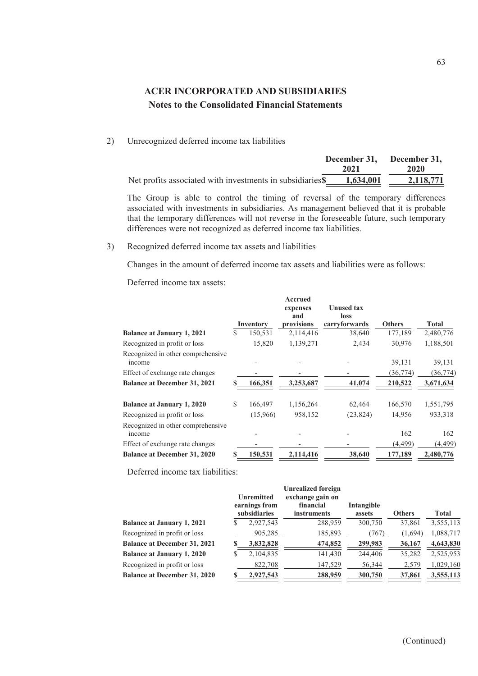2) Unrecognized deferred income tax liabilities

|                                                           | December 31, December 31, |           |  |
|-----------------------------------------------------------|---------------------------|-----------|--|
|                                                           | 2021                      | 2020      |  |
| Net profits associated with investments in subsidiaries\$ | 1,634,001                 | 2,118,771 |  |

The Group is able to control the timing of reversal of the temporary differences associated with investments in subsidiaries. As management believed that it is probable that the temporary differences will not reverse in the foreseeable future, such temporary differences were not recognized as deferred income tax liabilities.

3) Recognized deferred income tax assets and liabilities

Changes in the amount of deferred income tax assets and liabilities were as follows:

Deferred income tax assets:

|                                             |   | Inventory | Accrued<br>expenses<br>and<br>provisions | <b>Unused tax</b><br>loss<br>carryforwards | <b>Others</b> | <b>Total</b> |
|---------------------------------------------|---|-----------|------------------------------------------|--------------------------------------------|---------------|--------------|
| <b>Balance at January 1, 2021</b>           | S | 150,531   | 2,114,416                                | 38,640                                     | 177,189       | 2,480,776    |
| Recognized in profit or loss                |   | 15,820    | 1,139,271                                | 2,434                                      | 30,976        | 1,188,501    |
| Recognized in other comprehensive<br>income |   |           |                                          |                                            | 39,131        | 39,131       |
| Effect of exchange rate changes             |   |           |                                          |                                            | (36, 774)     | (36, 774)    |
| <b>Balance at December 31, 2021</b>         |   | 166,351   | 3,253,687                                | 41,074                                     | 210,522       | 3,671,634    |
| <b>Balance at January 1, 2020</b>           | S | 166,497   | 1,156,264                                | 62,464                                     | 166,570       | 1,551,795    |
| Recognized in profit or loss                |   | (15,966)  | 958,152                                  | (23, 824)                                  | 14,956        | 933,318      |
| Recognized in other comprehensive<br>income |   |           |                                          |                                            | 162           | 162          |
| Effect of exchange rate changes             |   |           |                                          |                                            | (4, 499)      | (4, 499)     |
| <b>Balance at December 31, 2020</b>         |   | 150,531   | 2,114,416                                | 38,640                                     | 177,189       | 2,480,776    |

Deferred income tax liabilities:

|                                     | Unremitted<br>earnings from<br>subsidiaries | <b>Unrealized foreign</b><br>exchange gain on<br>financial<br><i>instruments</i> | Intangible<br>assets | <b>Others</b> | <b>Total</b> |
|-------------------------------------|---------------------------------------------|----------------------------------------------------------------------------------|----------------------|---------------|--------------|
| <b>Balance at January 1, 2021</b>   | 2,927,543                                   | 288,959                                                                          | 300,750              | 37,861        | 3,555,113    |
| Recognized in profit or loss        | 905,285                                     | 185,893                                                                          | (767)                | (1,694)       | 1,088,717    |
| <b>Balance at December 31, 2021</b> | 3,832,828                                   | 474,852                                                                          | 299,983              | 36,167        | 4,643,830    |
| <b>Balance at January 1, 2020</b>   | 2,104,835                                   | 141,430                                                                          | 244,406              | 35,282        | 2,525,953    |
| Recognized in profit or loss        | 822,708                                     | 147,529                                                                          | 56,344               | 2,579         | 1,029,160    |
| <b>Balance at December 31, 2020</b> | 2,927,543                                   | 288,959                                                                          | 300,750              | 37,861        | 3,555,113    |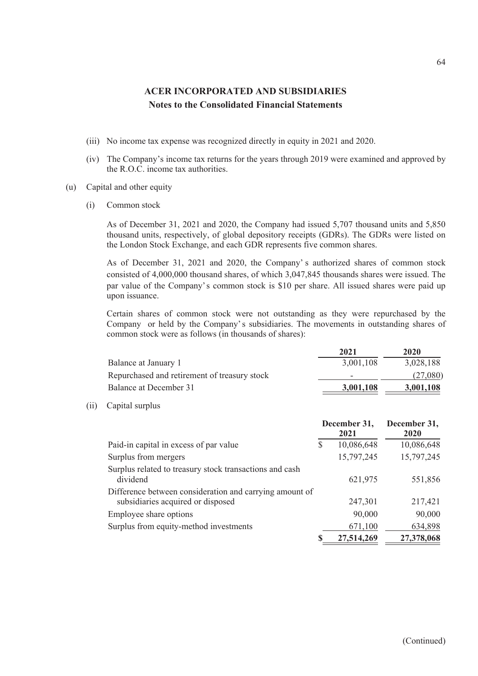- (iii) No income tax expense was recognized directly in equity in 2021 and 2020.
- (iv) The Company's income tax returns for the years through 2019 were examined and approved by the R.O.C. income tax authorities.
- (u) Capital and other equity
	- (i) Common stock

As of December 31, 2021 and 2020, the Company had issued 5,707 thousand units and 5,850 thousand units, respectively, of global depository receipts (GDRs). The GDRs were listed on the London Stock Exchange, and each GDR represents five common shares.

As of December 31, 2021 and 2020, the Company's authorized shares of common stock consisted of 4,000,000 thousand shares, of which 3,047,845 thousands shares were issued. The par value of the Company's common stock is \$10 per share. All issued shares were paid up upon issuance.

Certain shares of common stock were not outstanding as they were repurchased by the Company or held by the Company' s subsidiaries. The movements in outstanding shares of common stock were as follows (in thousands of shares):

|                                              | 2021      | 2020      |
|----------------------------------------------|-----------|-----------|
| Balance at January 1                         | 3,001,108 | 3,028,188 |
| Repurchased and retirement of treasury stock | -         | (27,080)  |
| Balance at December 31                       | 3,001,108 | 3,001,108 |

(ii) Capital surplus

|                                                                                              | December 31, |            | December 31, |  |
|----------------------------------------------------------------------------------------------|--------------|------------|--------------|--|
|                                                                                              |              | 2021       | 2020         |  |
| Paid-in capital in excess of par value                                                       | S            | 10,086,648 | 10,086,648   |  |
| Surplus from mergers                                                                         |              | 15,797,245 | 15,797,245   |  |
| Surplus related to treasury stock transactions and cash<br>dividend                          |              | 621,975    | 551,856      |  |
| Difference between consideration and carrying amount of<br>subsidiaries acquired or disposed |              | 247,301    | 217,421      |  |
| Employee share options                                                                       |              | 90,000     | 90,000       |  |
| Surplus from equity-method investments                                                       |              | 671,100    | 634,898      |  |
|                                                                                              |              | 27,514,269 | 27,378,068   |  |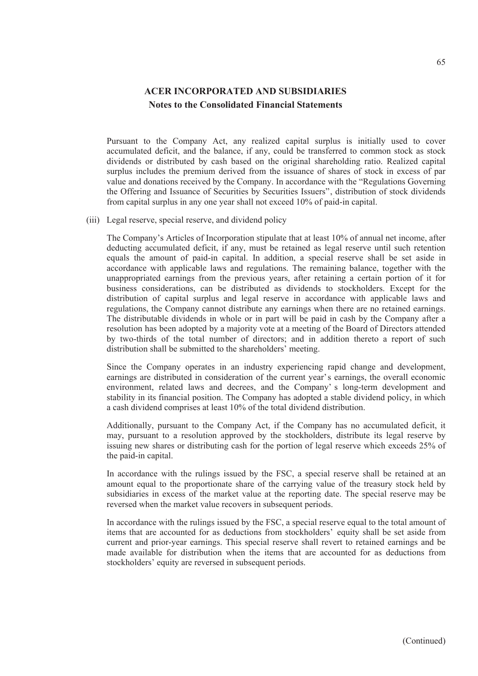Pursuant to the Company Act, any realized capital surplus is initially used to cover accumulated deficit, and the balance, if any, could be transferred to common stock as stock dividends or distributed by cash based on the original shareholding ratio. Realized capital surplus includes the premium derived from the issuance of shares of stock in excess of par value and donations received by the Company. In accordance with the "Regulations Governing the Offering and Issuance of Securities by Securities Issuers", distribution of stock dividends from capital surplus in any one year shall not exceed 10% of paid-in capital.

(iii) Legal reserve, special reserve, and dividend policy

The Company's Articles of Incorporation stipulate that at least 10% of annual net income, after deducting accumulated deficit, if any, must be retained as legal reserve until such retention equals the amount of paid-in capital. In addition, a special reserve shall be set aside in accordance with applicable laws and regulations. The remaining balance, together with the unappropriated earnings from the previous years, after retaining a certain portion of it for business considerations, can be distributed as dividends to stockholders. Except for the distribution of capital surplus and legal reserve in accordance with applicable laws and regulations, the Company cannot distribute any earnings when there are no retained earnings. The distributable dividends in whole or in part will be paid in cash by the Company after a resolution has been adopted by a majority vote at a meeting of the Board of Directors attended by two-thirds of the total number of directors; and in addition thereto a report of such distribution shall be submitted to the shareholders' meeting.

Since the Company operates in an industry experiencing rapid change and development, earnings are distributed in consideration of the current year's earnings, the overall economic environment, related laws and decrees, and the Company' s long-term development and stability in its financial position. The Company has adopted a stable dividend policy, in which a cash dividend comprises at least 10% of the total dividend distribution.

Additionally, pursuant to the Company Act, if the Company has no accumulated deficit, it may, pursuant to a resolution approved by the stockholders, distribute its legal reserve by issuing new shares or distributing cash for the portion of legal reserve which exceeds 25% of the paid-in capital.

In accordance with the rulings issued by the FSC, a special reserve shall be retained at an amount equal to the proportionate share of the carrying value of the treasury stock held by subsidiaries in excess of the market value at the reporting date. The special reserve may be reversed when the market value recovers in subsequent periods.

In accordance with the rulings issued by the FSC, a special reserve equal to the total amount of items that are accounted for as deductions from stockholders' equity shall be set aside from current and prior-year earnings. This special reserve shall revert to retained earnings and be made available for distribution when the items that are accounted for as deductions from stockholders' equity are reversed in subsequent periods.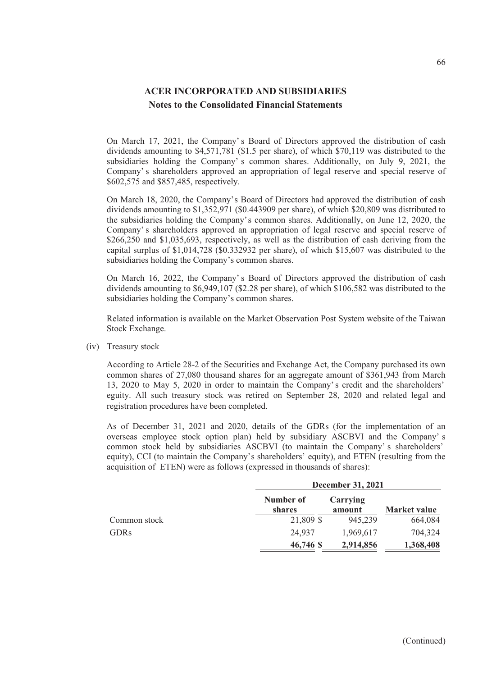On March 17, 2021, the Company' s Board of Directors approved the distribution of cash dividends amounting to \$4,571,781 (\$1.5 per share), of which \$70,119 was distributed to the subsidiaries holding the Company' s common shares. Additionally, on July 9, 2021, the Company' s shareholders approved an appropriation of legal reserve and special reserve of \$602,575 and \$857,485, respectively.

On March 18, 2020, the Company's Board of Directors had approved the distribution of cash dividends amounting to \$1,352,971 (\$0.443909 per share), of which \$20,809 was distributed to the subsidiaries holding the Company's common shares. Additionally, on June 12, 2020, the Company' s shareholders approved an appropriation of legal reserve and special reserve of \$266,250 and \$1,035,693, respectively, as well as the distribution of cash deriving from the capital surplus of \$1,014,728 (\$0.332932 per share), of which \$15,607 was distributed to the subsidiaries holding the Company's common shares.

On March 16, 2022, the Company' s Board of Directors approved the distribution of cash dividends amounting to \$6,949,107 (\$2.28 per share), of which \$106,582 was distributed to the subsidiaries holding the Company's common shares.

Related information is available on the Market Observation Post System website of the Taiwan Stock Exchange.

(iv) Treasury stock

According to Article 28-2 of the Securities and Exchange Act, the Company purchased its own common shares of 27,080 thousand shares for an aggregate amount of \$361,943 from March 13, 2020 to May 5, 2020 in order to maintain the Company' s credit and the shareholders' eguity. All such treasury stock was retired on September 28, 2020 and related legal and registration procedures have been completed.

As of December 31, 2021 and 2020, details of the GDRs (for the implementation of an overseas employee stock option plan) held by subsidiary ASCBVI and the Company' s common stock held by subsidiaries ASCBVI (to maintain the Company' s shareholders' equity), CCI (to maintain the Company's shareholders' equity), and ETEN (resulting from the acquisition of ETEN) were as follows (expressed in thousands of shares):

|              |                     | <b>December 31, 2021</b> |                     |  |  |
|--------------|---------------------|--------------------------|---------------------|--|--|
|              | Number of<br>shares | Carrying<br>amount       | <b>Market value</b> |  |  |
| Common stock | 21,809 \$           | 945,239                  | 664,084             |  |  |
| <b>GDRs</b>  | 24,937              | 1,969,617                | 704,324             |  |  |
|              | 46,746 \$           | 2,914,856                | 1,368,408           |  |  |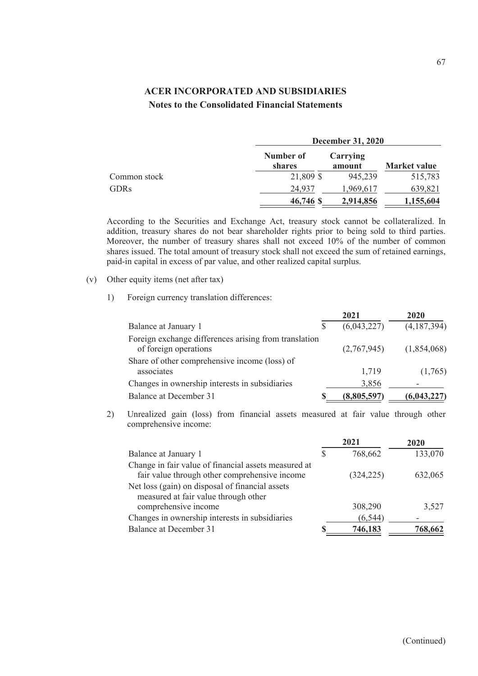|              |                     | <b>December 31, 2020</b> |                     |  |  |
|--------------|---------------------|--------------------------|---------------------|--|--|
|              | Number of<br>shares | Carrying<br>amount       | <b>Market value</b> |  |  |
| Common stock | 21,809 \$           | 945,239                  | 515,783             |  |  |
| <b>GDRs</b>  | 24,937              | 1.969.617                | 639,821             |  |  |
|              | 46,746 \$           | 2,914,856                | 1,155,604           |  |  |

According to the Securities and Exchange Act, treasury stock cannot be collateralized. In addition, treasury shares do not bear shareholder rights prior to being sold to third parties. Moreover, the number of treasury shares shall not exceed 10% of the number of common shares issued. The total amount of treasury stock shall not exceed the sum of retained earnings, paid-in capital in excess of par value, and other realized capital surplus.

#### (v) Other equity items (net after tax)

1) Foreign currency translation differences:

|                                                                                |   | 2021        | 2020          |
|--------------------------------------------------------------------------------|---|-------------|---------------|
| Balance at January 1                                                           | S | (6,043,227) | (4,187,394)   |
| Foreign exchange differences arising from translation<br>of foreign operations |   | (2,767,945) | (1,854,068)   |
| Share of other comprehensive income (loss) of<br>associates                    |   | 1,719       | (1,765)       |
| Changes in ownership interests in subsidiaries                                 |   | 3,856       |               |
| Balance at December 31                                                         |   | (8,805,597) | (6, 043, 227) |

2) Unrealized gain (loss) from financial assets measured at fair value through other comprehensive income:

|                                                      | 2021       | 2020    |
|------------------------------------------------------|------------|---------|
| Balance at January 1                                 | 768,662    | 133,070 |
| Change in fair value of financial assets measured at |            |         |
| fair value through other comprehensive income        | (324, 225) | 632,065 |
| Net loss (gain) on disposal of financial assets      |            |         |
| measured at fair value through other                 |            |         |
| comprehensive income                                 | 308,290    | 3,527   |
| Changes in ownership interests in subsidiaries       | (6, 544)   |         |
| <b>Balance at December 31</b>                        | 746,183    | 768,662 |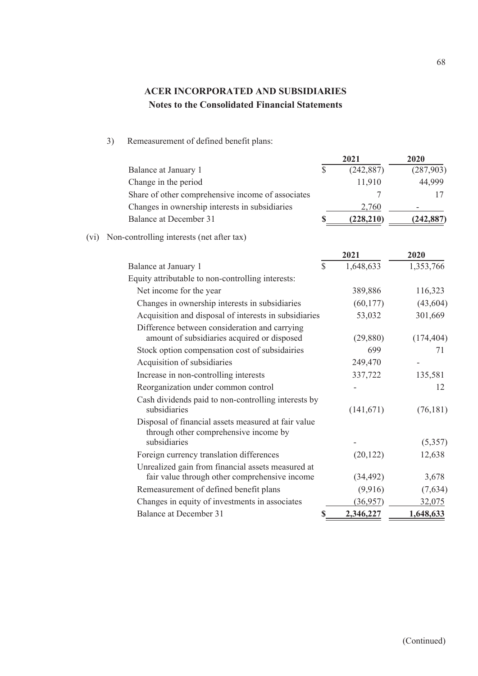3) Remeasurement of defined benefit plans:

|      |                                                                                                    |              | 2021       | 2020       |
|------|----------------------------------------------------------------------------------------------------|--------------|------------|------------|
|      | Balance at January 1                                                                               | \$           | (242, 887) | (287,903)  |
|      | Change in the period                                                                               |              | 11,910     | 44,999     |
|      | Share of other comprehensive income of associates                                                  |              | 7          | 17         |
|      | Changes in ownership interests in subsidiaries                                                     |              | 2,760      |            |
|      | <b>Balance at December 31</b>                                                                      |              | (228, 210) | (242, 887) |
| (vi) | Non-controlling interests (net after tax)                                                          |              |            |            |
|      |                                                                                                    |              | 2021       | 2020       |
|      | Balance at January 1                                                                               | $\mathbb{S}$ | 1,648,633  | 1,353,766  |
|      | Equity attributable to non-controlling interests:                                                  |              |            |            |
|      | Net income for the year                                                                            |              | 389,886    | 116,323    |
|      | Changes in ownership interests in subsidiaries                                                     |              | (60, 177)  | (43, 604)  |
|      | Acquisition and disposal of interests in subsidiaries                                              |              | 53,032     | 301,669    |
|      | Difference between consideration and carrying<br>amount of subsidiaries acquired or disposed       |              | (29, 880)  | (174, 404) |
|      | Stock option compensation cost of subsidairies                                                     |              | 699        | 71         |
|      | Acquisition of subsidiaries                                                                        |              | 249,470    |            |
|      | Increase in non-controlling interests                                                              |              | 337,722    | 135,581    |
|      | Reorganization under common control                                                                |              |            | 12         |
|      | Cash dividends paid to non-controlling interests by<br>subsidiaries                                |              | (141, 671) | (76, 181)  |
|      | Disposal of financial assets measured at fair value<br>through other comprehensive income by       |              |            |            |
|      | subsidiaries                                                                                       |              |            | (5,357)    |
|      | Foreign currency translation differences                                                           |              | (20, 122)  | 12,638     |
|      | Unrealized gain from financial assets measured at<br>fair value through other comprehensive income |              | (34, 492)  | 3,678      |
|      | Remeasurement of defined benefit plans                                                             |              | (9,916)    | (7,634)    |
|      | Changes in equity of investments in associates                                                     |              | (36,957)   | 32,075     |
|      | <b>Balance at December 31</b>                                                                      | $\mathbf S$  | 2,346,227  | 1,648,633  |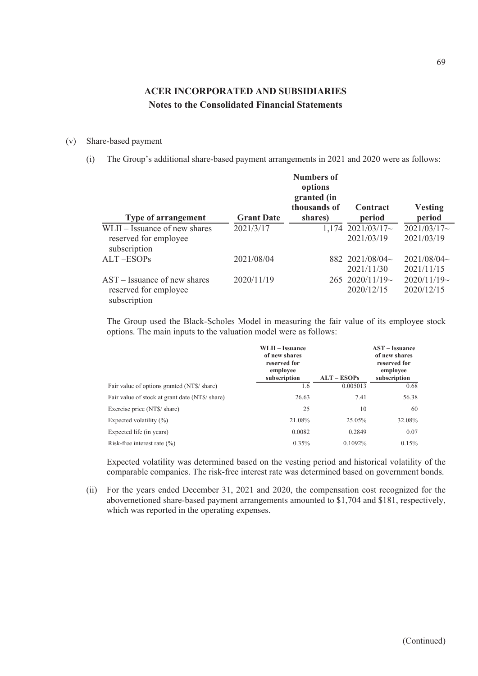#### (v) Share-based payment

(i) The Group's additional share-based payment arrangements in 2021 and 2020 were as follows:

| <b>Type of arrangement</b>            | <b>Grant Date</b> | <b>Numbers of</b><br>options<br>granted (in<br>thousands of<br>shares) | Contract<br>period    | <b>Vesting</b><br>period |
|---------------------------------------|-------------------|------------------------------------------------------------------------|-----------------------|--------------------------|
| WLII – Issuance of new shares         | 2021/3/17         |                                                                        | $1,174$ 2021/03/17~   | $2021/03/17$ ~           |
| reserved for employee<br>subscription |                   |                                                                        | 2021/03/19            | 2021/03/19               |
| ALT-ESOPs                             | 2021/08/04        |                                                                        | 882 2021/08/04 $\sim$ | 2021/08/04~              |
|                                       |                   |                                                                        | 2021/11/30            | 2021/11/15               |
| $AST - Issuance$ of new shares        | 2020/11/19        |                                                                        | $265$ 2020/11/19~     | $2020/11/19$ ~           |
| reserved for employee<br>subscription |                   |                                                                        | 2020/12/15            | 2020/12/15               |

The Group used the Black-Scholes Model in measuring the fair value of its employee stock options. The main inputs to the valuation model were as follows:

|                                                 | WLII - Issuance<br>of new shares<br>reserved for<br>employee |               | <b>AST</b> – Issuance<br>of new shares<br>reserved for<br>employee |
|-------------------------------------------------|--------------------------------------------------------------|---------------|--------------------------------------------------------------------|
|                                                 | subscription                                                 | $ALT - ESOPs$ | subscription                                                       |
| Fair value of options granted (NT\$/ share)     | 1.6                                                          | 0.005013      | 0.68                                                               |
| Fair value of stock at grant date (NT\$/ share) | 26.63                                                        | 7.41          | 56.38                                                              |
| Exercise price (NT\$/ share)                    | 25                                                           | 10            | 60                                                                 |
| Expected volatility $(\%)$                      | 21.08%                                                       | 25.05%        | 32.08%                                                             |
| Expected life (in years)                        | 0.0082                                                       | 0.2849        | 0.07                                                               |
| Risk-free interest rate $(\% )$                 | 0.35%                                                        | $0.1092\%$    | 0.15%                                                              |

Expected volatility was determined based on the vesting period and historical volatility of the comparable companies. The risk-free interest rate was determined based on government bonds.

(ii) For the years ended December 31, 2021 and 2020, the compensation cost recognized for the abovemetioned share-based payment arrangements amounted to \$1,704 and \$181, respectively, which was reported in the operating expenses.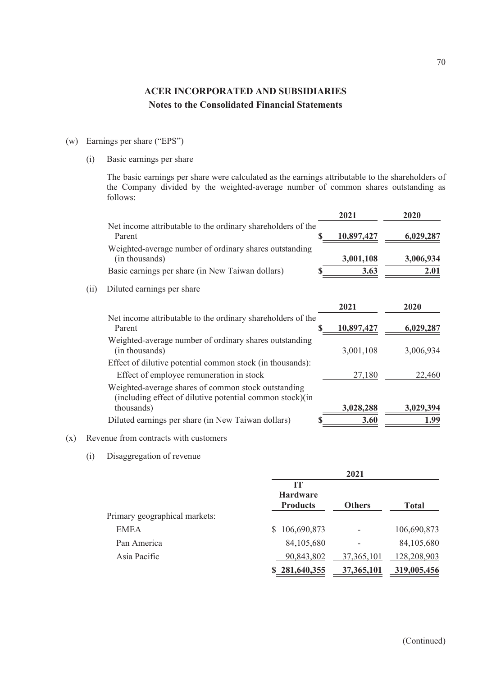- (w) Earnings per share ("EPS")
	- (i) Basic earnings per share

The basic earnings per share were calculated as the earnings attributable to the shareholders of the Company divided by the weighted-average number of common shares outstanding as follows:

|      |                                                                                                                 | 2021       | 2020      |
|------|-----------------------------------------------------------------------------------------------------------------|------------|-----------|
|      | Net income attributable to the ordinary shareholders of the<br>Parent                                           | 10,897,427 | 6,029,287 |
|      | Weighted-average number of ordinary shares outstanding<br>(in thousands)                                        | 3,001,108  | 3,006,934 |
|      | Basic earnings per share (in New Taiwan dollars)                                                                | 3.63       | 2.01      |
| (ii) | Diluted earnings per share                                                                                      |            |           |
|      |                                                                                                                 | 2021       | 2020      |
|      | Net income attributable to the ordinary shareholders of the<br>Parent                                           | 10,897,427 | 6,029,287 |
|      | Weighted-average number of ordinary shares outstanding<br>(in thousands)                                        | 3,001,108  | 3,006,934 |
|      | Effect of dilutive potential common stock (in thousands):<br>Effect of employee remuneration in stock           | 27,180     | 22,460    |
|      | Weighted-average shares of common stock outstanding<br>(including effect of dilutive potential common stock)(in |            |           |
|      | thousands)                                                                                                      | 3,028,288  | 3,029,394 |
|      | Diluted earnings per share (in New Taiwan dollars)                                                              | 3.60       | 1.99      |

#### (x) Revenue from contracts with customers

(i) Disaggregation of revenue

|                               | 2021                                            |               |              |
|-------------------------------|-------------------------------------------------|---------------|--------------|
|                               | <b>IT</b><br><b>Hardware</b><br><b>Products</b> | <b>Others</b> | <b>Total</b> |
| Primary geographical markets: |                                                 |               |              |
| <b>EMEA</b>                   | \$106,690,873                                   |               | 106,690,873  |
| Pan America                   | 84,105,680                                      |               | 84,105,680   |
| Asia Pacific                  | 90,843,802                                      | 37, 365, 101  | 128,208,903  |
|                               | \$281,640,355                                   | 37,365,101    | 319,005,456  |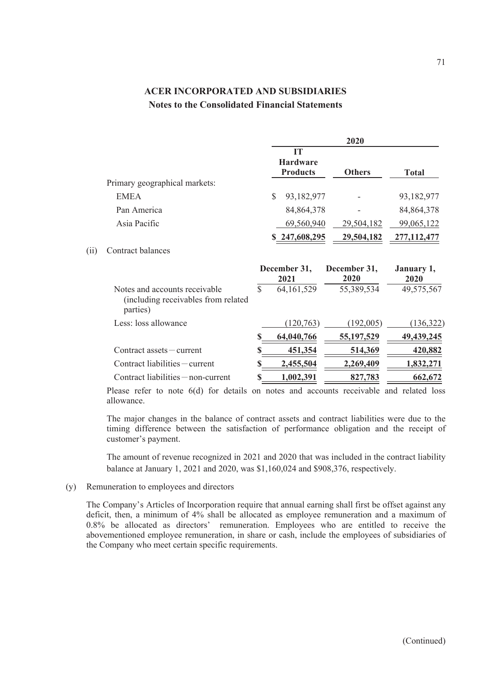|                                                                                   |              |                                          | 2020                 |                    |
|-----------------------------------------------------------------------------------|--------------|------------------------------------------|----------------------|--------------------|
|                                                                                   |              | IT<br><b>Hardware</b><br><b>Products</b> | <b>Others</b>        | <b>Total</b>       |
| Primary geographical markets:                                                     |              |                                          |                      |                    |
| <b>EMEA</b>                                                                       |              | \$<br>93,182,977                         |                      | 93,182,977         |
| Pan America                                                                       |              | 84, 864, 378                             |                      | 84, 864, 378       |
| Asia Pacific                                                                      |              | 69,560,940                               | 29,504,182           | 99,065,122         |
|                                                                                   |              | \$247,608,295                            | 29,504,182           | 277, 112, 477      |
| Contract balances                                                                 |              |                                          |                      |                    |
|                                                                                   |              | December 31,<br>2021                     | December 31,<br>2020 | January 1,<br>2020 |
| Notes and accounts receivable<br>(including receivables from related)<br>parties) | $\mathbb{S}$ | 64, 161, 529                             | 55,389,534           | 49,575,567         |
| Less: loss allowance                                                              |              | (120, 763)                               | (192,005)            | (136,322)          |
|                                                                                   | \$           | 64,040,766                               | 55,197,529           | 49, 439, 245       |
| $Contract$ assets $- current$                                                     | \$           | 451,354                                  | 514,369              | 420,882            |
| Contract liabilities - current                                                    | S            | 2,455,504                                | 2,269,409            | 1,832,271          |
| Contract liabilities - non-current                                                |              |                                          |                      |                    |
|                                                                                   |              | 1,002,391                                | 827,783              | 662,672            |

Please refer to note 6(d) for details on notes and accounts receivable and related loss allowance.

The major changes in the balance of contract assets and contract liabilities were due to the timing difference between the satisfaction of performance obligation and the receipt of customer's payment.

The amount of revenue recognized in 2021 and 2020 that was included in the contract liability balance at January 1, 2021 and 2020, was \$1,160,024 and \$908,376, respectively.

(y) Remuneration to employees and directors

 $(ii)$ 

The Company's Articles of Incorporation require that annual earning shall first be offset against any deficit, then, a minimum of 4% shall be allocated as employee remuneration and a maximum of 0.8% be allocated as directors' remuneration. Employees who are entitled to receive the abovementioned employee remuneration, in share or cash, include the employees of subsidiaries of the Company who meet certain specific requirements.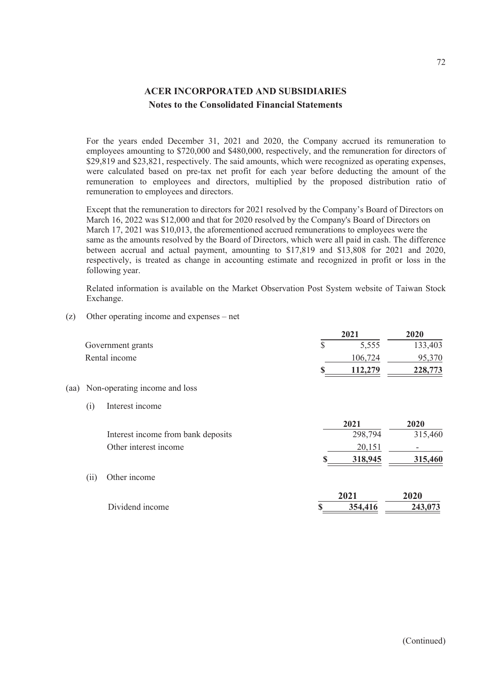For the years ended December 31, 2021 and 2020, the Company accrued its remuneration to employees amounting to \$720,000 and \$480,000, respectively, and the remuneration for directors of \$29,819 and \$23,821, respectively. The said amounts, which were recognized as operating expenses, were calculated based on pre-tax net profit for each year before deducting the amount of the remuneration to employees and directors, multiplied by the proposed distribution ratio of remuneration to employees and directors.

Except that the remuneration to directors for 2021 resolved by the Company's Board of Directors on March 16, 2022 was \$12,000 and that for 2020 resolved by the Company's Board of Directors on March 17, 2021 was \$10,013, the aforementioned accrued remunerations to employees were the same as the amounts resolved by the Board of Directors, which were all paid in cash. The difference between accrual and actual payment, amounting to \$17,819 and \$13,808 for 2021 and 2020, respectively, is treated as change in accounting estimate and recognized in profit or loss in the following year.

Related information is available on the Market Observation Post System website of Taiwan Stock Exchange.

(z) Other operating income and expenses – net

|      |      |                                    | 2021          | 2020    |
|------|------|------------------------------------|---------------|---------|
|      |      | Government grants                  | \$<br>5,555   | 133,403 |
|      |      | Rental income                      | 106,724       | 95,370  |
|      |      |                                    | \$<br>112,279 | 228,773 |
| (aa) |      | Non-operating income and loss      |               |         |
|      | (i)  | Interest income                    |               |         |
|      |      |                                    | 2021          | 2020    |
|      |      | Interest income from bank deposits | 298,794       | 315,460 |
|      |      | Other interest income              | 20,151        |         |
|      |      |                                    | 318,945       | 315,460 |
|      | (ii) | Other income                       |               |         |
|      |      |                                    | 2021          | 2020    |
|      |      | Dividend income                    | \$<br>354,416 | 243,073 |
|      |      |                                    |               |         |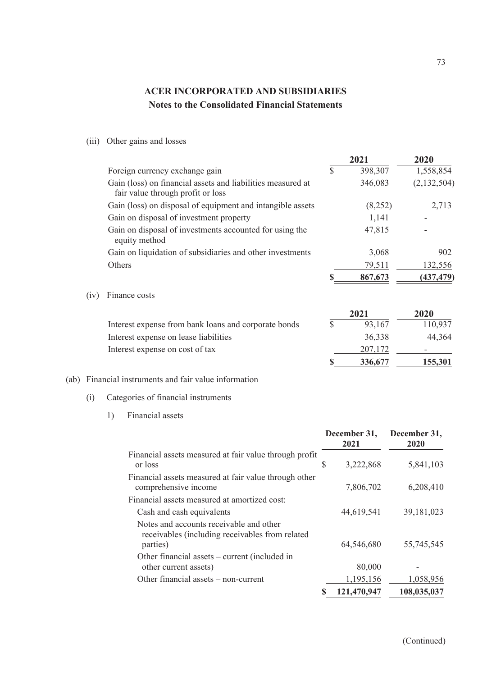### (iii) Other gains and losses

|      |                                                                                                  |               | 2021    | 2020        |
|------|--------------------------------------------------------------------------------------------------|---------------|---------|-------------|
|      | Foreign currency exchange gain                                                                   | $\mathcal{S}$ | 398,307 | 1,558,854   |
|      | Gain (loss) on financial assets and liabilities measured at<br>fair value through profit or loss |               | 346,083 | (2,132,504) |
|      | Gain (loss) on disposal of equipment and intangible assets                                       |               | (8,252) | 2,713       |
|      | Gain on disposal of investment property                                                          |               | 1,141   |             |
|      | Gain on disposal of investments accounted for using the<br>equity method                         |               | 47,815  |             |
|      | Gain on liquidation of subsidiaries and other investments                                        |               | 3,068   | 902         |
|      | Others                                                                                           |               | 79,511  | 132,556     |
|      |                                                                                                  | S             | 867,673 | (437, 479)  |
| (1V) | Finance costs                                                                                    |               |         |             |
|      |                                                                                                  |               | 2021    | 2020        |
|      | Interest expense from bank loans and corporate bonds                                             | $\mathbb{S}$  | 93,167  | 110,937     |
|      | Interest expense on lease liabilities                                                            |               | 36,338  | 44,364      |
|      | Interest expense on cost of tax                                                                  |               | 207,172 |             |
|      |                                                                                                  | S             | 336,677 | 155,301     |

#### (ab) Financial instruments and fair value information

### (i) Categories of financial instruments

1) Financial assets

|                                                                                                        |   | December 31,<br>2021 | December 31,<br>2020 |
|--------------------------------------------------------------------------------------------------------|---|----------------------|----------------------|
| Financial assets measured at fair value through profit<br>or loss                                      | S | 3,222,868            | 5,841,103            |
| Financial assets measured at fair value through other<br>comprehensive income                          |   | 7,806,702            | 6,208,410            |
| Financial assets measured at amortized cost:                                                           |   |                      |                      |
| Cash and cash equivalents                                                                              |   | 44,619,541           | 39, 181, 023         |
| Notes and accounts receivable and other<br>receivables (including receivables from related<br>parties) |   | 64,546,680           | 55,745,545           |
| Other financial assets – current (included in<br>other current assets)                                 |   | 80,000               |                      |
| Other financial assets - non-current                                                                   |   | 1,195,156            | 1,058,956            |
|                                                                                                        |   | 121,470,947          | 108,035,037          |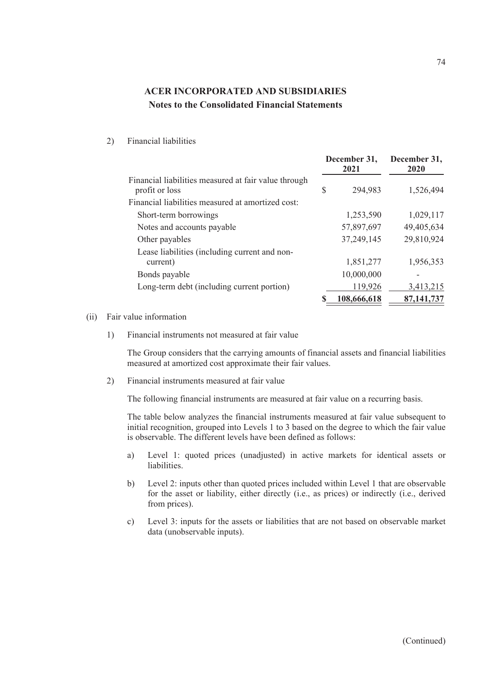#### 2) Financial liabilities

|                                                                        |    | December 31,<br>2021 | December 31,<br>2020 |
|------------------------------------------------------------------------|----|----------------------|----------------------|
| Financial liabilities measured at fair value through<br>profit or loss | \$ | 294,983              | 1,526,494            |
| Financial liabilities measured at amortized cost:                      |    |                      |                      |
| Short-term borrowings                                                  |    | 1,253,590            | 1,029,117            |
| Notes and accounts payable                                             |    | 57,897,697           | 49,405,634           |
| Other payables                                                         |    | 37,249,145           | 29,810,924           |
| Lease liabilities (including current and non-                          |    |                      |                      |
| current)                                                               |    | 1,851,277            | 1,956,353            |
| Bonds payable                                                          |    | 10,000,000           |                      |
| Long-term debt (including current portion)                             |    | 119,926              | 3,413,215            |
|                                                                        | S  | 108,666,618          | 87,141,737           |

#### (ii) Fair value information

1) Financial instruments not measured at fair value

The Group considers that the carrying amounts of financial assets and financial liabilities measured at amortized cost approximate their fair values.

2) Financial instruments measured at fair value

The following financial instruments are measured at fair value on a recurring basis.

The table below analyzes the financial instruments measured at fair value subsequent to initial recognition, grouped into Levels 1 to 3 based on the degree to which the fair value is observable. The different levels have been defined as follows:

- a) Level 1: quoted prices (unadjusted) in active markets for identical assets or liabilities.
- b) Level 2: inputs other than quoted prices included within Level 1 that are observable for the asset or liability, either directly (i.e., as prices) or indirectly (i.e., derived from prices).
- c) Level 3: inputs for the assets or liabilities that are not based on observable market data (unobservable inputs).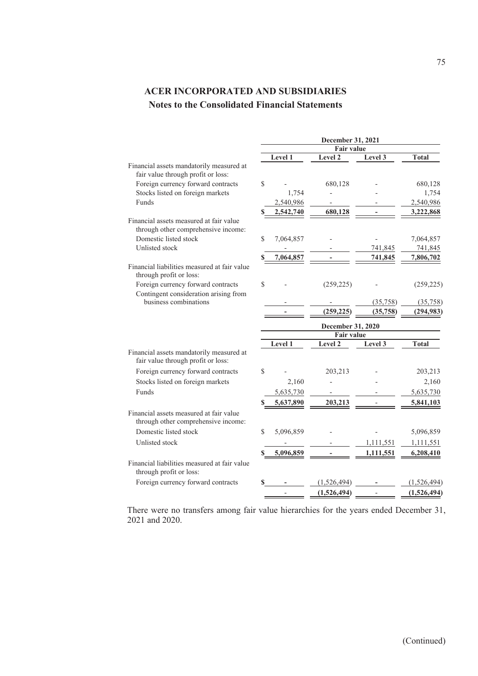|                                                                                | December 31, 2021<br><b>Fair value</b> |                |                                        |                  |              |  |
|--------------------------------------------------------------------------------|----------------------------------------|----------------|----------------------------------------|------------------|--------------|--|
|                                                                                |                                        | Level 1        | Level 2                                | Level 3          | <b>Total</b> |  |
| Financial assets mandatorily measured at<br>fair value through profit or loss: |                                        |                |                                        |                  |              |  |
| Foreign currency forward contracts                                             | \$                                     |                | 680,128                                |                  | 680,128      |  |
| Stocks listed on foreign markets                                               |                                        | 1,754          |                                        |                  | 1,754        |  |
| Funds                                                                          |                                        | 2,540,986      |                                        |                  | 2,540,986    |  |
|                                                                                |                                        | 2,542,740      | 680,128                                |                  | 3,222,868    |  |
| Financial assets measured at fair value<br>through other comprehensive income: |                                        |                |                                        |                  |              |  |
| Domestic listed stock                                                          | \$                                     | 7,064,857      |                                        |                  | 7,064,857    |  |
| Unlisted stock                                                                 |                                        |                |                                        | 741,845          | 741,845      |  |
|                                                                                | \$                                     | 7,064,857      |                                        | 741,845          | 7,806,702    |  |
| Financial liabilities measured at fair value<br>through profit or loss:        |                                        |                |                                        |                  |              |  |
| Foreign currency forward contracts                                             | \$                                     |                | (259, 225)                             |                  | (259, 225)   |  |
| Contingent consideration arising from<br>business combinations                 |                                        |                |                                        | (35,758)         | (35,758)     |  |
|                                                                                |                                        |                | (259, 225)                             | (35,758)         | (294, 983)   |  |
|                                                                                |                                        |                | December 31, 2020<br><b>Fair value</b> |                  |              |  |
|                                                                                |                                        | <b>Level 1</b> | Level 2                                | Level 3          | <b>Total</b> |  |
| Financial assets mandatorily measured at<br>fair value through profit or loss: |                                        |                |                                        |                  |              |  |
| Foreign currency forward contracts                                             | \$                                     |                | 203,213                                |                  | 203,213      |  |
| Stocks listed on foreign markets                                               |                                        | 2,160          |                                        |                  | 2,160        |  |
| Funds                                                                          |                                        | 5,635,730      |                                        |                  | 5,635,730    |  |
|                                                                                | \$                                     | 5,637,890      | 203,213                                |                  | 5,841,103    |  |
| Financial assets measured at fair value<br>through other comprehensive income: |                                        |                |                                        |                  |              |  |
| Domestic listed stock                                                          | \$                                     | 5,096,859      |                                        |                  | 5,096,859    |  |
| Unlisted stock                                                                 |                                        |                |                                        | 1,111,551        | 1,111,551    |  |
|                                                                                | S                                      | 5,096,859      |                                        | <u>1,111,551</u> | 6,208,410    |  |
| Financial liabilities measured at fair value<br>through profit or loss:        |                                        |                |                                        |                  |              |  |
| Foreign currency forward contracts                                             | \$                                     |                | (1,526,494)                            |                  | (1,526,494)  |  |
|                                                                                |                                        |                | (1,526,494)                            |                  | (1,526,494)  |  |
|                                                                                |                                        |                |                                        |                  |              |  |

There were no transfers among fair value hierarchies for the years ended December 31, 2021 and 2020.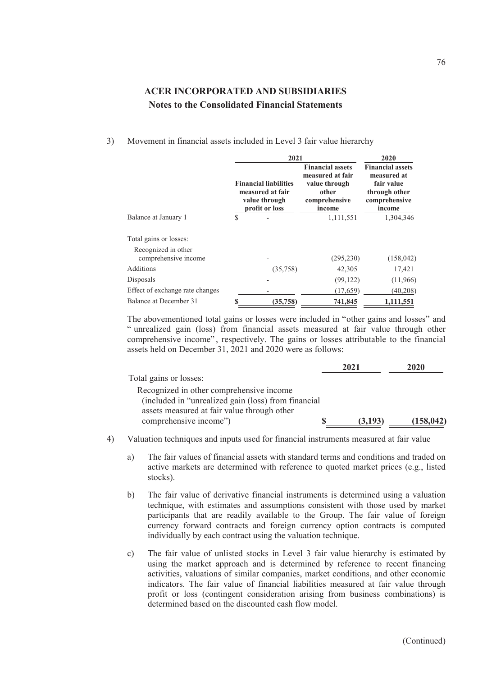| 3) Movement in financial assets included in Level 3 fair value hierarchy |  |  |  |
|--------------------------------------------------------------------------|--|--|--|
|                                                                          |  |  |  |

|                                             |    | 2021                                                                                | 2020                                                                                             |                                                                                                  |  |
|---------------------------------------------|----|-------------------------------------------------------------------------------------|--------------------------------------------------------------------------------------------------|--------------------------------------------------------------------------------------------------|--|
|                                             |    | <b>Financial liabilities</b><br>measured at fair<br>value through<br>profit or loss | <b>Financial assets</b><br>measured at fair<br>value through<br>other<br>comprehensive<br>income | <b>Financial assets</b><br>measured at<br>fair value<br>through other<br>comprehensive<br>income |  |
| Balance at January 1                        | \$ |                                                                                     | 1,111,551                                                                                        | 1,304,346                                                                                        |  |
| Total gains or losses:                      |    |                                                                                     |                                                                                                  |                                                                                                  |  |
| Recognized in other<br>comprehensive income |    |                                                                                     | (295, 230)                                                                                       | (158, 042)                                                                                       |  |
| Additions                                   |    | (35,758)                                                                            | 42,305                                                                                           | 17,421                                                                                           |  |
| Disposals                                   |    |                                                                                     | (99, 122)                                                                                        | (11,966)                                                                                         |  |
| Effect of exchange rate changes             |    |                                                                                     | (17,659)                                                                                         | (40,208)                                                                                         |  |
| Balance at December 31                      | S  | (35, 758)                                                                           | 741,845                                                                                          | 1,111,551                                                                                        |  |

The abovementioned total gains or losses were included in "other gains and losses" and " unrealized gain (loss) from financial assets measured at fair value through other comprehensive income", respectively. The gains or losses attributable to the financial assets held on December 31, 2021 and 2020 were as follows:

|                                                     | 2021 |         | 2020      |
|-----------------------------------------------------|------|---------|-----------|
| Total gains or losses:                              |      |         |           |
| Recognized in other comprehensive income            |      |         |           |
| (included in "unrealized gain (loss) from financial |      |         |           |
| assets measured at fair value through other         |      |         |           |
| comprehensive income")                              |      | (3.193) | (158.042) |

- 4) Valuation techniques and inputs used for financial instruments measured at fair value
	- a) The fair values of financial assets with standard terms and conditions and traded on active markets are determined with reference to quoted market prices (e.g., listed stocks).
	- b) The fair value of derivative financial instruments is determined using a valuation technique, with estimates and assumptions consistent with those used by market participants that are readily available to the Group. The fair value of foreign currency forward contracts and foreign currency option contracts is computed individually by each contract using the valuation technique.
	- c) The fair value of unlisted stocks in Level 3 fair value hierarchy is estimated by using the market approach and is determined by reference to recent financing activities, valuations of similar companies, market conditions, and other economic indicators. The fair value of financial liabilities measured at fair value through profit or loss (contingent consideration arising from business combinations) is determined based on the discounted cash flow model.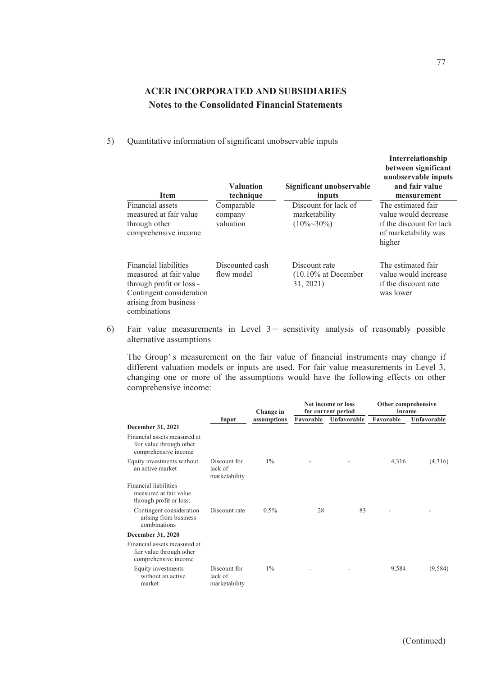5) Quantitative information of significant unobservable inputs

| <b>Item</b>                                                                                                                                      | <b>Valuation</b><br>technique      | Significant unobservable<br>inputs                     | between significant<br>unobservable inputs<br>and fair value<br>measurement                              |  |
|--------------------------------------------------------------------------------------------------------------------------------------------------|------------------------------------|--------------------------------------------------------|----------------------------------------------------------------------------------------------------------|--|
| Financial assets<br>measured at fair value<br>through other<br>comprehensive income                                                              | Comparable<br>company<br>valuation | Discount for lack of<br>marketability<br>$(10\%~30\%)$ | The estimated fair<br>value would decrease<br>if the discount for lack<br>of marketability was<br>higher |  |
| Financial liabilities<br>measured at fair value<br>through profit or loss -<br>Contingent consideration<br>arising from business<br>combinations | Discounted cash<br>flow model      | Discount rate<br>$(10.10\%$ at December<br>31, 2021)   | The estimated fair<br>value would increase<br>if the discount rate<br>was lower                          |  |

6) Fair value measurements in Level  $3-$  sensitivity analysis of reasonably possible alternative assumptions

The Group' s measurement on the fair value of financial instruments may change if different valuation models or inputs are used. For fair value measurements in Level 3, changing one or more of the assumptions would have the following effects on other comprehensive income:

|                                                                                  |                                          | Change in   |           | Net income or loss<br>for current period | Other comprehensive<br>income |             |
|----------------------------------------------------------------------------------|------------------------------------------|-------------|-----------|------------------------------------------|-------------------------------|-------------|
|                                                                                  | Input                                    | assumptions | Favorable | Unfavorable                              | Favorable                     | Unfavorable |
| December 31, 2021                                                                |                                          |             |           |                                          |                               |             |
| Financial assets measured at<br>fair value through other<br>comprehensive income |                                          |             |           |                                          |                               |             |
| Equity investments without<br>an active market                                   | Discount for<br>lack of<br>marketability | $1\%$       |           |                                          | 4,316                         | (4,316)     |
| Financial liabilities<br>measured at fair value<br>through profit or loss:       |                                          |             |           |                                          |                               |             |
| Contingent consideration<br>arising from business<br>combinations                | Discount rate                            | $0.5\%$     | 28        | 83                                       |                               |             |
| December 31, 2020                                                                |                                          |             |           |                                          |                               |             |
| Financial assets measured at<br>fair value through other<br>comprehensive income |                                          |             |           |                                          |                               |             |
| Equity investments<br>without an active<br>market                                | Discount for<br>lack of<br>marketability | $1\%$       |           |                                          | 9,584                         | (9, 584)    |

**Interrelationship**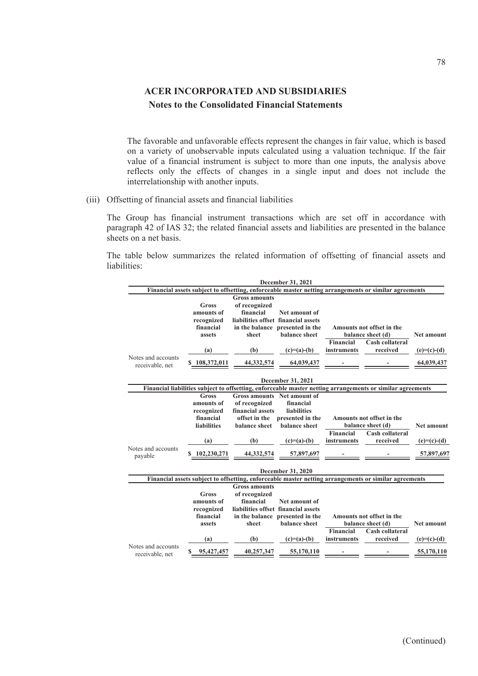The favorable and unfavorable effects represent the changes in fair value, which is based on a variety of unobservable inputs calculated using a valuation technique. If the fair value of a financial instrument is subject to more than one inputs, the analysis above reflects only the effects of changes in a single input and does not include the interrelationship with another inputs.

(iii) Offsetting of financial assets and financial liabilities

The Group has financial instrument transactions which are set off in accordance with paragraph 42 of IAS 32; the related financial assets and liabilities are presented in the balance sheets on a net basis.

The table below summarizes the related information of offsetting of financial assets and liabilities:

|                    |                    |                      | December 31, 2021                   |                  |                                                                                                            |                   |
|--------------------|--------------------|----------------------|-------------------------------------|------------------|------------------------------------------------------------------------------------------------------------|-------------------|
|                    |                    |                      |                                     |                  | Financial assets subject to offsetting, enforceable master netting arrangements or similar agreements      |                   |
|                    |                    | <b>Gross amounts</b> |                                     |                  |                                                                                                            |                   |
|                    | Gross              | of recognized        |                                     |                  |                                                                                                            |                   |
|                    | amounts of         | financial            | Net amount of                       |                  |                                                                                                            |                   |
|                    | recognized         |                      | liabilities offset financial assets |                  |                                                                                                            |                   |
|                    | financial          |                      | in the balance presented in the     |                  | Amounts not offset in the                                                                                  |                   |
|                    | assets             | sheet                | balance sheet                       |                  | balance sheet (d)                                                                                          | <b>Net amount</b> |
|                    |                    |                      |                                     | <b>Financial</b> | Cash collateral                                                                                            |                   |
|                    | (a)                | (b)                  | $(c)=(a)-(b)$                       | instruments      | received                                                                                                   | $(e)=(c)-(d)$     |
| Notes and accounts |                    |                      |                                     |                  |                                                                                                            |                   |
| receivable, net    | \$108,372,011      | 44,332,574           | 64,039,437                          |                  |                                                                                                            | 64,039,437        |
|                    |                    |                      |                                     |                  |                                                                                                            |                   |
|                    |                    |                      | December 31, 2021                   |                  |                                                                                                            |                   |
|                    |                    |                      |                                     |                  | Financial liabilities subject to offsetting, enforceable master netting arrangements or similar agreements |                   |
|                    | <b>Gross</b>       |                      | Gross amounts Net amount of         |                  |                                                                                                            |                   |
|                    | amounts of         | of recognized        | financial                           |                  |                                                                                                            |                   |
|                    | recognized         | financial assets     | <b>liabilities</b>                  |                  |                                                                                                            |                   |
|                    | financial          |                      | offset in the presented in the      |                  | Amounts not offset in the                                                                                  |                   |
|                    | <b>liabilities</b> | balance sheet        | balance sheet                       |                  | balance sheet (d)                                                                                          | <b>Net amount</b> |
|                    |                    |                      |                                     | Financial        | <b>Cash collateral</b>                                                                                     |                   |
|                    | (a)                | (b)                  | $(c)=(a)-(b)$                       | instruments      | received                                                                                                   | $(e)=(c)-(d)$     |
| Notes and accounts |                    |                      |                                     |                  |                                                                                                            |                   |
| payable            | \$102,230,271      | 44.332.574           | 57,897,697                          |                  |                                                                                                            | 57,897,697        |
|                    |                    |                      |                                     |                  |                                                                                                            |                   |
|                    |                    |                      | December 31, 2020                   |                  |                                                                                                            |                   |
|                    |                    |                      |                                     |                  | Financial assets subject to offsetting, enforceable master netting arrangements or similar agreements      |                   |
|                    |                    | <b>Gross amounts</b> |                                     |                  |                                                                                                            |                   |
|                    | Gross              | of recognized        |                                     |                  |                                                                                                            |                   |
|                    | amounts of         | financial            | Net amount of                       |                  |                                                                                                            |                   |
|                    | recognized         |                      | liabilities offset financial assets |                  |                                                                                                            |                   |
|                    | financial          |                      | in the balance presented in the     |                  | Amounts not offset in the                                                                                  |                   |
|                    | assets             | sheet                | balance sheet                       |                  | balance sheet (d)                                                                                          | <b>Net amount</b> |
|                    |                    |                      |                                     | <b>Financial</b> | <b>Cash collateral</b>                                                                                     |                   |
|                    | (a)                | (b)                  | $(c)=(a)-(b)$                       | instruments      | received                                                                                                   | $(e)=(c)-(d)$     |
| Notes and accounts |                    |                      |                                     |                  |                                                                                                            |                   |
| receivable, net    | 95,427,457         | 40,257,347           | 55,170,110                          |                  |                                                                                                            | 55,170,110        |
|                    |                    |                      |                                     |                  |                                                                                                            |                   |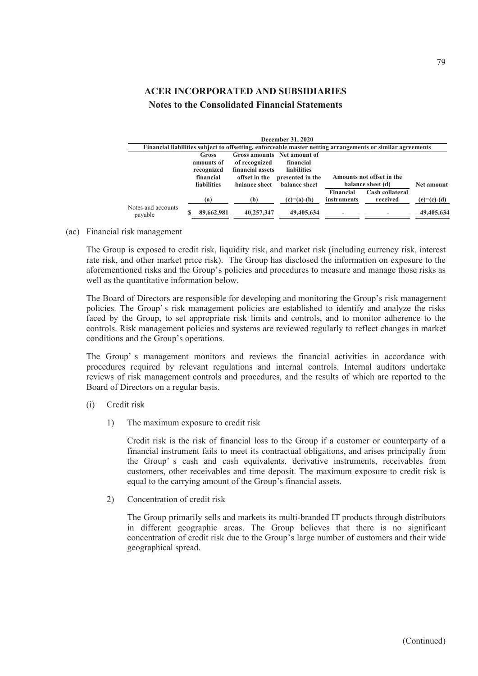|                                                                                                            |                    |                  | December 31, 2020           |                    |                           |               |  |  |  |  |  |  |
|------------------------------------------------------------------------------------------------------------|--------------------|------------------|-----------------------------|--------------------|---------------------------|---------------|--|--|--|--|--|--|
| Financial liabilities subject to offsetting, enforceable master netting arrangements or similar agreements |                    |                  |                             |                    |                           |               |  |  |  |  |  |  |
|                                                                                                            | Gross              |                  | Gross amounts Net amount of |                    |                           |               |  |  |  |  |  |  |
|                                                                                                            | amounts of         | of recognized    | financial                   |                    |                           |               |  |  |  |  |  |  |
|                                                                                                            | recognized         | financial assets | <b>liabilities</b>          |                    |                           |               |  |  |  |  |  |  |
|                                                                                                            | financial          | offset in the    | presented in the            |                    | Amounts not offset in the |               |  |  |  |  |  |  |
|                                                                                                            | <b>liabilities</b> | balance sheet    | <b>balance</b> sheet        |                    | balance sheet (d)         | Net amount    |  |  |  |  |  |  |
|                                                                                                            |                    |                  |                             | <b>Financial</b>   | Cash collateral           |               |  |  |  |  |  |  |
|                                                                                                            | (a)                | (b)              | $(c)=(a)-(b)$               | <i>instruments</i> | received                  | $(e)=(c)-(d)$ |  |  |  |  |  |  |
| Notes and accounts<br>payable                                                                              | 89,662,981         | 40,257,347       | 49,405,634                  |                    |                           | 49,405,634    |  |  |  |  |  |  |

(ac) Financial risk management

The Group is exposed to credit risk, liquidity risk, and market risk (including currency risk, interest rate risk, and other market price risk). The Group has disclosed the information on exposure to the aforementioned risks and the Group's policies and procedures to measure and manage those risks as well as the quantitative information below.

The Board of Directors are responsible for developing and monitoring the Group's risk management policies. The Group' s risk management policies are established to identify and analyze the risks faced by the Group, to set appropriate risk limits and controls, and to monitor adherence to the controls. Risk management policies and systems are reviewed regularly to reflect changes in market conditions and the Group's operations.

The Group' s management monitors and reviews the financial activities in accordance with procedures required by relevant regulations and internal controls. Internal auditors undertake reviews of risk management controls and procedures, and the results of which are reported to the Board of Directors on a regular basis.

- (i) Credit risk
	- 1) The maximum exposure to credit risk

Credit risk is the risk of financial loss to the Group if a customer or counterparty of a financial instrument fails to meet its contractual obligations, and arises principally from the Group' s cash and cash equivalents, derivative instruments, receivables from customers, other receivables and time deposit. The maximum exposure to credit risk is equal to the carrying amount of the Group's financial assets.

2) Concentration of credit risk

The Group primarily sells and markets its multi-branded IT products through distributors in different geographic areas. The Group believes that there is no significant concentration of credit risk due to the Group's large number of customers and their wide geographical spread.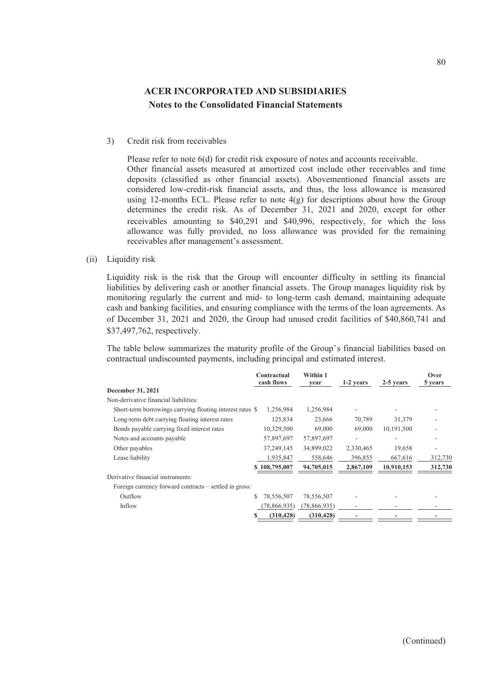#### 3) Credit risk from receivables

Please refer to note 6(d) for credit risk exposure of notes and accounts receivable. Other financial assets measured at amortized cost include other receivables and time deposits (classified as other financial assets). Abovementioned financial assets are considered low-credit-risk financial assets, and thus, the loss allowance is measured using 12-months ECL. Please refer to note  $4(g)$  for descriptions about how the Group determines the credit risk. As of December 31, 2021 and 2020, except for other receivables amounting to \$40,291 and \$40,996, respectively, for which the loss allowance was fully provided, no loss allowance was provided for the remaining receivables after management's assessment.

(ii) Liquidity risk

Liquidity risk is the risk that the Group will encounter difficulty in settling its financial liabilities by delivering cash or another financial assets. The Group manages liquidity risk by monitoring regularly the current and mid- to long-term cash demand, maintaining adequate cash and banking facilities, and ensuring compliance with the terms of the loan agreements. As of December 31, 2021 and 2020, the Group had unused credit facilities of \$40,860,741 and \$37,497,762, respectively.

The table below summarizes the maturity profile of the Group's financial liabilities based on contractual undiscounted payments, including principal and estimated interest.

|                                                           | Contractual<br>cash flows | Within 1<br>vear | 1-2 years | 2-5 years  | Over<br>5 years |
|-----------------------------------------------------------|---------------------------|------------------|-----------|------------|-----------------|
| December 31, 2021                                         |                           |                  |           |            |                 |
| Non-derivative financial liabilities:                     |                           |                  |           |            |                 |
| Short-term borrowings carrying floating interest rates \$ | 1,256,984                 | 1,256,984        |           |            |                 |
| Long-term debt carrying floating interest rates           | 125,834                   | 23,666           | 70,789    | 31,379     |                 |
| Bonds payable carrying fixed interest rates               | 10,329,500                | 69,000           | 69,000    | 10.191.500 |                 |
| Notes and accounts payable                                | 57,897,697                | 57,897,697       |           | ۰          |                 |
| Other payables                                            | 37,249,145                | 34,899,022       | 2,330,465 | 19,658     |                 |
| Lease liability                                           | 1,935,847                 | 558,646          | 396,855   | 667,616    | 312,730         |
|                                                           | \$108,795,007             | 94,705,015       | 2,867,109 | 10,910,153 | 312,730         |
| Derivative financial instruments:                         |                           |                  |           |            |                 |
| Foreign currency forward contracts – settled in gross:    |                           |                  |           |            |                 |
| Outflow                                                   | S<br>78,556,507           | 78,556,507       |           |            |                 |
| Inflow                                                    | 78,866,935)               | (78,866,935)     |           |            |                 |
|                                                           | (310, 428)                | (310, 428)       |           |            |                 |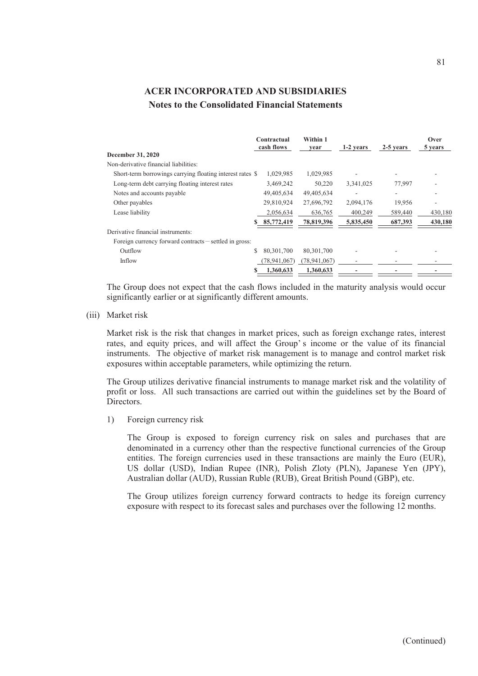|                                                           |   | Contractual<br>cash flows | Within 1<br>vear | 1-2 years | 2-5 years | Over<br>5 years |
|-----------------------------------------------------------|---|---------------------------|------------------|-----------|-----------|-----------------|
| <b>December 31, 2020</b>                                  |   |                           |                  |           |           |                 |
| Non-derivative financial liabilities:                     |   |                           |                  |           |           |                 |
| Short-term borrowings carrying floating interest rates \$ |   | 1,029,985                 | 1,029,985        |           |           |                 |
| Long-term debt carrying floating interest rates           |   | 3,469,242                 | 50,220           | 3,341,025 | 77,997    |                 |
| Notes and accounts payable                                |   | 49,405,634                | 49,405,634       |           |           |                 |
| Other payables                                            |   | 29,810,924                | 27,696,792       | 2,094,176 | 19,956    |                 |
| Lease liability                                           |   | 2,056,634                 | 636,765          | 400,249   | 589,440   | 430,180         |
|                                                           |   | 85,772,419                | 78,819,396       | 5,835,450 | 687,393   | 430,180         |
| Derivative financial instruments:                         |   |                           |                  |           |           |                 |
| Foreign currency forward contracts – settled in gross:    |   |                           |                  |           |           |                 |
| Outflow                                                   | S | 80, 301, 700              | 80, 301, 700     |           |           |                 |
| Inflow                                                    |   | (78, 941, 067)            | (78, 941, 067)   |           |           |                 |
|                                                           | s | 1.360.633                 | 1.360.633        |           |           |                 |

The Group does not expect that the cash flows included in the maturity analysis would occur significantly earlier or at significantly different amounts.

(iii) Market risk

Market risk is the risk that changes in market prices, such as foreign exchange rates, interest rates, and equity prices, and will affect the Group' s income or the value of its financial instruments. The objective of market risk management is to manage and control market risk exposures within acceptable parameters, while optimizing the return.

The Group utilizes derivative financial instruments to manage market risk and the volatility of profit or loss. All such transactions are carried out within the guidelines set by the Board of Directors.

1) Foreign currency risk

The Group is exposed to foreign currency risk on sales and purchases that are denominated in a currency other than the respective functional currencies of the Group entities. The foreign currencies used in these transactions are mainly the Euro (EUR), US dollar (USD), Indian Rupee (INR), Polish Zloty (PLN), Japanese Yen (JPY), Australian dollar (AUD), Russian Ruble (RUB), Great British Pound (GBP), etc.

The Group utilizes foreign currency forward contracts to hedge its foreign currency exposure with respect to its forecast sales and purchases over the following 12 months.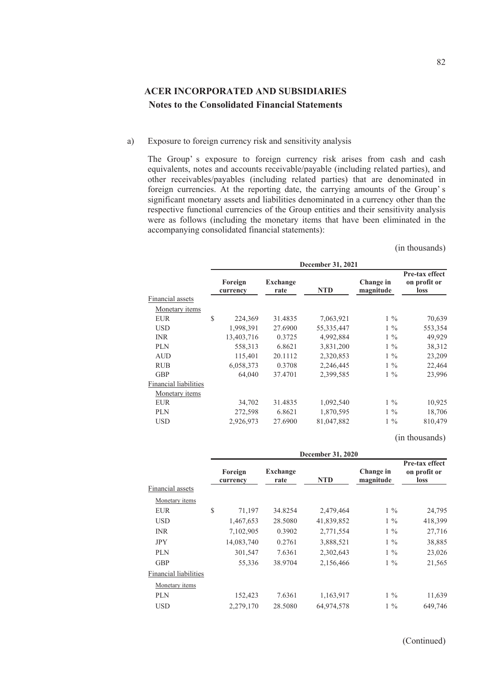a) Exposure to foreign currency risk and sensitivity analysis

The Group' s exposure to foreign currency risk arises from cash and cash equivalents, notes and accounts receivable/payable (including related parties), and other receivables/payables (including related parties) that are denominated in foreign currencies. At the reporting date, the carrying amounts of the Group' s significant monetary assets and liabilities denominated in a currency other than the respective functional currencies of the Group entities and their sensitivity analysis were as follows (including the monetary items that have been eliminated in the accompanying consolidated financial statements):

(in thousands)

|                       | December 31, 2021 |                     |                         |              |                        |                                               |  |  |  |  |
|-----------------------|-------------------|---------------------|-------------------------|--------------|------------------------|-----------------------------------------------|--|--|--|--|
|                       |                   | Foreign<br>currency | <b>Exchange</b><br>rate | <b>NTD</b>   | Change in<br>magnitude | Pre-tax effect<br>on profit or<br><b>loss</b> |  |  |  |  |
| Financial assets      |                   |                     |                         |              |                        |                                               |  |  |  |  |
| Monetary items        |                   |                     |                         |              |                        |                                               |  |  |  |  |
| <b>EUR</b>            | \$                | 224,369             | 31.4835                 | 7,063,921    | $1\%$                  | 70,639                                        |  |  |  |  |
| <b>USD</b>            |                   | 1,998,391           | 27.6900                 | 55, 335, 447 | $1\%$                  | 553,354                                       |  |  |  |  |
| <b>INR</b>            |                   | 13,403,716          | 0.3725                  | 4,992,884    | $1\%$                  | 49,929                                        |  |  |  |  |
| <b>PLN</b>            |                   | 558,313             | 6.8621                  | 3,831,200    | $1\%$                  | 38,312                                        |  |  |  |  |
| <b>AUD</b>            |                   | 115,401             | 20.1112                 | 2,320,853    | $1\%$                  | 23,209                                        |  |  |  |  |
| <b>RUB</b>            |                   | 6,058,373           | 0.3708                  | 2,246,445    | $1\%$                  | 22,464                                        |  |  |  |  |
| <b>GBP</b>            |                   | 64,040              | 37.4701                 | 2,399,585    | $1\%$                  | 23,996                                        |  |  |  |  |
| Financial liabilities |                   |                     |                         |              |                        |                                               |  |  |  |  |
| Monetary items        |                   |                     |                         |              |                        |                                               |  |  |  |  |
| <b>EUR</b>            |                   | 34,702              | 31.4835                 | 1,092,540    | $1\%$                  | 10,925                                        |  |  |  |  |
| <b>PLN</b>            |                   | 272,598             | 6.8621                  | 1,870,595    | $1\%$                  | 18,706                                        |  |  |  |  |
| <b>USD</b>            |                   | 2,926,973           | 27.6900                 | 81,047,882   | $1\%$                  | 810,479                                       |  |  |  |  |
|                       |                   |                     |                         |              |                        |                                               |  |  |  |  |

(in thousands)

|                       | December 31, 2020   |                         |            |                        |                                               |
|-----------------------|---------------------|-------------------------|------------|------------------------|-----------------------------------------------|
|                       | Foreign<br>currency | <b>Exchange</b><br>rate | <b>NTD</b> | Change in<br>magnitude | Pre-tax effect<br>on profit or<br><b>loss</b> |
| Financial assets      |                     |                         |            |                        |                                               |
| Monetary items        |                     |                         |            |                        |                                               |
| <b>EUR</b>            | \$<br>71,197        | 34.8254                 | 2,479,464  | $1\%$                  | 24,795                                        |
| <b>USD</b>            | 1,467,653           | 28.5080                 | 41,839,852 | $1\%$                  | 418,399                                       |
| <b>INR</b>            | 7,102,905           | 0.3902                  | 2,771,554  | $1\%$                  | 27,716                                        |
| <b>JPY</b>            | 14,083,740          | 0.2761                  | 3,888,521  | $1\%$                  | 38,885                                        |
| <b>PLN</b>            | 301,547             | 7.6361                  | 2,302,643  | $1\%$                  | 23,026                                        |
| <b>GBP</b>            | 55,336              | 38.9704                 | 2,156,466  | $1\%$                  | 21,565                                        |
| Financial liabilities |                     |                         |            |                        |                                               |
| Monetary items        |                     |                         |            |                        |                                               |
| <b>PLN</b>            | 152,423             | 7.6361                  | 1,163,917  | $1\%$                  | 11,639                                        |
| <b>USD</b>            | 2,279,170           | 28.5080                 | 64,974,578 | $1\%$                  | 649,746                                       |
|                       |                     |                         |            |                        |                                               |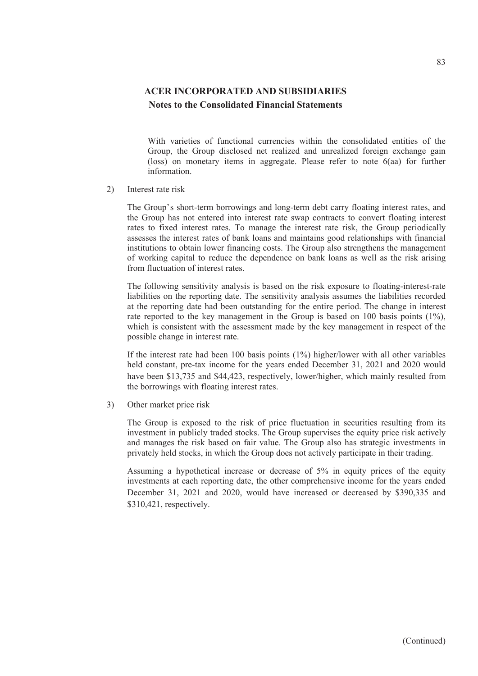With varieties of functional currencies within the consolidated entities of the Group, the Group disclosed net realized and unrealized foreign exchange gain (loss) on monetary items in aggregate. Please refer to note 6(aa) for further information.

2) Interest rate risk

The Group's short-term borrowings and long-term debt carry floating interest rates, and the Group has not entered into interest rate swap contracts to convert floating interest rates to fixed interest rates. To manage the interest rate risk, the Group periodically assesses the interest rates of bank loans and maintains good relationships with financial institutions to obtain lower financing costs. The Group also strengthens the management of working capital to reduce the dependence on bank loans as well as the risk arising from fluctuation of interest rates.

The following sensitivity analysis is based on the risk exposure to floating-interest-rate liabilities on the reporting date. The sensitivity analysis assumes the liabilities recorded at the reporting date had been outstanding for the entire period. The change in interest rate reported to the key management in the Group is based on 100 basis points (1%), which is consistent with the assessment made by the key management in respect of the possible change in interest rate.

If the interest rate had been 100 basis points (1%) higher/lower with all other variables held constant, pre-tax income for the years ended December 31, 2021 and 2020 would have been \$13,735 and \$44,423, respectively, lower/higher, which mainly resulted from the borrowings with floating interest rates.

3) Other market price risk

The Group is exposed to the risk of price fluctuation in securities resulting from its investment in publicly traded stocks. The Group supervises the equity price risk actively and manages the risk based on fair value. The Group also has strategic investments in privately held stocks, in which the Group does not actively participate in their trading.

Assuming a hypothetical increase or decrease of 5% in equity prices of the equity investments at each reporting date, the other comprehensive income for the years ended December 31, 2021 and 2020, would have increased or decreased by \$390,335 and \$310,421, respectively.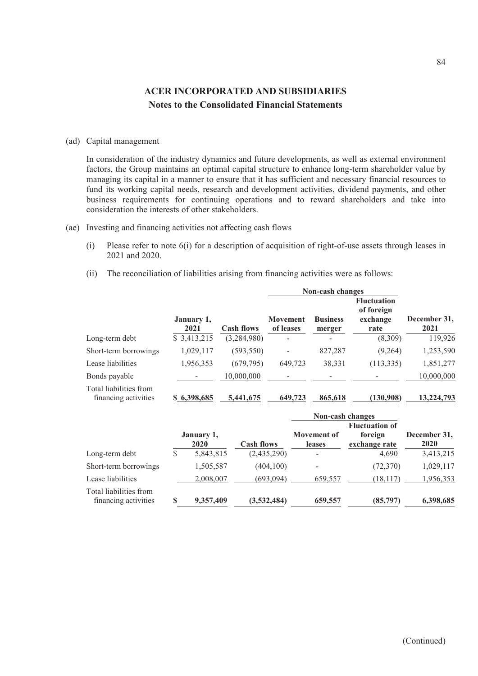#### (ad) Capital management

In consideration of the industry dynamics and future developments, as well as external environment factors, the Group maintains an optimal capital structure to enhance long-term shareholder value by managing its capital in a manner to ensure that it has sufficient and necessary financial resources to fund its working capital needs, research and development activities, dividend payments, and other business requirements for continuing operations and to reward shareholders and take into consideration the interests of other stakeholders.

- (ae) Investing and financing activities not affecting cash flows
	- (i) Please refer to note 6(i) for a description of acquisition of right-of-use assets through leases in 2021 and 2020.
	- (ii) The reconciliation of liabilities arising from financing activities were as follows:

|                                                |                    |                   | Non-cash changes             |                           |                                                      |                      |  |
|------------------------------------------------|--------------------|-------------------|------------------------------|---------------------------|------------------------------------------------------|----------------------|--|
|                                                | January 1,<br>2021 | <b>Cash flows</b> | <b>Movement</b><br>of leases | <b>Business</b><br>merger | <b>Fluctuation</b><br>of foreign<br>exchange<br>rate | December 31,<br>2021 |  |
| Long-term debt                                 | \$ 3,413,215       | (3,284,980)       |                              |                           | (8,309)                                              | 119,926              |  |
| Short-term borrowings                          | 1,029,117          | (593, 550)        | ۰                            | 827,287                   | (9,264)                                              | 1,253,590            |  |
| Lease liabilities                              | 1,956,353          | (679, 795)        | 649,723                      | 38,331                    | (113, 335)                                           | 1,851,277            |  |
| Bonds payable                                  |                    | 10,000,000        |                              |                           |                                                      | 10,000,000           |  |
| Total liabilities from<br>financing activities | \$6,398,685        | 5,441,675         | 649,723                      | 865,618                   | (130,908)                                            | 13,224,793           |  |

|                                                |    |                    |                   | Non-cash changes             |                                                   |                      |
|------------------------------------------------|----|--------------------|-------------------|------------------------------|---------------------------------------------------|----------------------|
|                                                |    | January 1,<br>2020 | <b>Cash flows</b> | <b>Movement of</b><br>leases | <b>Fluctuation of</b><br>foreign<br>exchange rate | December 31,<br>2020 |
| Long-term debt                                 | S  | 5,843,815          | (2,435,290)       |                              | 4,690                                             | 3,413,215            |
| Short-term borrowings                          |    | 1,505,587          | (404, 100)        |                              | (72, 370)                                         | 1,029,117            |
| Lease liabilities                              |    | 2,008,007          | (693, 094)        | 659,557                      | (18, 117)                                         | 1,956,353            |
| Total liabilities from<br>financing activities | \$ | 9,357,409          | (3,532,484)       | 659,557                      | (85,797)                                          | 6,398,685            |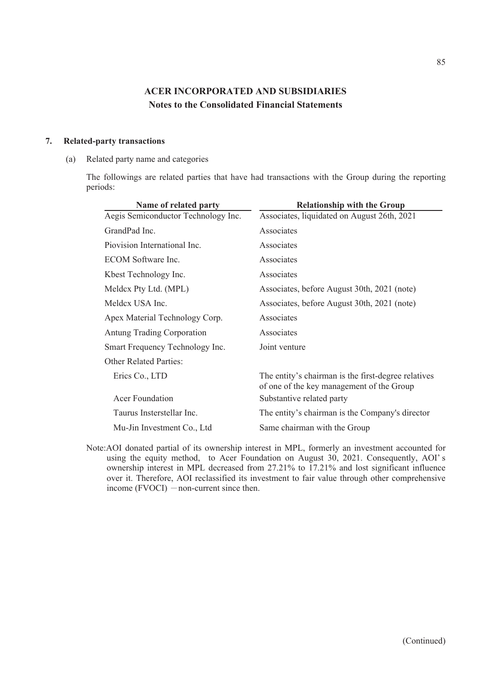#### **7. Related-party transactions**

(a) Related party name and categories

The followings are related parties that have had transactions with the Group during the reporting periods:

| Name of related party               | <b>Relationship with the Group</b>                                                               |
|-------------------------------------|--------------------------------------------------------------------------------------------------|
| Aegis Semiconductor Technology Inc. | Associates, liquidated on August 26th, 2021                                                      |
| GrandPad Inc.                       | Associates                                                                                       |
| Piovision International Inc.        | Associates                                                                                       |
| ECOM Software Inc.                  | Associates                                                                                       |
| Kbest Technology Inc.               | Associates                                                                                       |
| Meldcx Pty Ltd. (MPL)               | Associates, before August 30th, 2021 (note)                                                      |
| Meldex USA Inc.                     | Associates, before August 30th, 2021 (note)                                                      |
| Apex Material Technology Corp.      | Associates                                                                                       |
| Antung Trading Corporation          | Associates                                                                                       |
| Smart Frequency Technology Inc.     | Joint venture                                                                                    |
| <b>Other Related Parties:</b>       |                                                                                                  |
| Erics Co., LTD                      | The entity's chairman is the first-degree relatives<br>of one of the key management of the Group |
| Acer Foundation                     | Substantive related party                                                                        |
| Taurus Insterstellar Inc.           | The entity's chairman is the Company's director                                                  |
| Mu-Jin Investment Co., Ltd.         | Same chairman with the Group                                                                     |

Note:AOI donated partial of its ownership interest in MPL, formerly an investment accounted for using the equity method, to Acer Foundation on August 30, 2021. Consequently, AOI' s ownership interest in MPL decreased from 27.21% to 17.21% and lost significant influence over it. Therefore, AOI reclassified its investment to fair value through other comprehensive income  $(FVOCI)$  -non-current since then.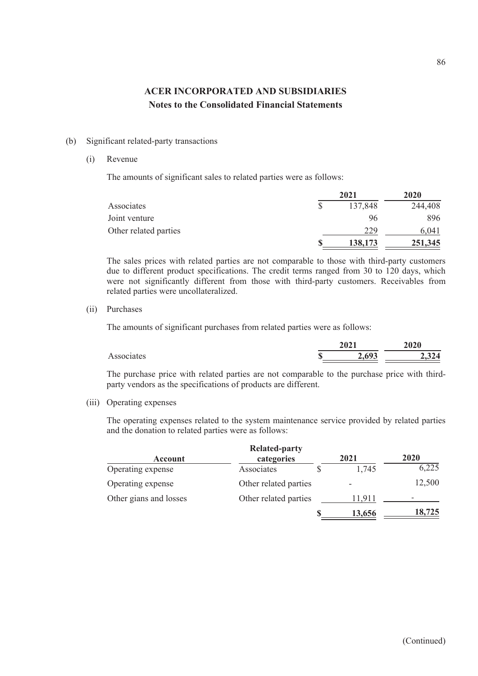#### (b) Significant related-party transactions

#### (i) Revenue

The amounts of significant sales to related parties were as follows:

|                       | 2021    | <b>2020</b> |  |
|-----------------------|---------|-------------|--|
| Associates            | 137,848 | 244,408     |  |
| Joint venture         | 96      | 896         |  |
| Other related parties | 229     | 6.041       |  |
|                       | 138,173 | 251,345     |  |

The sales prices with related parties are not comparable to those with third-party customers due to different product specifications. The credit terms ranged from 30 to 120 days, which were not significantly different from those with third-party customers. Receivables from related parties were uncollateralized.

(ii) Purchases

The amounts of significant purchases from related parties were as follows:

|            | 2021 | 9090<br>2020 |                  |
|------------|------|--------------|------------------|
| Associates | ጡ    | 607<br>4.V   | 39 A<br>$\bm{v}$ |

The purchase price with related parties are not comparable to the purchase price with thirdparty vendors as the specifications of products are different.

(iii) Operating expenses

The operating expenses related to the system maintenance service provided by related parties and the donation to related parties were as follows:

|                        | <b>Related-party</b>  |        |        |
|------------------------|-----------------------|--------|--------|
| <b>Account</b>         | categories            | 2021   | 2020   |
| Operating expense      | Associates            | 1,745  | 6,225  |
| Operating expense      | Other related parties |        | 12,500 |
| Other gians and losses | Other related parties | 11.911 |        |
|                        |                       | 13,656 | 18,725 |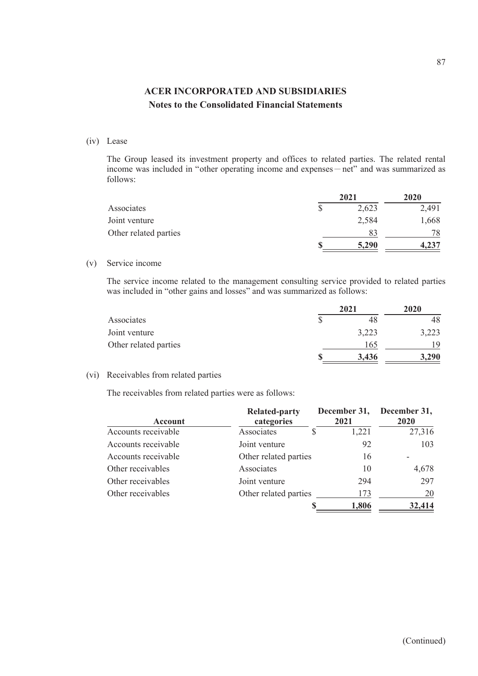#### (iv) Lease

The Group leased its investment property and offices to related parties. The related rental income was included in "other operating income and expenses - net" and was summarized as follows:

|                       | 2021 |       | 2020  |  |
|-----------------------|------|-------|-------|--|
| Associates            |      | 2,623 | 2,491 |  |
| Joint venture         |      | 2,584 | 1,668 |  |
| Other related parties |      |       | 78    |  |
|                       |      | 5,290 | 4,237 |  |

#### (v) Service income

The service income related to the management consulting service provided to related parties was included in "other gains and losses" and was summarized as follows:

|                       | 2021  | 2020  |  |
|-----------------------|-------|-------|--|
| Associates            |       | 48    |  |
| Joint venture         | 3,223 | 3,223 |  |
| Other related parties | 165   | 19    |  |
|                       | 3,436 | ,290  |  |

#### (vi) Receivables from related parties

The receivables from related parties were as follows:

| Account             | <b>Related-party</b><br>categories | December 31,<br>2021 | December 31,<br>2020 |
|---------------------|------------------------------------|----------------------|----------------------|
| Accounts receivable | Associates                         | 1,221                | 27,316               |
| Accounts receivable | Joint venture                      | 92                   | 103                  |
| Accounts receivable | Other related parties              | 16                   |                      |
| Other receivables   | Associates                         | 10                   | 4,678                |
| Other receivables   | Joint venture                      | 294                  | 297                  |
| Other receivables   | Other related parties              | 173                  | 20                   |
|                     |                                    | 1,806                | 32,414               |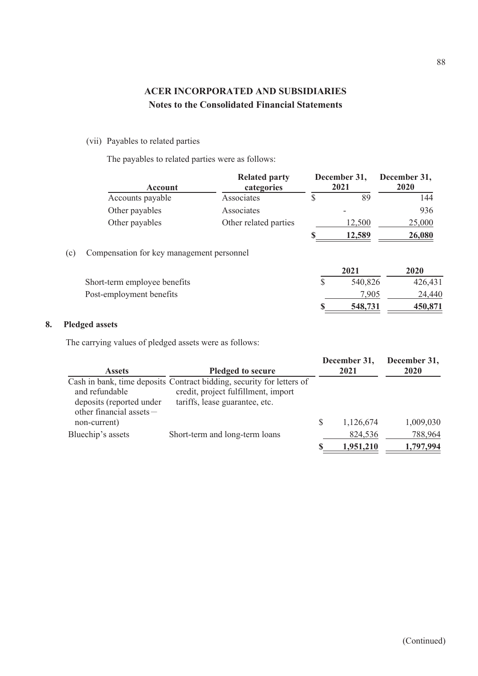### (vii) Payables to related parties

The payables to related parties were as follows:

|     | Account                                   | <b>Related party</b><br>categories | December 31,<br>2021 | December 31,<br>2020 |
|-----|-------------------------------------------|------------------------------------|----------------------|----------------------|
|     | Accounts payable                          | Associates                         | \$<br>89             | 144                  |
|     | Other payables                            | Associates                         |                      | 936                  |
|     | Other payables                            | Other related parties              | 12,500               | 25,000               |
|     |                                           |                                    | <u>12,589</u>        | 26,080               |
| (c) | Compensation for key management personnel |                                    |                      |                      |
|     |                                           |                                    | 2021                 | 2020                 |
|     | Short-term employee benefits              |                                    | 540,826              | 426,431              |
|     | Post-employment benefits                  |                                    | 7,905                | 24,440               |
|     |                                           |                                    | 548,731              | 450,871              |
|     | Pledged assets                            |                                    |                      |                      |

# **8. Pledged assets**

The carrying values of pledged assets were as follows:

| <b>Assets</b>                                                         | <b>Pledged to secure</b>                                                                                                                       | December 31,<br>2021 | December 31,<br>2020 |
|-----------------------------------------------------------------------|------------------------------------------------------------------------------------------------------------------------------------------------|----------------------|----------------------|
| and refundable<br>deposits (reported under<br>other financial assets- | Cash in bank, time deposits Contract bidding, security for letters of<br>credit, project fulfillment, import<br>tariffs, lease guarantee, etc. |                      |                      |
| non-current)                                                          |                                                                                                                                                | 1,126,674            | 1,009,030            |
| Bluechip's assets                                                     | Short-term and long-term loans                                                                                                                 | 824,536              | 788,964              |
|                                                                       |                                                                                                                                                | 1,951,210            | 1,797,994            |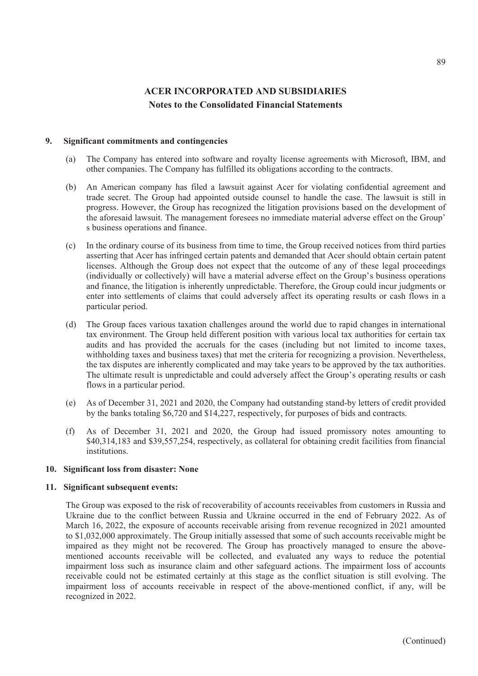#### **9. Significant commitments and contingencies**

- (a) The Company has entered into software and royalty license agreements with Microsoft, IBM, and other companies. The Company has fulfilled its obligations according to the contracts.
- (b) An American company has filed a lawsuit against Acer for violating confidential agreement and trade secret. The Group had appointed outside counsel to handle the case. The lawsuit is still in progress. However, the Group has recognized the litigation provisions based on the development of the aforesaid lawsuit. The management foresees no immediate material adverse effect on the Group' s business operations and finance.
- (c) In the ordinary course of its business from time to time, the Group received notices from third parties asserting that Acer has infringed certain patents and demanded that Acer should obtain certain patent licenses. Although the Group does not expect that the outcome of any of these legal proceedings (individually or collectively) will have a material adverse effect on the Group's business operations and finance, the litigation is inherently unpredictable. Therefore, the Group could incur judgments or enter into settlements of claims that could adversely affect its operating results or cash flows in a particular period.
- (d) The Group faces various taxation challenges around the world due to rapid changes in international tax environment. The Group held different position with various local tax authorities for certain tax audits and has provided the accruals for the cases (including but not limited to income taxes, withholding taxes and business taxes) that met the criteria for recognizing a provision. Nevertheless, the tax disputes are inherently complicated and may take years to be approved by the tax authorities. The ultimate result is unpredictable and could adversely affect the Group's operating results or cash flows in a particular period.
- (e) As of December 31, 2021 and 2020, the Company had outstanding stand-by letters of credit provided by the banks totaling \$6,720 and \$14,227, respectively, for purposes of bids and contracts.
- (f) As of December 31, 2021 and 2020, the Group had issued promissory notes amounting to \$40,314,183 and \$39,557,254, respectively, as collateral for obtaining credit facilities from financial institutions.

#### **10. Significant loss from disaster: None**

#### **11. Significant subsequent events:**

The Group was exposed to the risk of recoverability of accounts receivables from customers in Russia and Ukraine due to the conflict between Russia and Ukraine occurred in the end of February 2022. As of March 16, 2022, the exposure of accounts receivable arising from revenue recognized in 2021 amounted to \$1,032,000 approximately. The Group initially assessed that some of such accounts receivable might be impaired as they might not be recovered. The Group has proactively managed to ensure the abovementioned accounts receivable will be collected, and evaluated any ways to reduce the potential impairment loss such as insurance claim and other safeguard actions. The impairment loss of accounts receivable could not be estimated certainly at this stage as the conflict situation is still evolving. The impairment loss of accounts receivable in respect of the above-mentioned conflict, if any, will be recognized in 2022.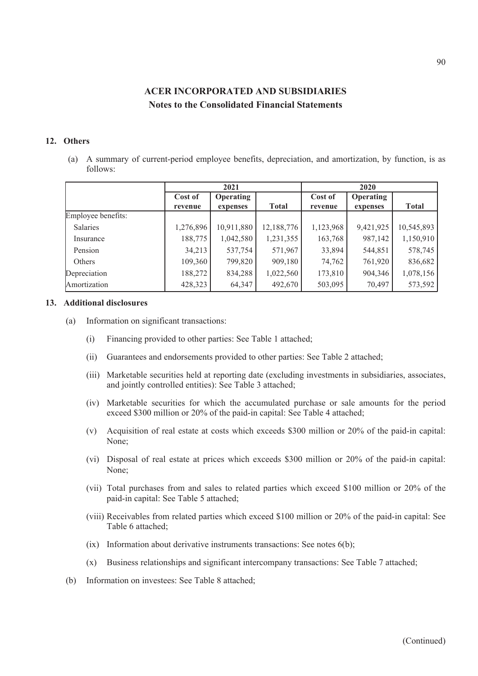#### **12. Others**

(a) A summary of current-period employee benefits, depreciation, and amortization, by function, is as follows:

|                    | 2021      |                  |              | 2020      |                  |              |
|--------------------|-----------|------------------|--------------|-----------|------------------|--------------|
|                    | Cost of   | <b>Operating</b> |              | Cost of   | <b>Operating</b> |              |
|                    | revenue   | expenses         | <b>Total</b> | revenue   | expenses         | <b>Total</b> |
| Employee benefits: |           |                  |              |           |                  |              |
| Salaries           | 1,276,896 | 10,911,880       | 12,188,776   | 1,123,968 | 9,421,925        | 10,545,893   |
| Insurance          | 188,775   | 1,042,580        | 1,231,355    | 163,768   | 987,142          | 1,150,910    |
| Pension            | 34,213    | 537,754          | 571,967      | 33,894    | 544,851          | 578,745      |
| Others             | 109,360   | 799,820          | 909,180      | 74,762    | 761,920          | 836,682      |
| Depreciation       | 188,272   | 834,288          | 1,022,560    | 173,810   | 904,346          | 1,078,156    |
| Amortization       | 428,323   | 64,347           | 492,670      | 503,095   | 70,497           | 573,592      |

#### **13. Additional disclosures**

- (a) Information on significant transactions:
	- (i) Financing provided to other parties: See Table 1 attached;
	- (ii) Guarantees and endorsements provided to other parties: See Table 2 attached;
	- (iii) Marketable securities held at reporting date (excluding investments in subsidiaries, associates, and jointly controlled entities): See Table 3 attached;
	- (iv) Marketable securities for which the accumulated purchase or sale amounts for the period exceed \$300 million or 20% of the paid-in capital: See Table 4 attached;
	- (v) Acquisition of real estate at costs which exceeds \$300 million or 20% of the paid-in capital: None;
	- (vi) Disposal of real estate at prices which exceeds \$300 million or 20% of the paid-in capital: None;
	- (vii) Total purchases from and sales to related parties which exceed \$100 million or 20% of the paid-in capital: See Table 5 attached;
	- (viii) Receivables from related parties which exceed \$100 million or 20% of the paid-in capital: See Table 6 attached;
	- (ix) Information about derivative instruments transactions: See notes 6(b);
	- (x) Business relationships and significant intercompany transactions: See Table 7 attached;
- (b) Information on investees: See Table 8 attached;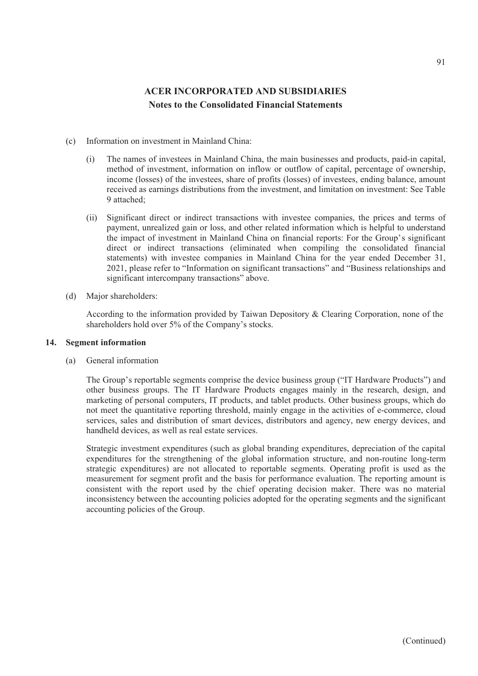- (c) Information on investment in Mainland China:
	- (i) The names of investees in Mainland China, the main businesses and products, paid-in capital, method of investment, information on inflow or outflow of capital, percentage of ownership, income (losses) of the investees, share of profits (losses) of investees, ending balance, amount received as earnings distributions from the investment, and limitation on investment: See Table 9 attached;
	- (ii) Significant direct or indirect transactions with investee companies, the prices and terms of payment, unrealized gain or loss, and other related information which is helpful to understand the impact of investment in Mainland China on financial reports: For the Group's significant direct or indirect transactions (eliminated when compiling the consolidated financial statements) with investee companies in Mainland China for the year ended December 31, 2021, please refer to "Information on significant transactions" and "Business relationships and significant intercompany transactions" above.
- (d) Major shareholders:

According to the information provided by Taiwan Depository & Clearing Corporation, none of the shareholders hold over 5% of the Company's stocks.

#### **14. Segment information**

(a) General information

The Group's reportable segments comprise the device business group ("IT Hardware Products") and other business groups. The IT Hardware Products engages mainly in the research, design, and marketing of personal computers, IT products, and tablet products. Other business groups, which do not meet the quantitative reporting threshold, mainly engage in the activities of e-commerce, cloud services, sales and distribution of smart devices, distributors and agency, new energy devices, and handheld devices, as well as real estate services.

Strategic investment expenditures (such as global branding expenditures, depreciation of the capital expenditures for the strengthening of the global information structure, and non-routine long-term strategic expenditures) are not allocated to reportable segments. Operating profit is used as the measurement for segment profit and the basis for performance evaluation. The reporting amount is consistent with the report used by the chief operating decision maker. There was no material inconsistency between the accounting policies adopted for the operating segments and the significant accounting policies of the Group.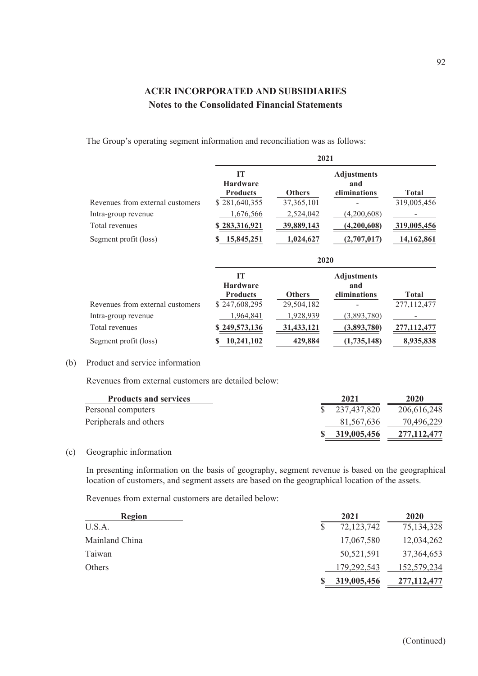The Group's operating segment information and reconciliation was as follows:

|                                  | 2021                                                      |               |                           |              |  |
|----------------------------------|-----------------------------------------------------------|---------------|---------------------------|--------------|--|
|                                  | <b>IT</b><br><b>Hardware</b>                              |               | <b>Adjustments</b><br>and |              |  |
|                                  | <b>Products</b>                                           | <b>Others</b> | eliminations              | <b>Total</b> |  |
| Revenues from external customers | \$281,640,355                                             | 37, 365, 101  |                           | 319,005,456  |  |
| Intra-group revenue              | 1,676,566                                                 | 2,524,042     | (4,200,608)               |              |  |
| Total revenues                   | \$283,316,921                                             | 39,889,143    | (4,200,608)               | 319,005,456  |  |
| Segment profit (loss)            | 15,845,251                                                | 1,024,627     | (2,707,017)               | 14,162,861   |  |
|                                  | 2020                                                      |               |                           |              |  |
|                                  | <b>IT</b><br><b>Adjustments</b><br><b>Hardware</b><br>and |               |                           |              |  |
|                                  | <b>Products</b>                                           | <b>Others</b> | eliminations              | <b>Total</b> |  |
| Revenues from external customers | \$247,608,295                                             | 29,504,182    |                           | 277,112,477  |  |
| Intra-group revenue              | 1,964,841                                                 | 1,928,939     | (3,893,780)               |              |  |
| Total revenues                   | 249,573,136                                               | 31,433,121    | (3,893,780)               | 277,112,477  |  |
|                                  |                                                           |               |                           |              |  |

#### (b) Product and service information

Revenues from external customers are detailed below:

| <b>Products and services</b> | 2021          | 2020        |
|------------------------------|---------------|-------------|
| Personal computers           | \$237,437,820 | 206,616,248 |
| Peripherals and others       | 81.567.636    | 70.496.229  |
|                              | \$319,005,456 | 277,112,477 |

(c) Geographic information

In presenting information on the basis of geography, segment revenue is based on the geographical location of customers, and segment assets are based on the geographical location of the assets.

Revenues from external customers are detailed below:

| Region         | 2021          | <b>2020</b>   |
|----------------|---------------|---------------|
| U.S.A.         | 72,123,742    | 75,134,328    |
| Mainland China | 17,067,580    | 12,034,262    |
| Taiwan         | 50,521,591    | 37, 364, 653  |
| Others         | 179, 292, 543 | 152,579,234   |
|                | 319,005,456   | 277, 112, 477 |